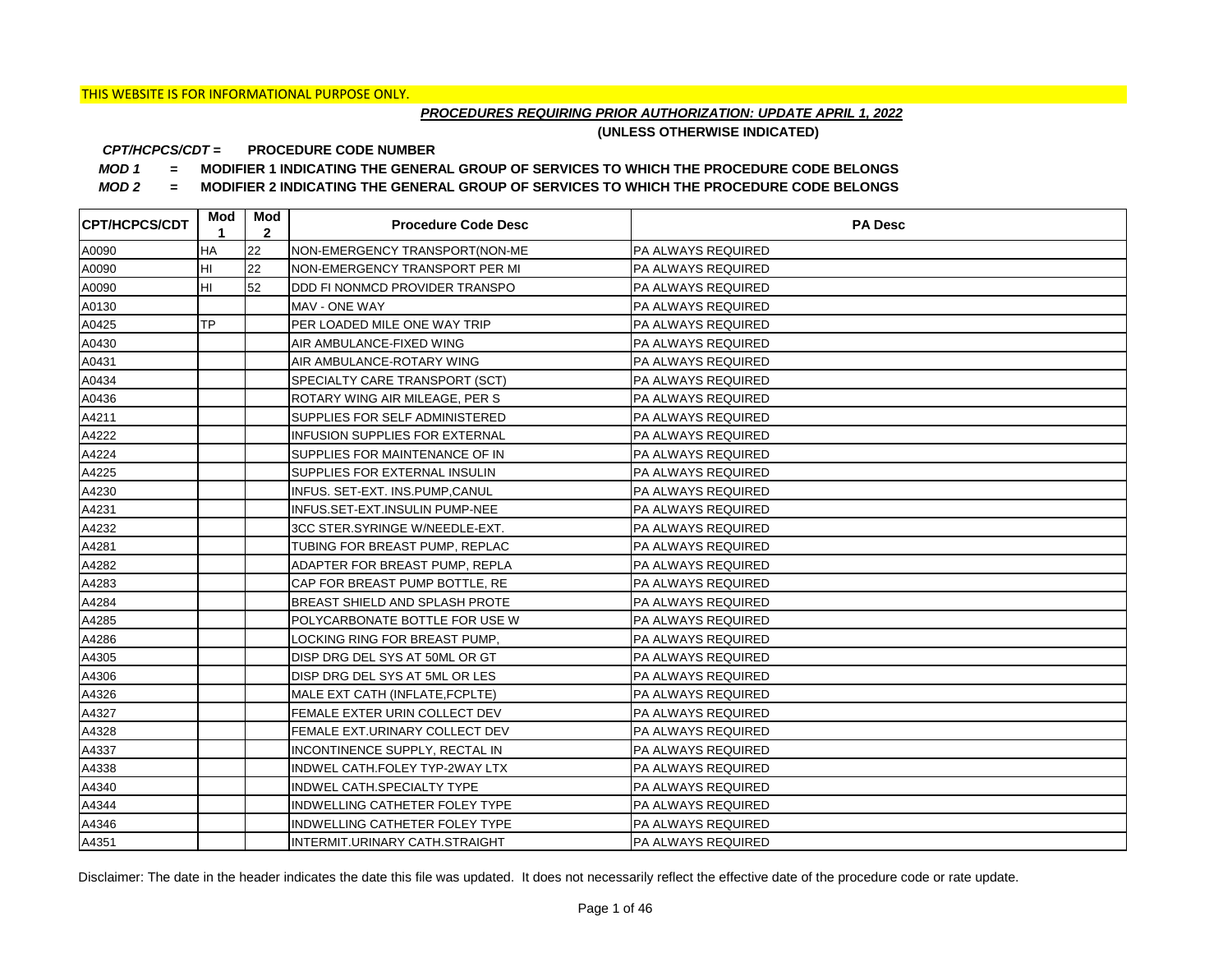## *PROCEDURES REQUIRING PRIOR AUTHORIZATION: UPDATE APRIL 1, 2022*

**(UNLESS OTHERWISE INDICATED)**

#### **PROCEDURE CODE NUMBER** *CPT/HCPCS/CDT =*

*MOD 1 =* **MODIFIER 1 INDICATING THE GENERAL GROUP OF SERVICES TO WHICH THE PROCEDURE CODE BELONGS**

*MOD 2 =* **MODIFIER 2 INDICATING THE GENERAL GROUP OF SERVICES TO WHICH THE PROCEDURE CODE BELONGS**

| <b>CPT/HCPCS/CDT</b> | Mod<br>1  | Mod<br>$\mathbf{2}$ | <b>Procedure Code Desc</b>            | <b>PA Desc</b>            |
|----------------------|-----------|---------------------|---------------------------------------|---------------------------|
| A0090                | НA        | 22                  | NON-EMERGENCY TRANSPORT(NON-ME        | <b>PA ALWAYS REQUIRED</b> |
| A0090                | HI        | 22                  | NON-EMERGENCY TRANSPORT PER MI        | <b>PA ALWAYS REQUIRED</b> |
| A0090                | HI        | 52                  | DDD FI NONMCD PROVIDER TRANSPO        | <b>PA ALWAYS REQUIRED</b> |
| A0130                |           |                     | MAV - ONE WAY                         | <b>PA ALWAYS REQUIRED</b> |
| A0425                | <b>TP</b> |                     | PER LOADED MILE ONE WAY TRIP          | PA ALWAYS REQUIRED        |
| A0430                |           |                     | AIR AMBULANCE-FIXED WING              | PA ALWAYS REQUIRED        |
| A0431                |           |                     | AIR AMBULANCE-ROTARY WING             | <b>PA ALWAYS REQUIRED</b> |
| A0434                |           |                     | SPECIALTY CARE TRANSPORT (SCT)        | <b>PA ALWAYS REQUIRED</b> |
| A0436                |           |                     | ROTARY WING AIR MILEAGE, PER S        | <b>PA ALWAYS REQUIRED</b> |
| A4211                |           |                     | SUPPLIES FOR SELF ADMINISTERED        | <b>PA ALWAYS REQUIRED</b> |
| A4222                |           |                     | <b>INFUSION SUPPLIES FOR EXTERNAL</b> | <b>PA ALWAYS REQUIRED</b> |
| A4224                |           |                     | SUPPLIES FOR MAINTENANCE OF IN        | <b>PA ALWAYS REQUIRED</b> |
| A4225                |           |                     | SUPPLIES FOR EXTERNAL INSULIN         | <b>PA ALWAYS REQUIRED</b> |
| A4230                |           |                     | INFUS. SET-EXT. INS.PUMP,CANUL        | <b>PA ALWAYS REQUIRED</b> |
| A4231                |           |                     | INFUS.SET-EXT.INSULIN PUMP-NEE        | PA ALWAYS REQUIRED        |
| A4232                |           |                     | 3CC STER.SYRINGE W/NEEDLE-EXT.        | PA ALWAYS REQUIRED        |
| A4281                |           |                     | TUBING FOR BREAST PUMP, REPLAC        | <b>PA ALWAYS REQUIRED</b> |
| A4282                |           |                     | ADAPTER FOR BREAST PUMP, REPLA        | PA ALWAYS REQUIRED        |
| A4283                |           |                     | CAP FOR BREAST PUMP BOTTLE, RE        | PA ALWAYS REQUIRED        |
| A4284                |           |                     | BREAST SHIELD AND SPLASH PROTE        | <b>PA ALWAYS REQUIRED</b> |
| A4285                |           |                     | POLYCARBONATE BOTTLE FOR USE W        | PA ALWAYS REQUIRED        |
| A4286                |           |                     | LOCKING RING FOR BREAST PUMP,         | PA ALWAYS REQUIRED        |
| A4305                |           |                     | DISP DRG DEL SYS AT 50ML OR GT        | PA ALWAYS REQUIRED        |
| A4306                |           |                     | DISP DRG DEL SYS AT 5ML OR LES        | PA ALWAYS REQUIRED        |
| A4326                |           |                     | MALE EXT CATH (INFLATE, FCPLTE)       | <b>PA ALWAYS REQUIRED</b> |
| A4327                |           |                     | FEMALE EXTER URIN COLLECT DEV         | PA ALWAYS REQUIRED        |
| A4328                |           |                     | FEMALE EXT.URINARY COLLECT DEV        | PA ALWAYS REQUIRED        |
| A4337                |           |                     | INCONTINENCE SUPPLY, RECTAL IN        | PA ALWAYS REQUIRED        |
| A4338                |           |                     | INDWEL CATH.FOLEY TYP-2WAY LTX        | PA ALWAYS REQUIRED        |
| A4340                |           |                     | INDWEL CATH.SPECIALTY TYPE            | PA ALWAYS REQUIRED        |
| A4344                |           |                     | INDWELLING CATHETER FOLEY TYPE        | PA ALWAYS REQUIRED        |
| A4346                |           |                     | INDWELLING CATHETER FOLEY TYPE        | PA ALWAYS REQUIRED        |
| A4351                |           |                     | INTERMIT.URINARY CATH.STRAIGHT        | <b>PA ALWAYS REQUIRED</b> |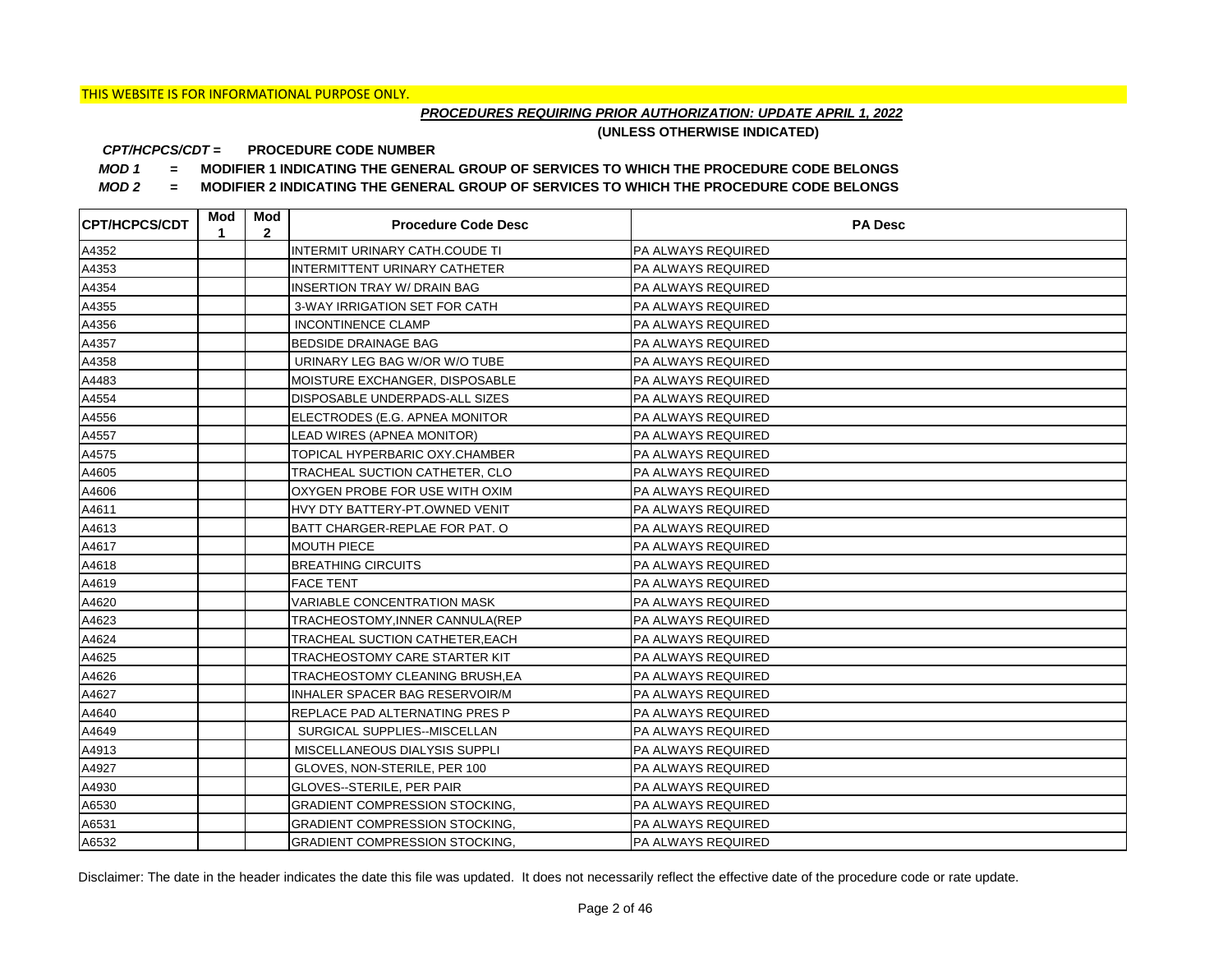## *PROCEDURES REQUIRING PRIOR AUTHORIZATION: UPDATE APRIL 1, 2022*

**(UNLESS OTHERWISE INDICATED)**

#### **PROCEDURE CODE NUMBER** *CPT/HCPCS/CDT =*

*MOD 1 =* **MODIFIER 1 INDICATING THE GENERAL GROUP OF SERVICES TO WHICH THE PROCEDURE CODE BELONGS**

*MOD 2 =* **MODIFIER 2 INDICATING THE GENERAL GROUP OF SERVICES TO WHICH THE PROCEDURE CODE BELONGS**

| <b>CPT/HCPCS/CDT</b> | Mod<br>1 | Mod<br>$\mathbf{2}$ | <b>Procedure Code Desc</b>            | <b>PA Desc</b>            |
|----------------------|----------|---------------------|---------------------------------------|---------------------------|
| A4352                |          |                     | INTERMIT URINARY CATH.COUDE TI        | PA ALWAYS REQUIRED        |
| A4353                |          |                     | INTERMITTENT URINARY CATHETER         | <b>PA ALWAYS REQUIRED</b> |
| A4354                |          |                     | <b>INSERTION TRAY W/ DRAIN BAG</b>    | <b>PA ALWAYS REQUIRED</b> |
| A4355                |          |                     | 3-WAY IRRIGATION SET FOR CATH         | <b>PA ALWAYS REQUIRED</b> |
| A4356                |          |                     | <b>INCONTINENCE CLAMP</b>             | PA ALWAYS REQUIRED        |
| A4357                |          |                     | <b>BEDSIDE DRAINAGE BAG</b>           | PA ALWAYS REQUIRED        |
| A4358                |          |                     | URINARY LEG BAG W/OR W/O TUBE         | PA ALWAYS REQUIRED        |
| A4483                |          |                     | MOISTURE EXCHANGER, DISPOSABLE        | PA ALWAYS REQUIRED        |
| A4554                |          |                     | DISPOSABLE UNDERPADS-ALL SIZES        | PA ALWAYS REQUIRED        |
| A4556                |          |                     | ELECTRODES (E.G. APNEA MONITOR        | <b>PA ALWAYS REQUIRED</b> |
| A4557                |          |                     | LEAD WIRES (APNEA MONITOR)            | PA ALWAYS REQUIRED        |
| A4575                |          |                     | TOPICAL HYPERBARIC OXY.CHAMBER        | PA ALWAYS REQUIRED        |
| A4605                |          |                     | TRACHEAL SUCTION CATHETER, CLO        | PA ALWAYS REQUIRED        |
| A4606                |          |                     | OXYGEN PROBE FOR USE WITH OXIM        | <b>PA ALWAYS REQUIRED</b> |
| A4611                |          |                     | HVY DTY BATTERY-PT.OWNED VENIT        | <b>PA ALWAYS REQUIRED</b> |
| A4613                |          |                     | BATT CHARGER-REPLAE FOR PAT. O        | PA ALWAYS REQUIRED        |
| A4617                |          |                     | <b>MOUTH PIECE</b>                    | PA ALWAYS REQUIRED        |
| A4618                |          |                     | <b>BREATHING CIRCUITS</b>             | PA ALWAYS REQUIRED        |
| A4619                |          |                     | <b>FACE TENT</b>                      | <b>PA ALWAYS REQUIRED</b> |
| A4620                |          |                     | <b>VARIABLE CONCENTRATION MASK</b>    | <b>PA ALWAYS REQUIRED</b> |
| A4623                |          |                     | TRACHEOSTOMY, INNER CANNULA (REP      | <b>PA ALWAYS REQUIRED</b> |
| A4624                |          |                     | TRACHEAL SUCTION CATHETER, EACH       | <b>PA ALWAYS REQUIRED</b> |
| A4625                |          |                     | TRACHEOSTOMY CARE STARTER KIT         | PA ALWAYS REQUIRED        |
| A4626                |          |                     | TRACHEOSTOMY CLEANING BRUSH, EA       | PA ALWAYS REQUIRED        |
| A4627                |          |                     | INHALER SPACER BAG RESERVOIR/M        | <b>PA ALWAYS REQUIRED</b> |
| A4640                |          |                     | REPLACE PAD ALTERNATING PRES P        | <b>PA ALWAYS REQUIRED</b> |
| A4649                |          |                     | SURGICAL SUPPLIES--MISCELLAN          | <b>PA ALWAYS REQUIRED</b> |
| A4913                |          |                     | MISCELLANEOUS DIALYSIS SUPPLI         | <b>PA ALWAYS REQUIRED</b> |
| A4927                |          |                     | GLOVES, NON-STERILE, PER 100          | PA ALWAYS REQUIRED        |
| A4930                |          |                     | GLOVES--STERILE, PER PAIR             | PA ALWAYS REQUIRED        |
| A6530                |          |                     | <b>GRADIENT COMPRESSION STOCKING,</b> | PA ALWAYS REQUIRED        |
| A6531                |          |                     | <b>GRADIENT COMPRESSION STOCKING,</b> | PA ALWAYS REQUIRED        |
| A6532                |          |                     | <b>GRADIENT COMPRESSION STOCKING,</b> | <b>PA ALWAYS REQUIRED</b> |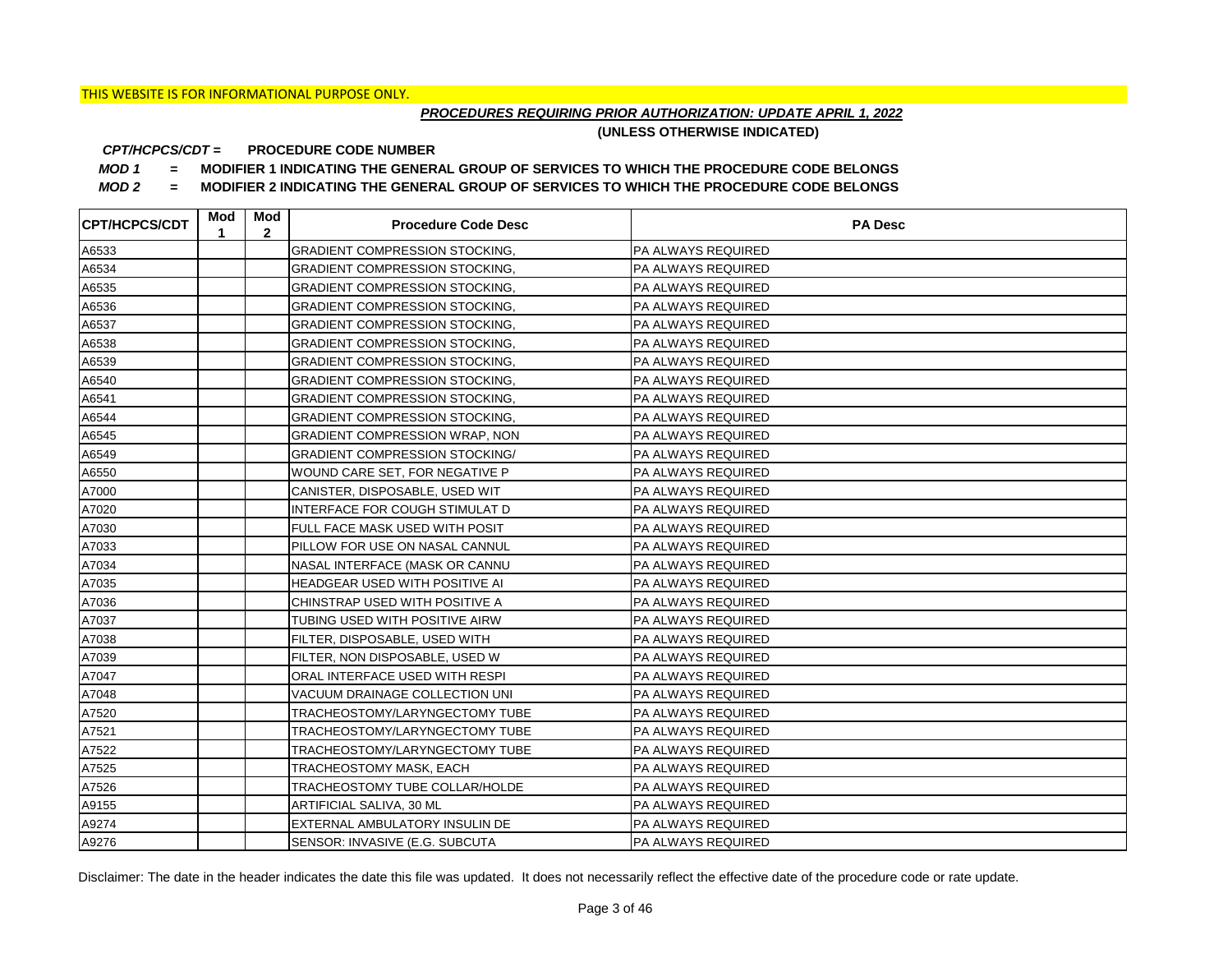## *PROCEDURES REQUIRING PRIOR AUTHORIZATION: UPDATE APRIL 1, 2022*

**(UNLESS OTHERWISE INDICATED)**

#### **PROCEDURE CODE NUMBER** *CPT/HCPCS/CDT =*

*MOD 1 =* **MODIFIER 1 INDICATING THE GENERAL GROUP OF SERVICES TO WHICH THE PROCEDURE CODE BELONGS**

*MOD 2 =* **MODIFIER 2 INDICATING THE GENERAL GROUP OF SERVICES TO WHICH THE PROCEDURE CODE BELONGS**

| <b>CPT/HCPCS/CDT</b> | Mod<br>1 | Mod<br>$\mathbf{2}$ | <b>Procedure Code Desc</b>            | <b>PA Desc</b>            |
|----------------------|----------|---------------------|---------------------------------------|---------------------------|
| A6533                |          |                     | <b>GRADIENT COMPRESSION STOCKING.</b> | PA ALWAYS REQUIRED        |
| A6534                |          |                     | <b>GRADIENT COMPRESSION STOCKING,</b> | <b>PA ALWAYS REQUIRED</b> |
| A6535                |          |                     | <b>GRADIENT COMPRESSION STOCKING,</b> | <b>PA ALWAYS REQUIRED</b> |
| A6536                |          |                     | <b>GRADIENT COMPRESSION STOCKING.</b> | <b>PA ALWAYS REQUIRED</b> |
| A6537                |          |                     | <b>GRADIENT COMPRESSION STOCKING,</b> | PA ALWAYS REQUIRED        |
| A6538                |          |                     | <b>GRADIENT COMPRESSION STOCKING.</b> | PA ALWAYS REQUIRED        |
| A6539                |          |                     | <b>GRADIENT COMPRESSION STOCKING.</b> | PA ALWAYS REQUIRED        |
| A6540                |          |                     | <b>GRADIENT COMPRESSION STOCKING,</b> | PA ALWAYS REQUIRED        |
| A6541                |          |                     | <b>GRADIENT COMPRESSION STOCKING,</b> | PA ALWAYS REQUIRED        |
| A6544                |          |                     | <b>GRADIENT COMPRESSION STOCKING,</b> | PA ALWAYS REQUIRED        |
| A6545                |          |                     | GRADIENT COMPRESSION WRAP, NON        | PA ALWAYS REQUIRED        |
| A6549                |          |                     | <b>GRADIENT COMPRESSION STOCKING/</b> | PA ALWAYS REQUIRED        |
| A6550                |          |                     | WOUND CARE SET, FOR NEGATIVE P        | PA ALWAYS REQUIRED        |
| A7000                |          |                     | CANISTER, DISPOSABLE, USED WIT        | PA ALWAYS REQUIRED        |
| A7020                |          |                     | INTERFACE FOR COUGH STIMULAT D        | <b>PA ALWAYS REQUIRED</b> |
| A7030                |          |                     | FULL FACE MASK USED WITH POSIT        | <b>PA ALWAYS REQUIRED</b> |
| A7033                |          |                     | PILLOW FOR USE ON NASAL CANNUL        | <b>PA ALWAYS REQUIRED</b> |
| A7034                |          |                     | NASAL INTERFACE (MASK OR CANNU        | PA ALWAYS REQUIRED        |
| A7035                |          |                     | HEADGEAR USED WITH POSITIVE AI        | <b>PA ALWAYS REQUIRED</b> |
| A7036                |          |                     | CHINSTRAP USED WITH POSITIVE A        | <b>PA ALWAYS REQUIRED</b> |
| A7037                |          |                     | TUBING USED WITH POSITIVE AIRW        | <b>PA ALWAYS REQUIRED</b> |
| A7038                |          |                     | FILTER, DISPOSABLE, USED WITH         | <b>PA ALWAYS REQUIRED</b> |
| A7039                |          |                     | FILTER, NON DISPOSABLE, USED W        | <b>PA ALWAYS REQUIRED</b> |
| A7047                |          |                     | ORAL INTERFACE USED WITH RESPI        | PA ALWAYS REQUIRED        |
| A7048                |          |                     | VACUUM DRAINAGE COLLECTION UNI        | <b>PA ALWAYS REQUIRED</b> |
| A7520                |          |                     | TRACHEOSTOMY/LARYNGECTOMY TUBE        | <b>PA ALWAYS REQUIRED</b> |
| A7521                |          |                     | TRACHEOSTOMY/LARYNGECTOMY TUBE        | <b>PA ALWAYS REQUIRED</b> |
| A7522                |          |                     | TRACHEOSTOMY/LARYNGECTOMY TUBE        | <b>PA ALWAYS REQUIRED</b> |
| A7525                |          |                     | TRACHEOSTOMY MASK, EACH               | <b>PA ALWAYS REQUIRED</b> |
| A7526                |          |                     | TRACHEOSTOMY TUBE COLLAR/HOLDE        | PA ALWAYS REQUIRED        |
| A9155                |          |                     | ARTIFICIAL SALIVA, 30 ML              | PA ALWAYS REQUIRED        |
| A9274                |          |                     | EXTERNAL AMBULATORY INSULIN DE        | PA ALWAYS REQUIRED        |
| A9276                |          |                     | SENSOR: INVASIVE (E.G. SUBCUTA        | <b>PA ALWAYS REQUIRED</b> |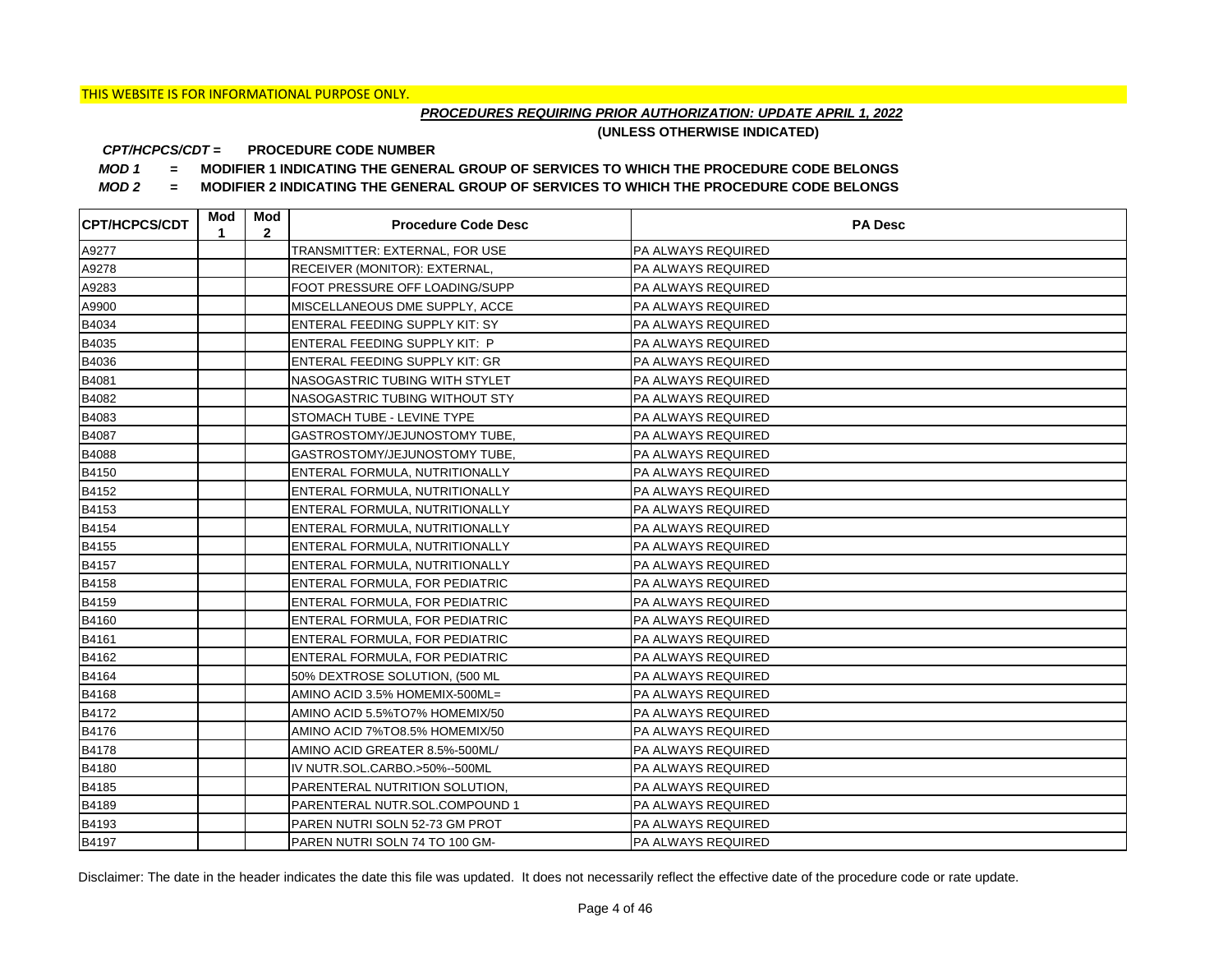## *PROCEDURES REQUIRING PRIOR AUTHORIZATION: UPDATE APRIL 1, 2022*

**(UNLESS OTHERWISE INDICATED)**

#### **PROCEDURE CODE NUMBER** *CPT/HCPCS/CDT =*

*MOD 1 =* **MODIFIER 1 INDICATING THE GENERAL GROUP OF SERVICES TO WHICH THE PROCEDURE CODE BELONGS**

*MOD 2 =* **MODIFIER 2 INDICATING THE GENERAL GROUP OF SERVICES TO WHICH THE PROCEDURE CODE BELONGS**

| <b>CPT/HCPCS/CDT</b> | Mod<br>1 | Mod<br>$\mathbf{2}$ | <b>Procedure Code Desc</b>     | <b>PA Desc</b>            |
|----------------------|----------|---------------------|--------------------------------|---------------------------|
| A9277                |          |                     | TRANSMITTER: EXTERNAL, FOR USE | PA ALWAYS REQUIRED        |
| A9278                |          |                     | RECEIVER (MONITOR): EXTERNAL,  | <b>PA ALWAYS REQUIRED</b> |
| A9283                |          |                     | FOOT PRESSURE OFF LOADING/SUPP | PA ALWAYS REQUIRED        |
| A9900                |          |                     | MISCELLANEOUS DME SUPPLY, ACCE | PA ALWAYS REQUIRED        |
| B4034                |          |                     | ENTERAL FEEDING SUPPLY KIT: SY | PA ALWAYS REQUIRED        |
| B4035                |          |                     | ENTERAL FEEDING SUPPLY KIT: P  | <b>PA ALWAYS REQUIRED</b> |
| B4036                |          |                     | ENTERAL FEEDING SUPPLY KIT: GR | <b>PA ALWAYS REQUIRED</b> |
| B4081                |          |                     | NASOGASTRIC TUBING WITH STYLET | PA ALWAYS REQUIRED        |
| B4082                |          |                     | NASOGASTRIC TUBING WITHOUT STY | PA ALWAYS REQUIRED        |
| B4083                |          |                     | STOMACH TUBE - LEVINE TYPE     | PA ALWAYS REQUIRED        |
| B4087                |          |                     | GASTROSTOMY/JEJUNOSTOMY TUBE,  | PA ALWAYS REQUIRED        |
| B4088                |          |                     | GASTROSTOMY/JEJUNOSTOMY TUBE,  | PA ALWAYS REQUIRED        |
| B4150                |          |                     | ENTERAL FORMULA, NUTRITIONALLY | <b>PA ALWAYS REQUIRED</b> |
| B4152                |          |                     | ENTERAL FORMULA, NUTRITIONALLY | PA ALWAYS REQUIRED        |
| B4153                |          |                     | ENTERAL FORMULA, NUTRITIONALLY | PA ALWAYS REQUIRED        |
| B4154                |          |                     | ENTERAL FORMULA, NUTRITIONALLY | PA ALWAYS REQUIRED        |
| B4155                |          |                     | ENTERAL FORMULA, NUTRITIONALLY | PA ALWAYS REQUIRED        |
| B4157                |          |                     | ENTERAL FORMULA, NUTRITIONALLY | <b>PA ALWAYS REQUIRED</b> |
| B4158                |          |                     | ENTERAL FORMULA, FOR PEDIATRIC | PA ALWAYS REQUIRED        |
| B4159                |          |                     | ENTERAL FORMULA, FOR PEDIATRIC | <b>PA ALWAYS REQUIRED</b> |
| B4160                |          |                     | ENTERAL FORMULA, FOR PEDIATRIC | <b>PA ALWAYS REQUIRED</b> |
| B4161                |          |                     | ENTERAL FORMULA, FOR PEDIATRIC | PA ALWAYS REQUIRED        |
| B4162                |          |                     | ENTERAL FORMULA, FOR PEDIATRIC | <b>PA ALWAYS REQUIRED</b> |
| B4164                |          |                     | 50% DEXTROSE SOLUTION, (500 ML | PA ALWAYS REQUIRED        |
| B4168                |          |                     | AMINO ACID 3.5% HOMEMIX-500ML= | PA ALWAYS REQUIRED        |
| B4172                |          |                     | AMINO ACID 5.5%TO7% HOMEMIX/50 | <b>PA ALWAYS REQUIRED</b> |
| B4176                |          |                     | AMINO ACID 7%TO8.5% HOMEMIX/50 | <b>PA ALWAYS REQUIRED</b> |
| B4178                |          |                     | AMINO ACID GREATER 8.5%-500ML/ | PA ALWAYS REQUIRED        |
| B4180                |          |                     | IV NUTR.SOL.CARBO.>50%--500ML  | <b>PA ALWAYS REQUIRED</b> |
| B4185                |          |                     | PARENTERAL NUTRITION SOLUTION, | <b>PA ALWAYS REQUIRED</b> |
| B4189                |          |                     | PARENTERAL NUTR.SOL.COMPOUND 1 | PA ALWAYS REQUIRED        |
| B4193                |          |                     | PAREN NUTRI SOLN 52-73 GM PROT | <b>PA ALWAYS REQUIRED</b> |
| B4197                |          |                     | PAREN NUTRI SOLN 74 TO 100 GM- | <b>PA ALWAYS REQUIRED</b> |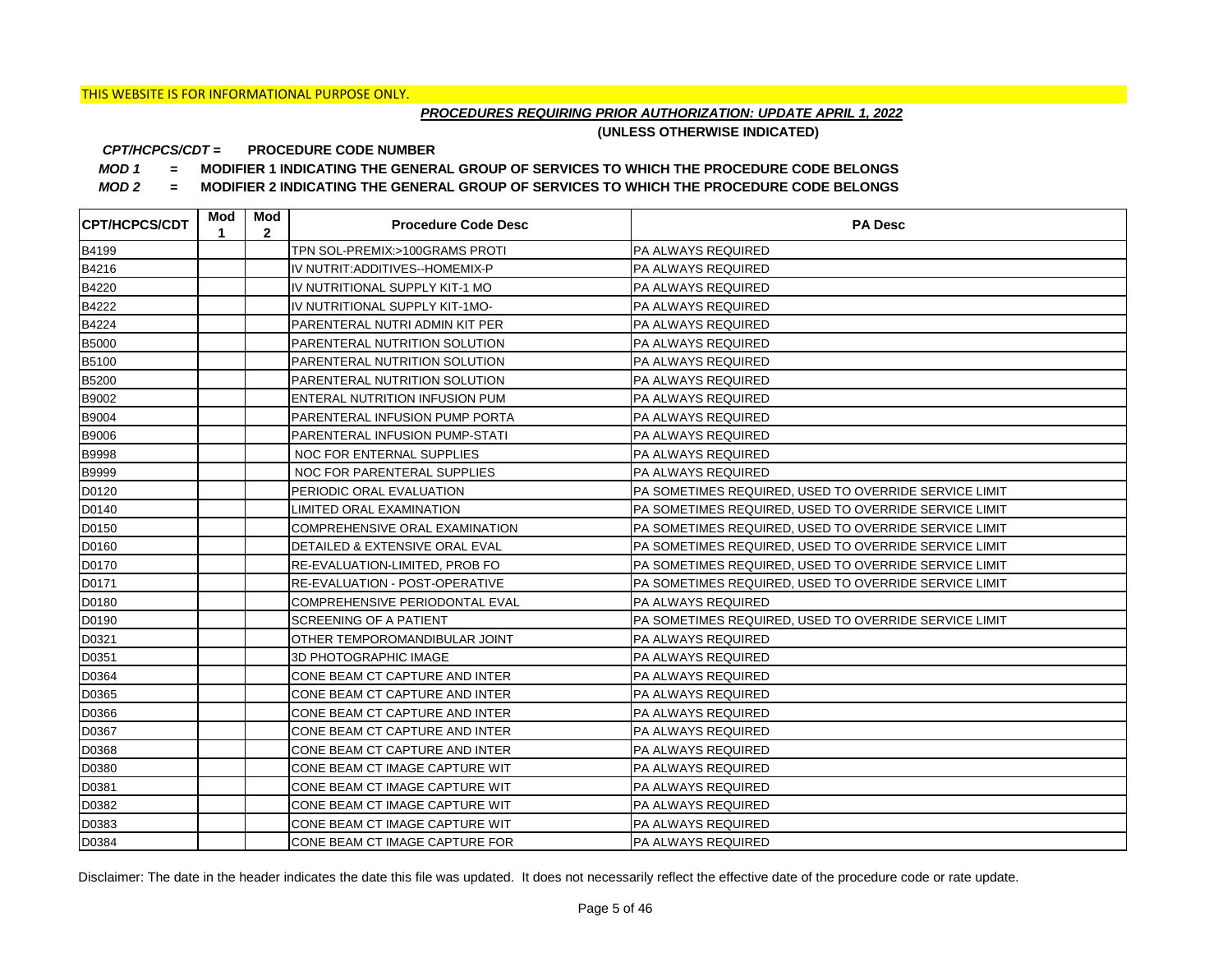## *PROCEDURES REQUIRING PRIOR AUTHORIZATION: UPDATE APRIL 1, 2022*

**(UNLESS OTHERWISE INDICATED)**

#### **PROCEDURE CODE NUMBER** *CPT/HCPCS/CDT =*

*MOD 1 =* **MODIFIER 1 INDICATING THE GENERAL GROUP OF SERVICES TO WHICH THE PROCEDURE CODE BELONGS**

*MOD 2 =* **MODIFIER 2 INDICATING THE GENERAL GROUP OF SERVICES TO WHICH THE PROCEDURE CODE BELONGS**

| <b>CPT/HCPCS/CDT</b> | Mod<br>1 | Mod<br>$\mathbf{2}$ | <b>Procedure Code Desc</b>            | <b>PA Desc</b>                                        |
|----------------------|----------|---------------------|---------------------------------------|-------------------------------------------------------|
| B4199                |          |                     | TPN SOL-PREMIX:>100GRAMS PROTI        | PA ALWAYS REQUIRED                                    |
| B4216                |          |                     | IV NUTRIT: ADDITIVES--HOMEMIX-P       | PA ALWAYS REQUIRED                                    |
| B4220                |          |                     | IV NUTRITIONAL SUPPLY KIT-1 MO        | PA ALWAYS REQUIRED                                    |
| B4222                |          |                     | IV NUTRITIONAL SUPPLY KIT-1MO-        | PA ALWAYS REQUIRED                                    |
| B4224                |          |                     | PARENTERAL NUTRI ADMIN KIT PER        | PA ALWAYS REQUIRED                                    |
| <b>B5000</b>         |          |                     | PARENTERAL NUTRITION SOLUTION         | PA ALWAYS REQUIRED                                    |
| B5100                |          |                     | PARENTERAL NUTRITION SOLUTION         | PA ALWAYS REQUIRED                                    |
| B5200                |          |                     | PARENTERAL NUTRITION SOLUTION         | PA ALWAYS REQUIRED                                    |
| B9002                |          |                     | ENTERAL NUTRITION INFUSION PUM        | PA ALWAYS REQUIRED                                    |
| B9004                |          |                     | PARENTERAL INFUSION PUMP PORTA        | PA ALWAYS REQUIRED                                    |
| B9006                |          |                     | PARENTERAL INFUSION PUMP-STATI        | PA ALWAYS REQUIRED                                    |
| <b>B9998</b>         |          |                     | NOC FOR ENTERNAL SUPPLIES             | PA ALWAYS REQUIRED                                    |
| <b>B9999</b>         |          |                     | NOC FOR PARENTERAL SUPPLIES           | <b>PA ALWAYS REQUIRED</b>                             |
| D0120                |          |                     | PERIODIC ORAL EVALUATION              | PA SOMETIMES REQUIRED, USED TO OVERRIDE SERVICE LIMIT |
| D0140                |          |                     | <b>LIMITED ORAL EXAMINATION</b>       | PA SOMETIMES REQUIRED, USED TO OVERRIDE SERVICE LIMIT |
| D0150                |          |                     | COMPREHENSIVE ORAL EXAMINATION        | PA SOMETIMES REQUIRED. USED TO OVERRIDE SERVICE LIMIT |
| D0160                |          |                     | DETAILED & EXTENSIVE ORAL EVAL        | PA SOMETIMES REQUIRED, USED TO OVERRIDE SERVICE LIMIT |
| D0170                |          |                     | RE-EVALUATION-LIMITED, PROB FO        | PA SOMETIMES REQUIRED, USED TO OVERRIDE SERVICE LIMIT |
| D0171                |          |                     | <b>RE-EVALUATION - POST-OPERATIVE</b> | PA SOMETIMES REQUIRED, USED TO OVERRIDE SERVICE LIMIT |
| D0180                |          |                     | COMPREHENSIVE PERIODONTAL EVAL        | <b>PA ALWAYS REQUIRED</b>                             |
| D0190                |          |                     | <b>SCREENING OF A PATIENT</b>         | PA SOMETIMES REQUIRED, USED TO OVERRIDE SERVICE LIMIT |
| D0321                |          |                     | OTHER TEMPOROMANDIBULAR JOINT         | PA ALWAYS REQUIRED                                    |
| D0351                |          |                     | <b>3D PHOTOGRAPHIC IMAGE</b>          | <b>PA ALWAYS REQUIRED</b>                             |
| D0364                |          |                     | CONE BEAM CT CAPTURE AND INTER        | PA ALWAYS REQUIRED                                    |
| D0365                |          |                     | CONE BEAM CT CAPTURE AND INTER        | PA ALWAYS REQUIRED                                    |
| D0366                |          |                     | CONE BEAM CT CAPTURE AND INTER        | PA ALWAYS REQUIRED                                    |
| D0367                |          |                     | CONE BEAM CT CAPTURE AND INTER        | PA ALWAYS REQUIRED                                    |
| D0368                |          |                     | CONE BEAM CT CAPTURE AND INTER        | PA ALWAYS REQUIRED                                    |
| D0380                |          |                     | CONE BEAM CT IMAGE CAPTURE WIT        | <b>PA ALWAYS REQUIRED</b>                             |
| D0381                |          |                     | CONE BEAM CT IMAGE CAPTURE WIT        | PA ALWAYS REQUIRED                                    |
| D0382                |          |                     | CONE BEAM CT IMAGE CAPTURE WIT        | PA ALWAYS REQUIRED                                    |
| D0383                |          |                     | CONE BEAM CT IMAGE CAPTURE WIT        | <b>PA ALWAYS REQUIRED</b>                             |
| D0384                |          |                     | CONE BEAM CT IMAGE CAPTURE FOR        | <b>PA ALWAYS REQUIRED</b>                             |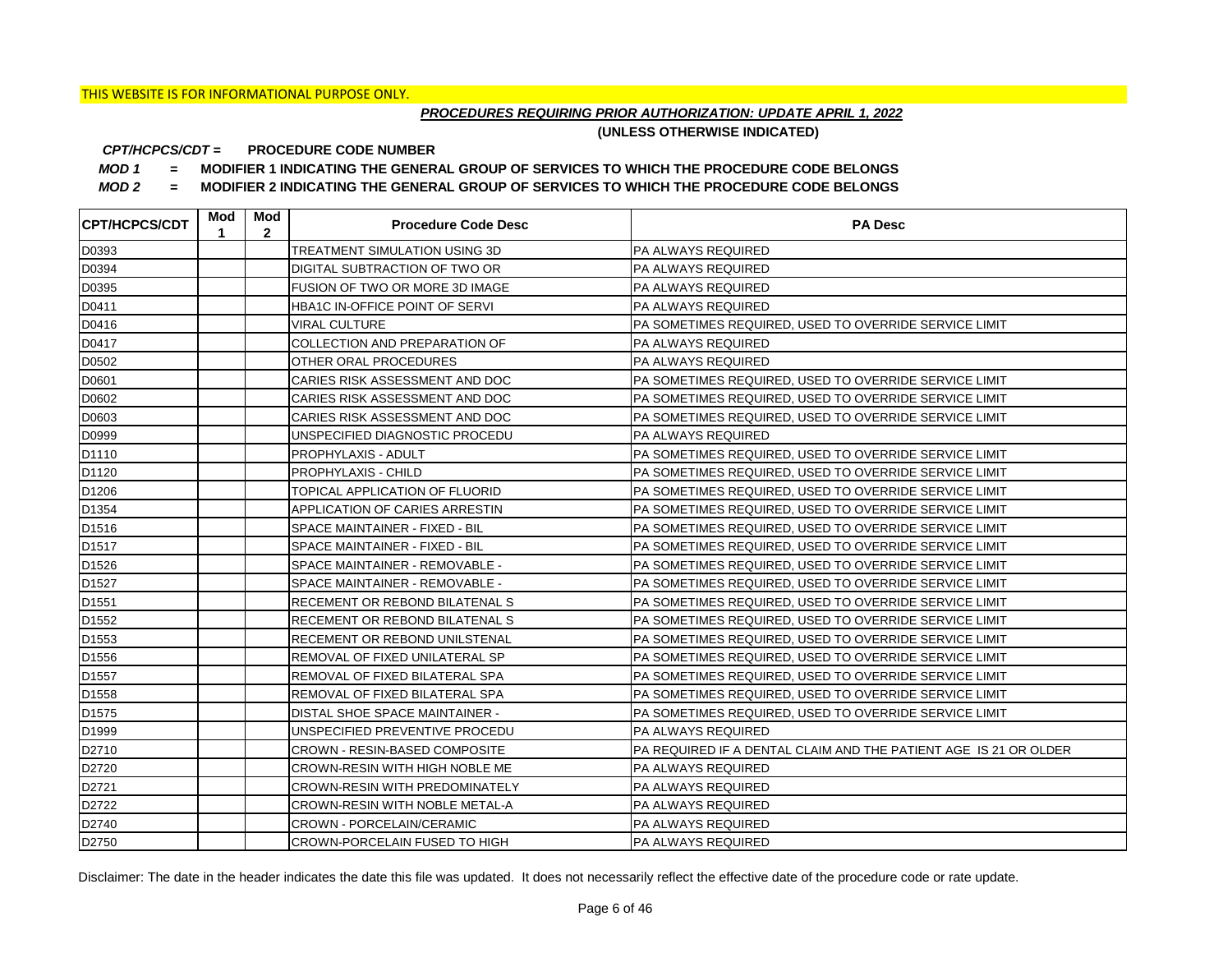## *PROCEDURES REQUIRING PRIOR AUTHORIZATION: UPDATE APRIL 1, 2022*

**(UNLESS OTHERWISE INDICATED)**

#### **PROCEDURE CODE NUMBER** *CPT/HCPCS/CDT =*

*MOD 1 =* **MODIFIER 1 INDICATING THE GENERAL GROUP OF SERVICES TO WHICH THE PROCEDURE CODE BELONGS**

*MOD 2 =* **MODIFIER 2 INDICATING THE GENERAL GROUP OF SERVICES TO WHICH THE PROCEDURE CODE BELONGS**

| <b>ICPT/HCPCS/CDT</b> | Mod<br>1 | Mod<br>$\mathbf{2}$ | <b>Procedure Code Desc</b>            | <b>PA Desc</b>                                                   |
|-----------------------|----------|---------------------|---------------------------------------|------------------------------------------------------------------|
| D0393                 |          |                     | TREATMENT SIMULATION USING 3D         | <b>PA ALWAYS REQUIRED</b>                                        |
| D0394                 |          |                     | DIGITAL SUBTRACTION OF TWO OR         | <b>PA ALWAYS REQUIRED</b>                                        |
| D0395                 |          |                     | FUSION OF TWO OR MORE 3D IMAGE        | <b>PA ALWAYS REQUIRED</b>                                        |
| D0411                 |          |                     | HBA1C IN-OFFICE POINT OF SERVI        | <b>PA ALWAYS REQUIRED</b>                                        |
| D0416                 |          |                     | VIRAL CULTURE                         | PA SOMETIMES REQUIRED, USED TO OVERRIDE SERVICE LIMIT            |
| D0417                 |          |                     | COLLECTION AND PREPARATION OF         | <b>PA ALWAYS REQUIRED</b>                                        |
| D0502                 |          |                     | OTHER ORAL PROCEDURES                 | PA ALWAYS REQUIRED                                               |
| D0601                 |          |                     | CARIES RISK ASSESSMENT AND DOC        | PA SOMETIMES REQUIRED, USED TO OVERRIDE SERVICE LIMIT            |
| D0602                 |          |                     | CARIES RISK ASSESSMENT AND DOC        | PA SOMETIMES REQUIRED, USED TO OVERRIDE SERVICE LIMIT            |
| D0603                 |          |                     | CARIES RISK ASSESSMENT AND DOC        | PA SOMETIMES REQUIRED, USED TO OVERRIDE SERVICE LIMIT            |
| D0999                 |          |                     | UNSPECIFIED DIAGNOSTIC PROCEDU        | PA ALWAYS REQUIRED                                               |
| D1110                 |          |                     | PROPHYLAXIS - ADULT                   | PA SOMETIMES REQUIRED, USED TO OVERRIDE SERVICE LIMIT            |
| D1120                 |          |                     | PROPHYLAXIS - CHILD                   | PA SOMETIMES REQUIRED, USED TO OVERRIDE SERVICE LIMIT            |
| D <sub>1206</sub>     |          |                     | TOPICAL APPLICATION OF FLUORID        | PA SOMETIMES REQUIRED, USED TO OVERRIDE SERVICE LIMIT            |
| D1354                 |          |                     | APPLICATION OF CARIES ARRESTIN        | PA SOMETIMES REQUIRED, USED TO OVERRIDE SERVICE LIMIT            |
| D <sub>1516</sub>     |          |                     | SPACE MAINTAINER - FIXED - BIL        | PA SOMETIMES REQUIRED, USED TO OVERRIDE SERVICE LIMIT            |
| D <sub>1517</sub>     |          |                     | SPACE MAINTAINER - FIXED - BIL        | PA SOMETIMES REQUIRED, USED TO OVERRIDE SERVICE LIMIT            |
| D1526                 |          |                     | SPACE MAINTAINER - REMOVABLE -        | PA SOMETIMES REQUIRED, USED TO OVERRIDE SERVICE LIMIT            |
| D <sub>1527</sub>     |          |                     | SPACE MAINTAINER - REMOVABLE -        | PA SOMETIMES REQUIRED, USED TO OVERRIDE SERVICE LIMIT            |
| D <sub>1551</sub>     |          |                     | RECEMENT OR REBOND BILATENAL S        | PA SOMETIMES REQUIRED, USED TO OVERRIDE SERVICE LIMIT            |
| D1552                 |          |                     | RECEMENT OR REBOND BILATENAL S        | PA SOMETIMES REQUIRED, USED TO OVERRIDE SERVICE LIMIT            |
| D1553                 |          |                     | RECEMENT OR REBOND UNILSTENAL         | PA SOMETIMES REQUIRED, USED TO OVERRIDE SERVICE LIMIT            |
| D1556                 |          |                     | REMOVAL OF FIXED UNILATERAL SP        | PA SOMETIMES REQUIRED, USED TO OVERRIDE SERVICE LIMIT            |
| D1557                 |          |                     | REMOVAL OF FIXED BILATERAL SPA        | PA SOMETIMES REQUIRED, USED TO OVERRIDE SERVICE LIMIT            |
| D1558                 |          |                     | REMOVAL OF FIXED BILATERAL SPA        | PA SOMETIMES REQUIRED, USED TO OVERRIDE SERVICE LIMIT            |
| D1575                 |          |                     | DISTAL SHOE SPACE MAINTAINER -        | PA SOMETIMES REQUIRED, USED TO OVERRIDE SERVICE LIMIT            |
| D1999                 |          |                     | UNSPECIFIED PREVENTIVE PROCEDU        | <b>PA ALWAYS REQUIRED</b>                                        |
| D2710                 |          |                     | CROWN - RESIN-BASED COMPOSITE         | PA REQUIRED IF A DENTAL CLAIM AND THE PATIENT AGE IS 21 OR OLDER |
| D2720                 |          |                     | CROWN-RESIN WITH HIGH NOBLE ME        | <b>PA ALWAYS REQUIRED</b>                                        |
| D2721                 |          |                     | <b>CROWN-RESIN WITH PREDOMINATELY</b> | <b>PA ALWAYS REQUIRED</b>                                        |
| D2722                 |          |                     | CROWN-RESIN WITH NOBLE METAL-A        | PA ALWAYS REQUIRED                                               |
| D2740                 |          |                     | <b>CROWN - PORCELAIN/CERAMIC</b>      | <b>PA ALWAYS REQUIRED</b>                                        |
| D2750                 |          |                     | <b>CROWN-PORCELAIN FUSED TO HIGH</b>  | <b>PA ALWAYS REQUIRED</b>                                        |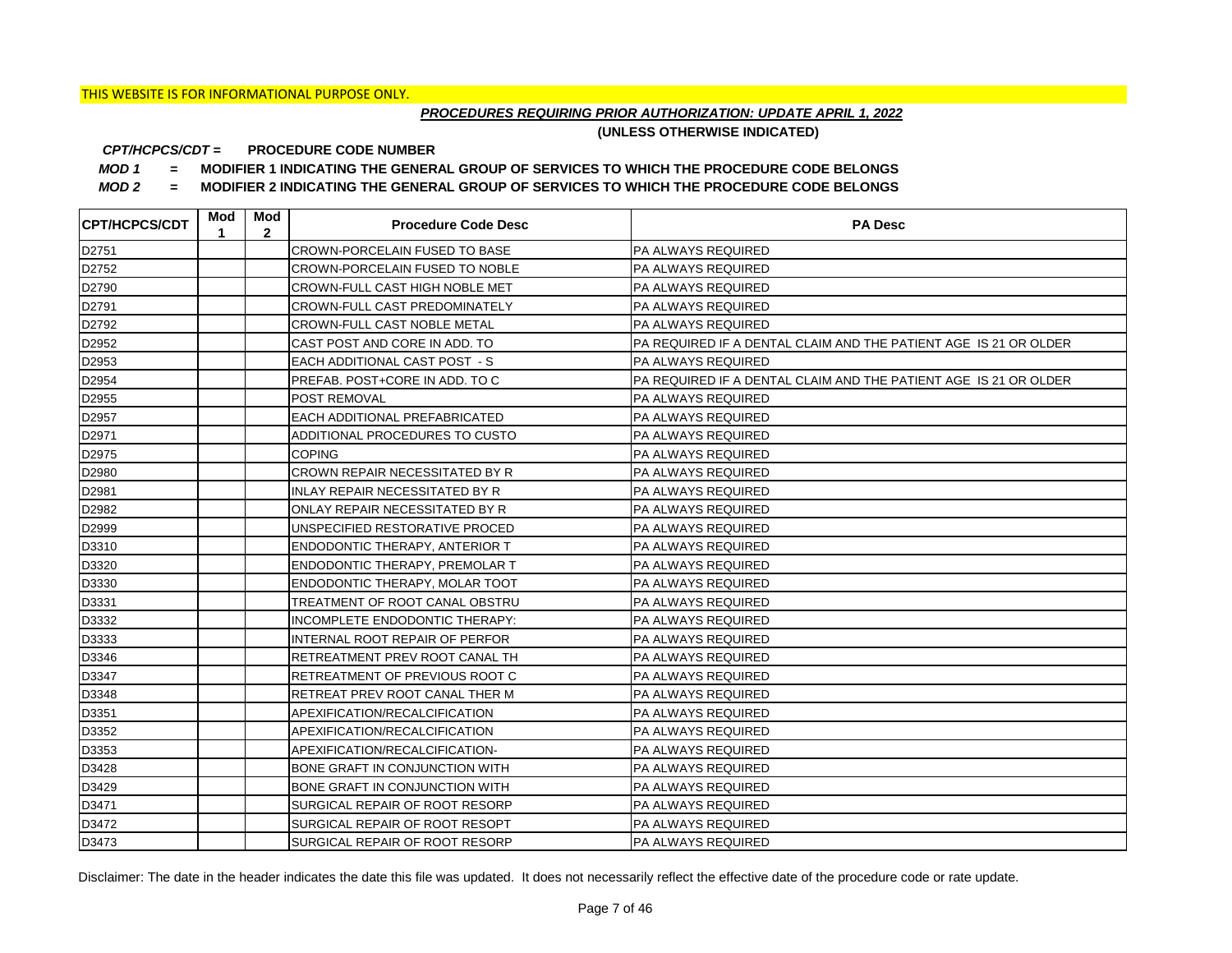## *PROCEDURES REQUIRING PRIOR AUTHORIZATION: UPDATE APRIL 1, 2022*

**(UNLESS OTHERWISE INDICATED)**

#### **PROCEDURE CODE NUMBER** *CPT/HCPCS/CDT =*

*MOD 1 =* **MODIFIER 1 INDICATING THE GENERAL GROUP OF SERVICES TO WHICH THE PROCEDURE CODE BELONGS**

*MOD 2 =* **MODIFIER 2 INDICATING THE GENERAL GROUP OF SERVICES TO WHICH THE PROCEDURE CODE BELONGS**

| <b>CPT/HCPCS/CDT</b> | Mod<br>1 | Mod<br>$\mathbf{2}$ | <b>Procedure Code Desc</b>            | <b>PA Desc</b>                                                   |
|----------------------|----------|---------------------|---------------------------------------|------------------------------------------------------------------|
| D2751                |          |                     | <b>CROWN-PORCELAIN FUSED TO BASE</b>  | <b>PA ALWAYS REQUIRED</b>                                        |
| D2752                |          |                     | <b>CROWN-PORCELAIN FUSED TO NOBLE</b> | <b>PA ALWAYS REQUIRED</b>                                        |
| D2790                |          |                     | <b>CROWN-FULL CAST HIGH NOBLE MET</b> | PA ALWAYS REQUIRED                                               |
| D2791                |          |                     | <b>CROWN-FULL CAST PREDOMINATELY</b>  | PA ALWAYS REQUIRED                                               |
| D2792                |          |                     | <b>CROWN-FULL CAST NOBLE METAL</b>    | PA ALWAYS REQUIRED                                               |
| D2952                |          |                     | CAST POST AND CORE IN ADD. TO         | PA REQUIRED IF A DENTAL CLAIM AND THE PATIENT AGE IS 21 OR OLDER |
| D2953                |          |                     | EACH ADDITIONAL CAST POST - S         | PA ALWAYS REQUIRED                                               |
| D2954                |          |                     | PREFAB. POST+CORE IN ADD. TO C        | PA REQUIRED IF A DENTAL CLAIM AND THE PATIENT AGE IS 21 OR OLDER |
| D2955                |          |                     | <b>POST REMOVAL</b>                   | PA ALWAYS REQUIRED                                               |
| D2957                |          |                     | EACH ADDITIONAL PREFABRICATED         | PA ALWAYS REQUIRED                                               |
| D2971                |          |                     | ADDITIONAL PROCEDURES TO CUSTO        | PA ALWAYS REQUIRED                                               |
| D2975                |          |                     | <b>COPING</b>                         | PA ALWAYS REQUIRED                                               |
| D2980                |          |                     | <b>CROWN REPAIR NECESSITATED BY R</b> | PA ALWAYS REQUIRED                                               |
| D2981                |          |                     | <b>INLAY REPAIR NECESSITATED BY R</b> | PA ALWAYS REQUIRED                                               |
| D2982                |          |                     | ONLAY REPAIR NECESSITATED BY R        | <b>PA ALWAYS REQUIRED</b>                                        |
| D2999                |          |                     | UNSPECIFIED RESTORATIVE PROCED        | <b>PA ALWAYS REQUIRED</b>                                        |
| D3310                |          |                     | <b>ENDODONTIC THERAPY, ANTERIOR T</b> | <b>PA ALWAYS REQUIRED</b>                                        |
| D3320                |          |                     | <b>ENDODONTIC THERAPY, PREMOLAR T</b> | PA ALWAYS REQUIRED                                               |
| D3330                |          |                     | <b>ENDODONTIC THERAPY, MOLAR TOOT</b> | PA ALWAYS REQUIRED                                               |
| D3331                |          |                     | TREATMENT OF ROOT CANAL OBSTRU        | <b>PA ALWAYS REQUIRED</b>                                        |
| D3332                |          |                     | INCOMPLETE ENDODONTIC THERAPY:        | <b>PA ALWAYS REQUIRED</b>                                        |
| D3333                |          |                     | INTERNAL ROOT REPAIR OF PERFOR        | PA ALWAYS REQUIRED                                               |
| D3346                |          |                     | RETREATMENT PREV ROOT CANAL TH        | <b>PA ALWAYS REQUIRED</b>                                        |
| D3347                |          |                     | <b>RETREATMENT OF PREVIOUS ROOT C</b> | PA ALWAYS REQUIRED                                               |
| D3348                |          |                     | RETREAT PREV ROOT CANAL THER M        | PA ALWAYS REQUIRED                                               |
| D3351                |          |                     | APEXIFICATION/RECALCIFICATION         | <b>PA ALWAYS REQUIRED</b>                                        |
| D3352                |          |                     | APEXIFICATION/RECALCIFICATION         | <b>PA ALWAYS REQUIRED</b>                                        |
| D3353                |          |                     | APEXIFICATION/RECALCIFICATION-        | PA ALWAYS REQUIRED                                               |
| D3428                |          |                     | BONE GRAFT IN CONJUNCTION WITH        | <b>PA ALWAYS REQUIRED</b>                                        |
| D3429                |          |                     | BONE GRAFT IN CONJUNCTION WITH        | <b>PA ALWAYS REQUIRED</b>                                        |
| D3471                |          |                     | SURGICAL REPAIR OF ROOT RESORP        | PA ALWAYS REQUIRED                                               |
| D3472                |          |                     | SURGICAL REPAIR OF ROOT RESOPT        | <b>PA ALWAYS REQUIRED</b>                                        |
| D3473                |          |                     | SURGICAL REPAIR OF ROOT RESORP        | <b>PA ALWAYS REQUIRED</b>                                        |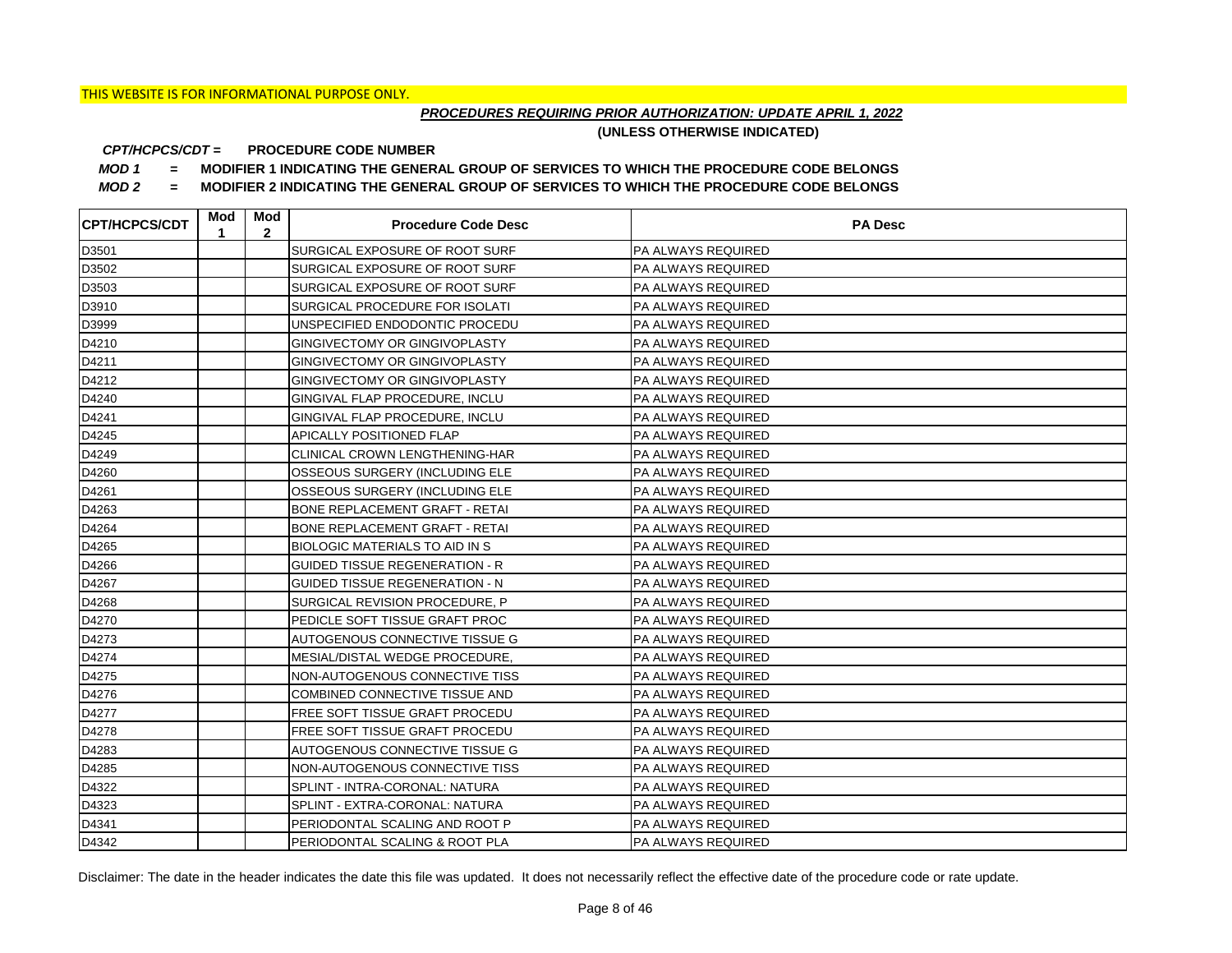## *PROCEDURES REQUIRING PRIOR AUTHORIZATION: UPDATE APRIL 1, 2022*

**(UNLESS OTHERWISE INDICATED)**

#### **PROCEDURE CODE NUMBER** *CPT/HCPCS/CDT =*

*MOD 1 =* **MODIFIER 1 INDICATING THE GENERAL GROUP OF SERVICES TO WHICH THE PROCEDURE CODE BELONGS**

*MOD 2 =* **MODIFIER 2 INDICATING THE GENERAL GROUP OF SERVICES TO WHICH THE PROCEDURE CODE BELONGS**

| <b>CPT/HCPCS/CDT</b> | Mod<br>1 | Mod<br>$\mathbf{2}$ | <b>Procedure Code Desc</b>            | <b>PA Desc</b>            |
|----------------------|----------|---------------------|---------------------------------------|---------------------------|
| D3501                |          |                     | SURGICAL EXPOSURE OF ROOT SURF        | <b>PA ALWAYS REQUIRED</b> |
| D3502                |          |                     | SURGICAL EXPOSURE OF ROOT SURF        | <b>PA ALWAYS REQUIRED</b> |
| D3503                |          |                     | SURGICAL EXPOSURE OF ROOT SURF        | <b>PA ALWAYS REQUIRED</b> |
| D3910                |          |                     | SURGICAL PROCEDURE FOR ISOLATI        | <b>PA ALWAYS REQUIRED</b> |
| D3999                |          |                     | UNSPECIFIED ENDODONTIC PROCEDU        | PA ALWAYS REQUIRED        |
| D4210                |          |                     | GINGIVECTOMY OR GINGIVOPLASTY         | PA ALWAYS REQUIRED        |
| D4211                |          |                     | GINGIVECTOMY OR GINGIVOPLASTY         | <b>PA ALWAYS REQUIRED</b> |
| D4212                |          |                     | GINGIVECTOMY OR GINGIVOPLASTY         | PA ALWAYS REQUIRED        |
| D4240                |          |                     | GINGIVAL FLAP PROCEDURE, INCLU        | <b>PA ALWAYS REQUIRED</b> |
| D4241                |          |                     | GINGIVAL FLAP PROCEDURE, INCLU        | PA ALWAYS REQUIRED        |
| D4245                |          |                     | APICALLY POSITIONED FLAP              | <b>PA ALWAYS REQUIRED</b> |
| D4249                |          |                     | CLINICAL CROWN LENGTHENING-HAR        | <b>PA ALWAYS REQUIRED</b> |
| D4260                |          |                     | OSSEOUS SURGERY (INCLUDING ELE        | <b>PA ALWAYS REQUIRED</b> |
| D4261                |          |                     | OSSEOUS SURGERY (INCLUDING ELE        | <b>PA ALWAYS REQUIRED</b> |
| D4263                |          |                     | BONE REPLACEMENT GRAFT - RETAI        | PA ALWAYS REQUIRED        |
| D4264                |          |                     | BONE REPLACEMENT GRAFT - RETAI        | PA ALWAYS REQUIRED        |
| D4265                |          |                     | BIOLOGIC MATERIALS TO AID IN S        | <b>PA ALWAYS REQUIRED</b> |
| D4266                |          |                     | <b>GUIDED TISSUE REGENERATION - R</b> | PA ALWAYS REQUIRED        |
| D4267                |          |                     | <b>GUIDED TISSUE REGENERATION - N</b> | PA ALWAYS REQUIRED        |
| D4268                |          |                     | SURGICAL REVISION PROCEDURE, P        | PA ALWAYS REQUIRED        |
| D4270                |          |                     | PEDICLE SOFT TISSUE GRAFT PROC        | PA ALWAYS REQUIRED        |
| D4273                |          |                     | AUTOGENOUS CONNECTIVE TISSUE G        | PA ALWAYS REQUIRED        |
| D4274                |          |                     | MESIAL/DISTAL WEDGE PROCEDURE,        | PA ALWAYS REQUIRED        |
| D4275                |          |                     | NON-AUTOGENOUS CONNECTIVE TISS        | PA ALWAYS REQUIRED        |
| D4276                |          |                     | COMBINED CONNECTIVE TISSUE AND        | PA ALWAYS REQUIRED        |
| D4277                |          |                     | FREE SOFT TISSUE GRAFT PROCEDU        | PA ALWAYS REQUIRED        |
| D4278                |          |                     | FREE SOFT TISSUE GRAFT PROCEDU        | PA ALWAYS REQUIRED        |
| D4283                |          |                     | AUTOGENOUS CONNECTIVE TISSUE G        | PA ALWAYS REQUIRED        |
| D4285                |          |                     | NON-AUTOGENOUS CONNECTIVE TISS        | PA ALWAYS REQUIRED        |
| D4322                |          |                     | SPLINT - INTRA-CORONAL: NATURA        | PA ALWAYS REQUIRED        |
| D4323                |          |                     | SPLINT - EXTRA-CORONAL: NATURA        | PA ALWAYS REQUIRED        |
| D4341                |          |                     | PERIODONTAL SCALING AND ROOT P        | PA ALWAYS REQUIRED        |
| D4342                |          |                     | PERIODONTAL SCALING & ROOT PLA        | <b>PA ALWAYS REQUIRED</b> |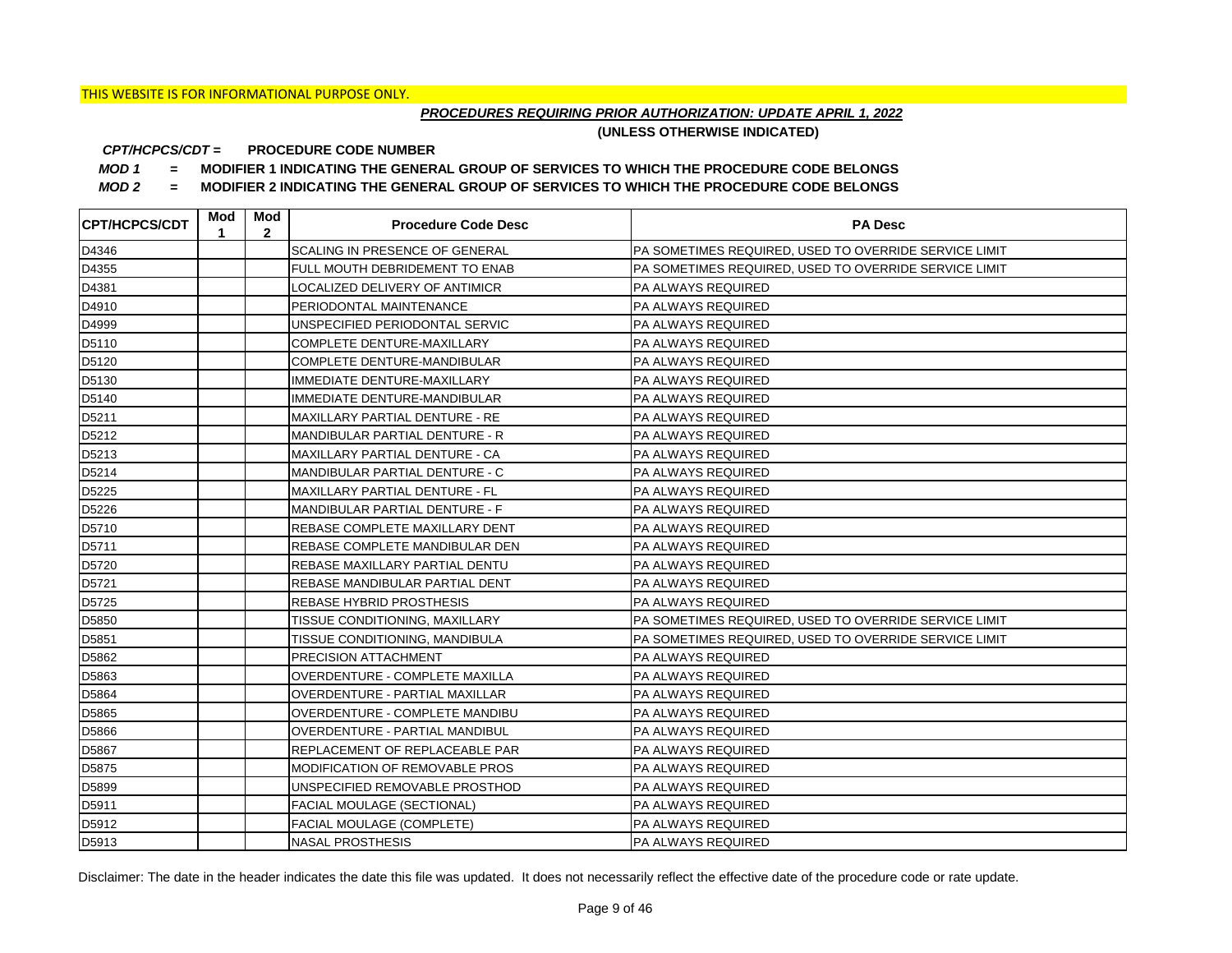## *PROCEDURES REQUIRING PRIOR AUTHORIZATION: UPDATE APRIL 1, 2022*

**(UNLESS OTHERWISE INDICATED)**

#### **PROCEDURE CODE NUMBER** *CPT/HCPCS/CDT =*

*MOD 1 =* **MODIFIER 1 INDICATING THE GENERAL GROUP OF SERVICES TO WHICH THE PROCEDURE CODE BELONGS**

*MOD 2 =* **MODIFIER 2 INDICATING THE GENERAL GROUP OF SERVICES TO WHICH THE PROCEDURE CODE BELONGS**

| <b>CPT/HCPCS/CDT</b> | Mod<br>1 | Mod<br>$\overline{2}$ | <b>Procedure Code Desc</b>            | <b>PA Desc</b>                                        |
|----------------------|----------|-----------------------|---------------------------------------|-------------------------------------------------------|
| D4346                |          |                       | SCALING IN PRESENCE OF GENERAL        | PA SOMETIMES REQUIRED, USED TO OVERRIDE SERVICE LIMIT |
| D4355                |          |                       | FULL MOUTH DEBRIDEMENT TO ENAB        | PA SOMETIMES REQUIRED, USED TO OVERRIDE SERVICE LIMIT |
| D4381                |          |                       | LOCALIZED DELIVERY OF ANTIMICR        | PA ALWAYS REQUIRED                                    |
| D4910                |          |                       | PERIODONTAL MAINTENANCE               | PA ALWAYS REQUIRED                                    |
| D4999                |          |                       | UNSPECIFIED PERIODONTAL SERVIC        | <b>PA ALWAYS REQUIRED</b>                             |
| D5110                |          |                       | COMPLETE DENTURE-MAXILLARY            | PA ALWAYS REQUIRED                                    |
| D5120                |          |                       | COMPLETE DENTURE-MANDIBULAR           | PA ALWAYS REQUIRED                                    |
| D5130                |          |                       | IMMEDIATE DENTURE-MAXILLARY           | PA ALWAYS REQUIRED                                    |
| D5140                |          |                       | IMMEDIATE DENTURE-MANDIBULAR          | PA ALWAYS REQUIRED                                    |
| D5211                |          |                       | MAXILLARY PARTIAL DENTURE - RE        | PA ALWAYS REQUIRED                                    |
| D5212                |          |                       | MANDIBULAR PARTIAL DENTURE - R        | <b>PA ALWAYS REQUIRED</b>                             |
| D5213                |          |                       | <b>MAXILLARY PARTIAL DENTURE - CA</b> | PA ALWAYS REQUIRED                                    |
| D5214                |          |                       | MANDIBULAR PARTIAL DENTURE - C        | <b>PA ALWAYS REQUIRED</b>                             |
| D5225                |          |                       | IMAXILLARY PARTIAL DENTURE - FL       | <b>PA ALWAYS REQUIRED</b>                             |
| D5226                |          |                       | MANDIBULAR PARTIAL DENTURE - F        | PA ALWAYS REQUIRED                                    |
| D5710                |          |                       | REBASE COMPLETE MAXILLARY DENT        | <b>PA ALWAYS REQUIRED</b>                             |
| D5711                |          |                       | REBASE COMPLETE MANDIBULAR DEN        | <b>PA ALWAYS REQUIRED</b>                             |
| D5720                |          |                       | REBASE MAXILLARY PARTIAL DENTU        | PA ALWAYS REQUIRED                                    |
| D5721                |          |                       | REBASE MANDIBULAR PARTIAL DENT        | <b>PA ALWAYS REQUIRED</b>                             |
| D5725                |          |                       | <b>REBASE HYBRID PROSTHESIS</b>       | <b>PA ALWAYS REQUIRED</b>                             |
| D5850                |          |                       | TISSUE CONDITIONING, MAXILLARY        | PA SOMETIMES REQUIRED, USED TO OVERRIDE SERVICE LIMIT |
| D5851                |          |                       | TISSUE CONDITIONING, MANDIBULA        | PA SOMETIMES REQUIRED, USED TO OVERRIDE SERVICE LIMIT |
| D5862                |          |                       | <b>PRECISION ATTACHMENT</b>           | PA ALWAYS REQUIRED                                    |
| D5863                |          |                       | OVERDENTURE - COMPLETE MAXILLA        | PA ALWAYS REQUIRED                                    |
| D5864                |          |                       | OVERDENTURE - PARTIAL MAXILLAR        | PA ALWAYS REQUIRED                                    |
| D5865                |          |                       | OVERDENTURE - COMPLETE MANDIBU        | PA ALWAYS REQUIRED                                    |
| D5866                |          |                       | OVERDENTURE - PARTIAL MANDIBUL        | PA ALWAYS REQUIRED                                    |
| D5867                |          |                       | REPLACEMENT OF REPLACEABLE PAR        | PA ALWAYS REQUIRED                                    |
| D5875                |          |                       | MODIFICATION OF REMOVABLE PROS        | PA ALWAYS REQUIRED                                    |
| D5899                |          |                       | UNSPECIFIED REMOVABLE PROSTHOD        | PA ALWAYS REQUIRED                                    |
| D5911                |          |                       | <b>FACIAL MOULAGE (SECTIONAL)</b>     | <b>PA ALWAYS REQUIRED</b>                             |
| D5912                |          |                       | <b>FACIAL MOULAGE (COMPLETE)</b>      | <b>PA ALWAYS REQUIRED</b>                             |
| D5913                |          |                       | <b>NASAL PROSTHESIS</b>               | <b>PA ALWAYS REQUIRED</b>                             |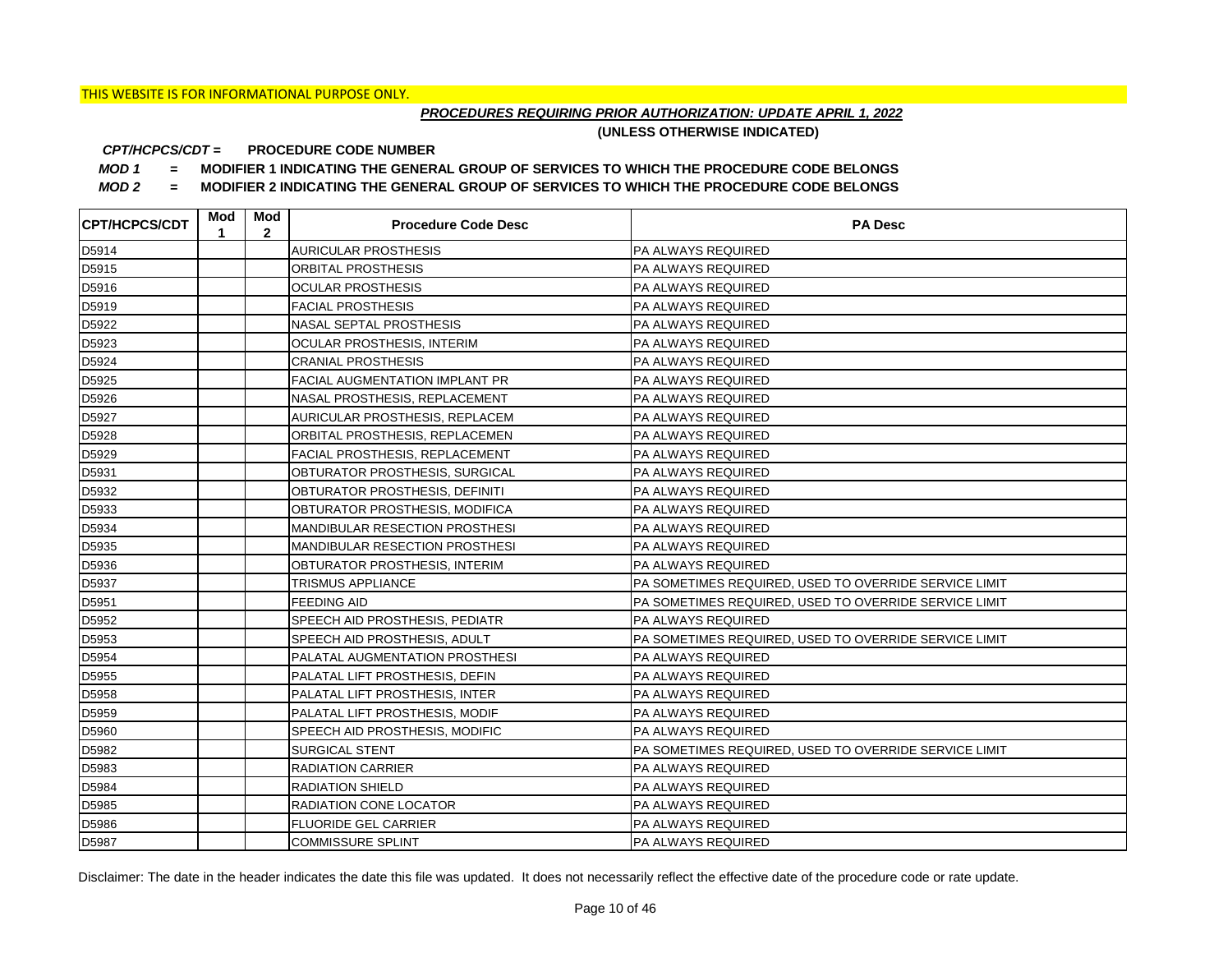## *PROCEDURES REQUIRING PRIOR AUTHORIZATION: UPDATE APRIL 1, 2022*

**(UNLESS OTHERWISE INDICATED)**

#### **PROCEDURE CODE NUMBER** *CPT/HCPCS/CDT =*

*MOD 1 =* **MODIFIER 1 INDICATING THE GENERAL GROUP OF SERVICES TO WHICH THE PROCEDURE CODE BELONGS**

*MOD 2 =* **MODIFIER 2 INDICATING THE GENERAL GROUP OF SERVICES TO WHICH THE PROCEDURE CODE BELONGS**

| <b>CPT/HCPCS/CDT</b> | Mod<br>1 | Mod<br>$\mathbf{2}$ | <b>Procedure Code Desc</b>            | <b>PA Desc</b>                                        |
|----------------------|----------|---------------------|---------------------------------------|-------------------------------------------------------|
| D5914                |          |                     | <b>AURICULAR PROSTHESIS</b>           | PA ALWAYS REQUIRED                                    |
| D5915                |          |                     | ORBITAL PROSTHESIS                    | PA ALWAYS REQUIRED                                    |
| D5916                |          |                     | <b>OCULAR PROSTHESIS</b>              | PA ALWAYS REQUIRED                                    |
| D5919                |          |                     | <b>FACIAL PROSTHESIS</b>              | PA ALWAYS REQUIRED                                    |
| D5922                |          |                     | <b>NASAL SEPTAL PROSTHESIS</b>        | PA ALWAYS REQUIRED                                    |
| D5923                |          |                     | OCULAR PROSTHESIS, INTERIM            | PA ALWAYS REQUIRED                                    |
| D5924                |          |                     | <b>CRANIAL PROSTHESIS</b>             | PA ALWAYS REQUIRED                                    |
| D5925                |          |                     | <b>FACIAL AUGMENTATION IMPLANT PR</b> | PA ALWAYS REQUIRED                                    |
| D5926                |          |                     | NASAL PROSTHESIS, REPLACEMENT         | PA ALWAYS REQUIRED                                    |
| D5927                |          |                     | AURICULAR PROSTHESIS, REPLACEM        | PA ALWAYS REQUIRED                                    |
| D5928                |          |                     | ORBITAL PROSTHESIS, REPLACEMEN        | PA ALWAYS REQUIRED                                    |
| D5929                |          |                     | FACIAL PROSTHESIS, REPLACEMENT        | PA ALWAYS REQUIRED                                    |
| D5931                |          |                     | OBTURATOR PROSTHESIS, SURGICAL        | <b>PA ALWAYS REQUIRED</b>                             |
| D5932                |          |                     | OBTURATOR PROSTHESIS, DEFINITI        | PA ALWAYS REQUIRED                                    |
| D5933                |          |                     | OBTURATOR PROSTHESIS, MODIFICA        | PA ALWAYS REQUIRED                                    |
| D5934                |          |                     | <b>MANDIBULAR RESECTION PROSTHESI</b> | PA ALWAYS REQUIRED                                    |
| D5935                |          |                     | <b>MANDIBULAR RESECTION PROSTHESI</b> | PA ALWAYS REQUIRED                                    |
| D5936                |          |                     | OBTURATOR PROSTHESIS, INTERIM         | <b>PA ALWAYS REQUIRED</b>                             |
| D5937                |          |                     | TRISMUS APPLIANCE                     | PA SOMETIMES REQUIRED, USED TO OVERRIDE SERVICE LIMIT |
| D5951                |          |                     | <b>FEEDING AID</b>                    | PA SOMETIMES REQUIRED, USED TO OVERRIDE SERVICE LIMIT |
| D5952                |          |                     | SPEECH AID PROSTHESIS, PEDIATR        | <b>PA ALWAYS REQUIRED</b>                             |
| D5953                |          |                     | SPEECH AID PROSTHESIS, ADULT          | PA SOMETIMES REQUIRED, USED TO OVERRIDE SERVICE LIMIT |
| D5954                |          |                     | <b>PALATAL AUGMENTATION PROSTHESI</b> | PA ALWAYS REQUIRED                                    |
| D5955                |          |                     | PALATAL LIFT PROSTHESIS, DEFIN        | PA ALWAYS REQUIRED                                    |
| D5958                |          |                     | PALATAL LIFT PROSTHESIS, INTER        | PA ALWAYS REQUIRED                                    |
| D5959                |          |                     | PALATAL LIFT PROSTHESIS, MODIF        | <b>PA ALWAYS REQUIRED</b>                             |
| D5960                |          |                     | SPEECH AID PROSTHESIS, MODIFIC        | PA ALWAYS REQUIRED                                    |
| D5982                |          |                     | SURGICAL STENT                        | PA SOMETIMES REQUIRED, USED TO OVERRIDE SERVICE LIMIT |
| D5983                |          |                     | <b>RADIATION CARRIER</b>              | <b>PA ALWAYS REQUIRED</b>                             |
| D5984                |          |                     | <b>RADIATION SHIELD</b>               | PA ALWAYS REQUIRED                                    |
| D5985                |          |                     | RADIATION CONE LOCATOR                | PA ALWAYS REQUIRED                                    |
| D5986                |          |                     | <b>FLUORIDE GEL CARRIER</b>           | PA ALWAYS REQUIRED                                    |
| D5987                |          |                     | <b>COMMISSURE SPLINT</b>              | <b>PA ALWAYS REQUIRED</b>                             |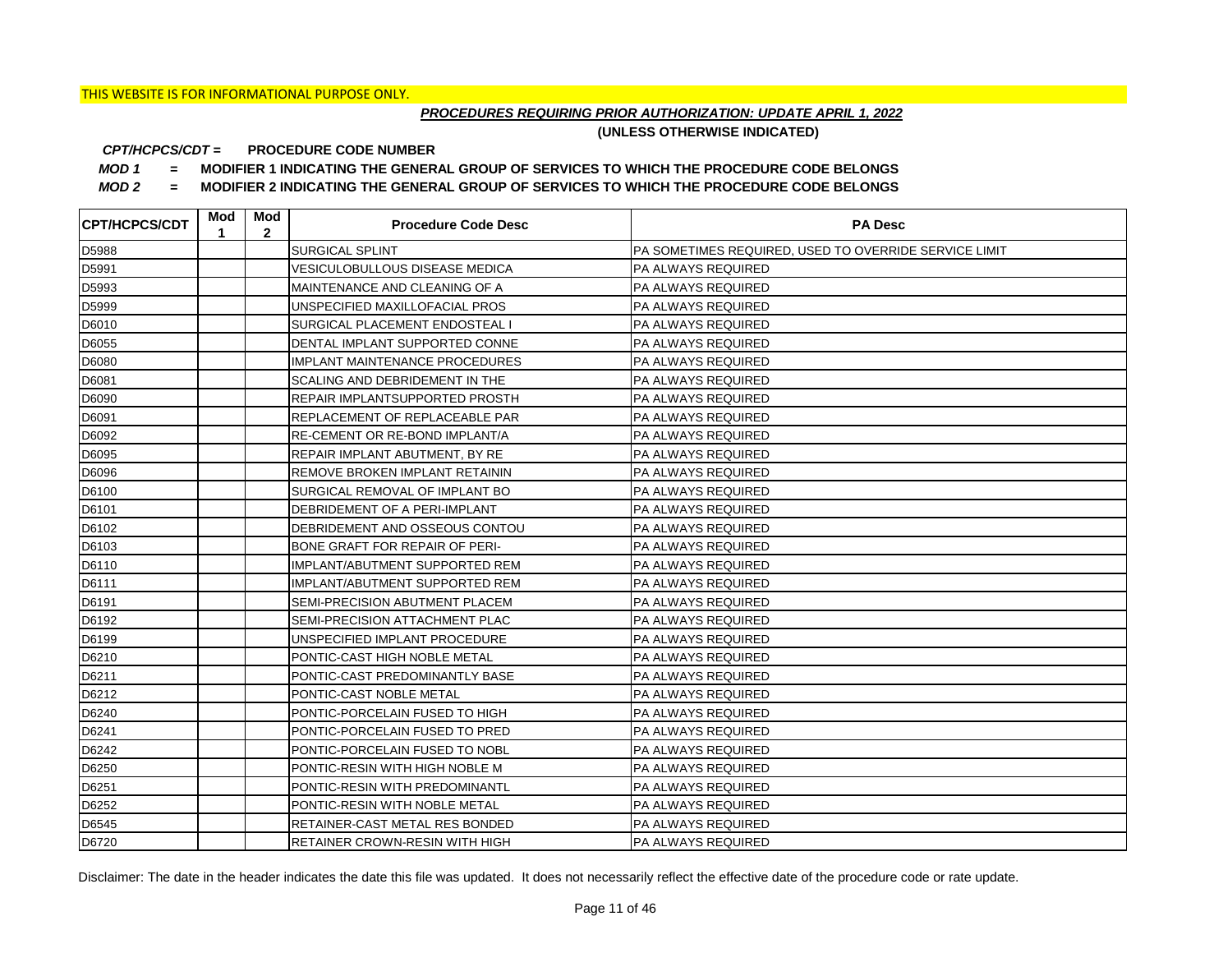## *PROCEDURES REQUIRING PRIOR AUTHORIZATION: UPDATE APRIL 1, 2022*

**(UNLESS OTHERWISE INDICATED)**

#### **PROCEDURE CODE NUMBER** *CPT/HCPCS/CDT =*

*MOD 1 =* **MODIFIER 1 INDICATING THE GENERAL GROUP OF SERVICES TO WHICH THE PROCEDURE CODE BELONGS**

*MOD 2 =* **MODIFIER 2 INDICATING THE GENERAL GROUP OF SERVICES TO WHICH THE PROCEDURE CODE BELONGS**

| <b>CPT/HCPCS/CDT</b> | Mod<br>1 | Mod<br>$\mathbf{2}$ | <b>Procedure Code Desc</b>            | <b>PA Desc</b>                                        |
|----------------------|----------|---------------------|---------------------------------------|-------------------------------------------------------|
| D5988                |          |                     | <b>SURGICAL SPLINT</b>                | PA SOMETIMES REQUIRED, USED TO OVERRIDE SERVICE LIMIT |
| D5991                |          |                     | <b>VESICULOBULLOUS DISEASE MEDICA</b> | <b>PA ALWAYS REQUIRED</b>                             |
| D5993                |          |                     | MAINTENANCE AND CLEANING OF A         | <b>PA ALWAYS REQUIRED</b>                             |
| D5999                |          |                     | UNSPECIFIED MAXILLOFACIAL PROS        | <b>PA ALWAYS REQUIRED</b>                             |
| D6010                |          |                     | SURGICAL PLACEMENT ENDOSTEAL I        | PA ALWAYS REQUIRED                                    |
| D6055                |          |                     | DENTAL IMPLANT SUPPORTED CONNE        | PA ALWAYS REQUIRED                                    |
| D6080                |          |                     | <b>IMPLANT MAINTENANCE PROCEDURES</b> | <b>PA ALWAYS REQUIRED</b>                             |
| D6081                |          |                     | SCALING AND DEBRIDEMENT IN THE        | PA ALWAYS REQUIRED                                    |
| D6090                |          |                     | REPAIR IMPLANTSUPPORTED PROSTH        | <b>PA ALWAYS REQUIRED</b>                             |
| D6091                |          |                     | REPLACEMENT OF REPLACEABLE PAR        | <b>PA ALWAYS REQUIRED</b>                             |
| D6092                |          |                     | RE-CEMENT OR RE-BOND IMPLANT/A        | PA ALWAYS REQUIRED                                    |
| D6095                |          |                     | REPAIR IMPLANT ABUTMENT, BY RE        | <b>PA ALWAYS REQUIRED</b>                             |
| D6096                |          |                     | REMOVE BROKEN IMPLANT RETAININ        | <b>PA ALWAYS REQUIRED</b>                             |
| D6100                |          |                     | SURGICAL REMOVAL OF IMPLANT BO        | <b>PA ALWAYS REQUIRED</b>                             |
| D6101                |          |                     | DEBRIDEMENT OF A PERI-IMPLANT         | PA ALWAYS REQUIRED                                    |
| D6102                |          |                     | DEBRIDEMENT AND OSSEOUS CONTOU        | PA ALWAYS REQUIRED                                    |
| D6103                |          |                     | BONE GRAFT FOR REPAIR OF PERI-        | PA ALWAYS REQUIRED                                    |
| D6110                |          |                     | IMPLANT/ABUTMENT SUPPORTED REM        | PA ALWAYS REQUIRED                                    |
| D6111                |          |                     | IMPLANT/ABUTMENT SUPPORTED REM        | PA ALWAYS REQUIRED                                    |
| D6191                |          |                     | SEMI-PRECISION ABUTMENT PLACEM        | PA ALWAYS REQUIRED                                    |
| D6192                |          |                     | SEMI-PRECISION ATTACHMENT PLAC        | PA ALWAYS REQUIRED                                    |
| D6199                |          |                     | UNSPECIFIED IMPLANT PROCEDURE         | PA ALWAYS REQUIRED                                    |
| D6210                |          |                     | PONTIC-CAST HIGH NOBLE METAL          | PA ALWAYS REQUIRED                                    |
| D6211                |          |                     | PONTIC-CAST PREDOMINANTLY BASE        | PA ALWAYS REQUIRED                                    |
| D6212                |          |                     | PONTIC-CAST NOBLE METAL               | <b>PA ALWAYS REQUIRED</b>                             |
| D6240                |          |                     | PONTIC-PORCELAIN FUSED TO HIGH        | PA ALWAYS REQUIRED                                    |
| D6241                |          |                     | PONTIC-PORCELAIN FUSED TO PRED        | PA ALWAYS REQUIRED                                    |
| D6242                |          |                     | PONTIC-PORCELAIN FUSED TO NOBL        | PA ALWAYS REQUIRED                                    |
| D6250                |          |                     | PONTIC-RESIN WITH HIGH NOBLE M        | PA ALWAYS REQUIRED                                    |
| D6251                |          |                     | PONTIC-RESIN WITH PREDOMINANTL        | PA ALWAYS REQUIRED                                    |
| D6252                |          |                     | PONTIC-RESIN WITH NOBLE METAL         | PA ALWAYS REQUIRED                                    |
| D6545                |          |                     | RETAINER-CAST METAL RES BONDED        | <b>PA ALWAYS REQUIRED</b>                             |
| D6720                |          |                     | RETAINER CROWN-RESIN WITH HIGH        | <b>PA ALWAYS REQUIRED</b>                             |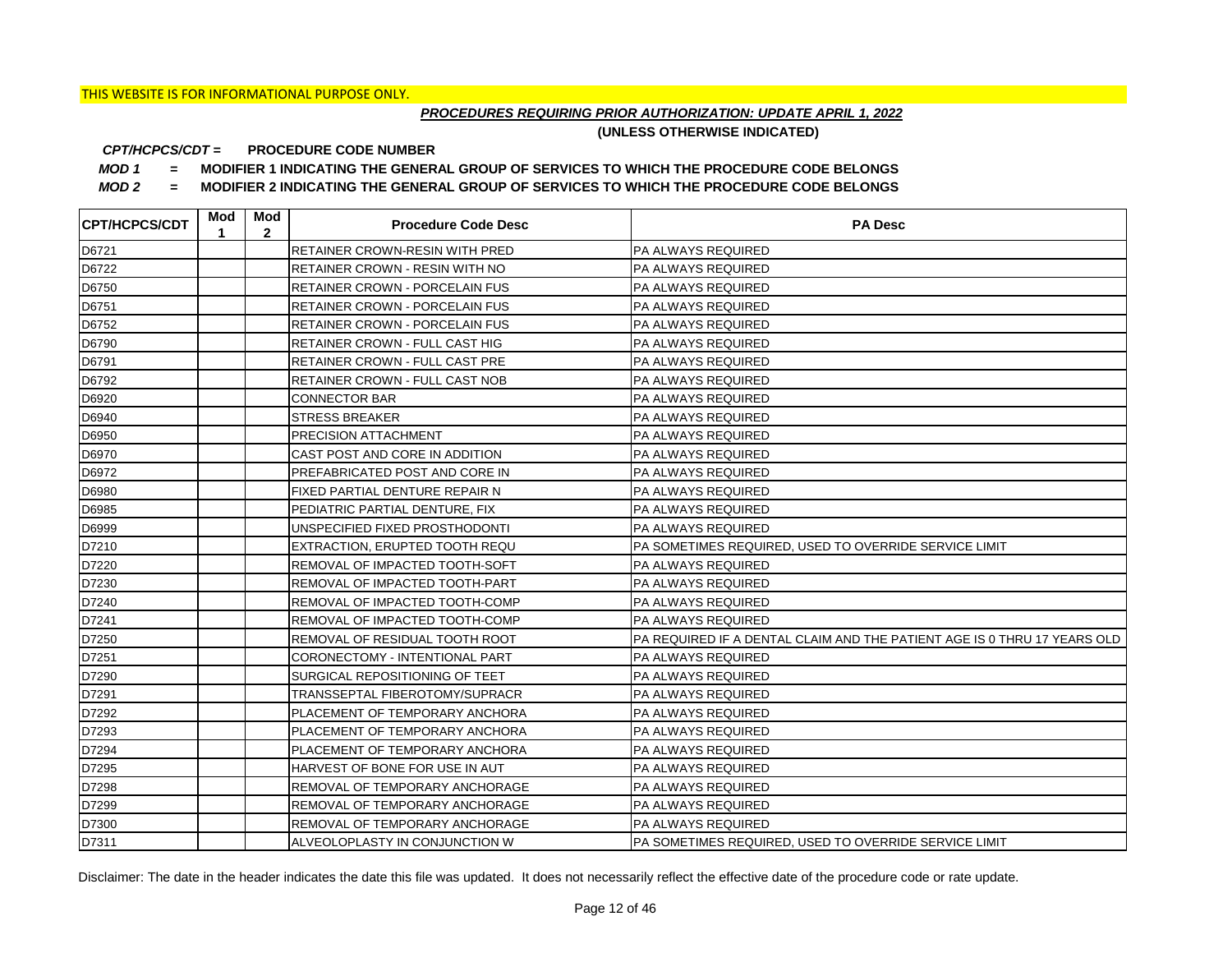## *PROCEDURES REQUIRING PRIOR AUTHORIZATION: UPDATE APRIL 1, 2022*

**(UNLESS OTHERWISE INDICATED)**

#### **PROCEDURE CODE NUMBER** *CPT/HCPCS/CDT =*

*MOD 1 =* **MODIFIER 1 INDICATING THE GENERAL GROUP OF SERVICES TO WHICH THE PROCEDURE CODE BELONGS**

*MOD 2 =* **MODIFIER 2 INDICATING THE GENERAL GROUP OF SERVICES TO WHICH THE PROCEDURE CODE BELONGS**

| <b>CPT/HCPCS/CDT</b> | Mod<br>1 | Mod<br>$\mathbf{2}$ | <b>Procedure Code Desc</b>     | <b>PA Desc</b>                                                           |
|----------------------|----------|---------------------|--------------------------------|--------------------------------------------------------------------------|
| D6721                |          |                     | RETAINER CROWN-RESIN WITH PRED | PA ALWAYS REQUIRED                                                       |
| D6722                |          |                     | RETAINER CROWN - RESIN WITH NO | <b>PA ALWAYS REQUIRED</b>                                                |
| D6750                |          |                     | RETAINER CROWN - PORCELAIN FUS | <b>PA ALWAYS REQUIRED</b>                                                |
| D6751                |          |                     | RETAINER CROWN - PORCELAIN FUS | PA ALWAYS REQUIRED                                                       |
| D6752                |          |                     | RETAINER CROWN - PORCELAIN FUS | PA ALWAYS REQUIRED                                                       |
| D6790                |          |                     | RETAINER CROWN - FULL CAST HIG | PA ALWAYS REQUIRED                                                       |
| D6791                |          |                     | RETAINER CROWN - FULL CAST PRE | PA ALWAYS REQUIRED                                                       |
| D6792                |          |                     | RETAINER CROWN - FULL CAST NOB | <b>PA ALWAYS REQUIRED</b>                                                |
| D6920                |          |                     | <b>CONNECTOR BAR</b>           | PA ALWAYS REQUIRED                                                       |
| D6940                |          |                     | <b>STRESS BREAKER</b>          | <b>PA ALWAYS REQUIRED</b>                                                |
| D6950                |          |                     | PRECISION ATTACHMENT           | PA ALWAYS REQUIRED                                                       |
| D6970                |          |                     | CAST POST AND CORE IN ADDITION | PA ALWAYS REQUIRED                                                       |
| D6972                |          |                     | PREFABRICATED POST AND CORE IN | <b>PA ALWAYS REQUIRED</b>                                                |
| D6980                |          |                     | FIXED PARTIAL DENTURE REPAIR N | <b>PA ALWAYS REQUIRED</b>                                                |
| D6985                |          |                     | PEDIATRIC PARTIAL DENTURE, FIX | <b>PA ALWAYS REQUIRED</b>                                                |
| D6999                |          |                     | UNSPECIFIED FIXED PROSTHODONTI | <b>PA ALWAYS REQUIRED</b>                                                |
| D7210                |          |                     | EXTRACTION, ERUPTED TOOTH REQU | PA SOMETIMES REQUIRED, USED TO OVERRIDE SERVICE LIMIT                    |
| D7220                |          |                     | REMOVAL OF IMPACTED TOOTH-SOFT | <b>PA ALWAYS REQUIRED</b>                                                |
| D7230                |          |                     | REMOVAL OF IMPACTED TOOTH-PART | <b>PA ALWAYS REQUIRED</b>                                                |
| D7240                |          |                     | REMOVAL OF IMPACTED TOOTH-COMP | <b>PA ALWAYS REQUIRED</b>                                                |
| D7241                |          |                     | REMOVAL OF IMPACTED TOOTH-COMP | <b>PA ALWAYS REQUIRED</b>                                                |
| D7250                |          |                     | REMOVAL OF RESIDUAL TOOTH ROOT | PA REQUIRED IF A DENTAL CLAIM AND THE PATIENT AGE IS 0 THRU 17 YEARS OLD |
| D7251                |          |                     | CORONECTOMY - INTENTIONAL PART | <b>PA ALWAYS REQUIRED</b>                                                |
| D7290                |          |                     | SURGICAL REPOSITIONING OF TEET | <b>PA ALWAYS REQUIRED</b>                                                |
| D7291                |          |                     | TRANSSEPTAL FIBEROTOMY/SUPRACR | <b>PA ALWAYS REQUIRED</b>                                                |
| D7292                |          |                     | PLACEMENT OF TEMPORARY ANCHORA | <b>PA ALWAYS REQUIRED</b>                                                |
| D7293                |          |                     | PLACEMENT OF TEMPORARY ANCHORA | <b>PA ALWAYS REQUIRED</b>                                                |
| D7294                |          |                     | PLACEMENT OF TEMPORARY ANCHORA | <b>PA ALWAYS REQUIRED</b>                                                |
| D7295                |          |                     | HARVEST OF BONE FOR USE IN AUT | <b>PA ALWAYS REQUIRED</b>                                                |
| D7298                |          |                     | REMOVAL OF TEMPORARY ANCHORAGE | <b>PA ALWAYS REQUIRED</b>                                                |
| D7299                |          |                     | REMOVAL OF TEMPORARY ANCHORAGE | PA ALWAYS REQUIRED                                                       |
| D7300                |          |                     | REMOVAL OF TEMPORARY ANCHORAGE | <b>PA ALWAYS REQUIRED</b>                                                |
| D7311                |          |                     | ALVEOLOPLASTY IN CONJUNCTION W | PA SOMETIMES REQUIRED, USED TO OVERRIDE SERVICE LIMIT                    |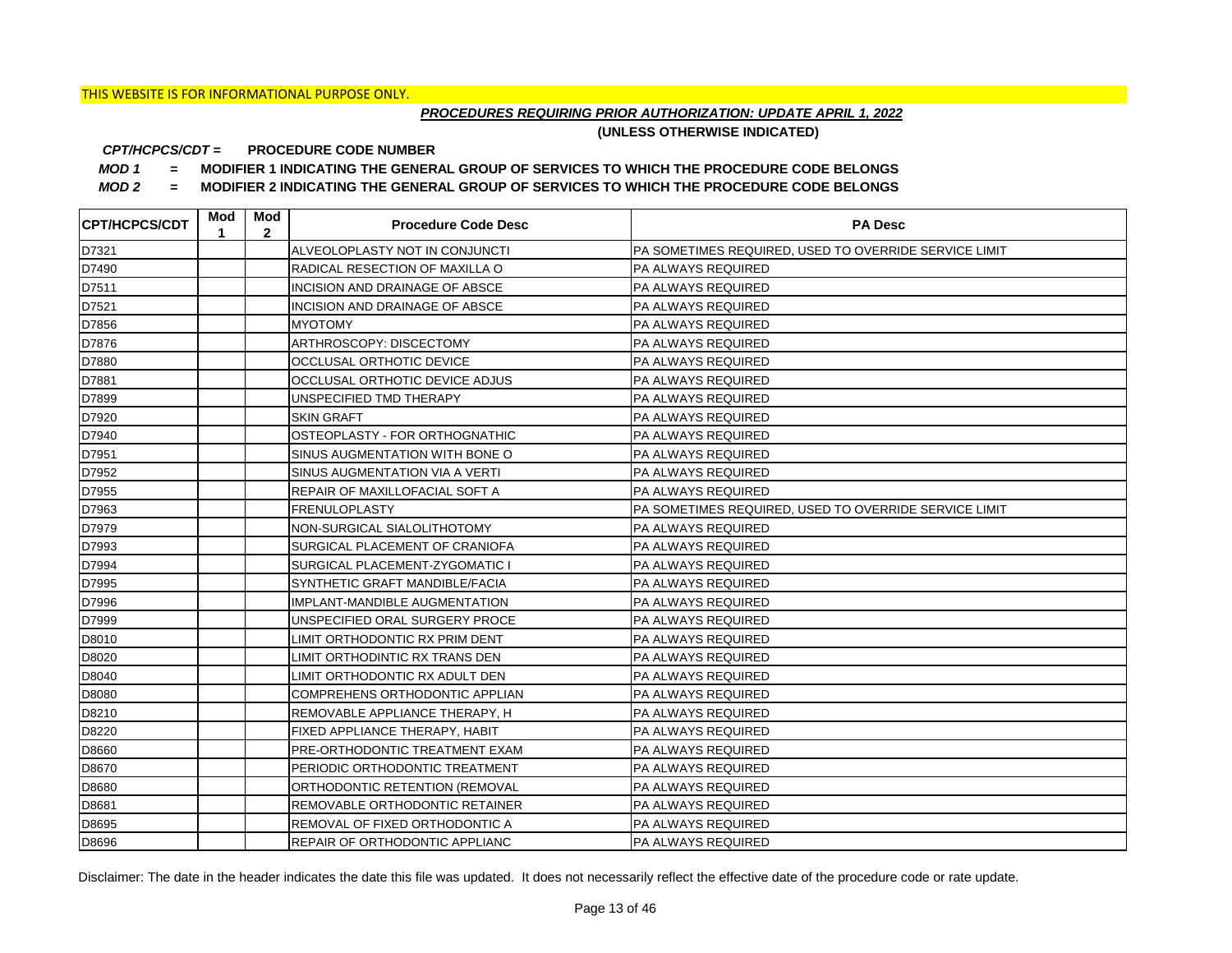## *PROCEDURES REQUIRING PRIOR AUTHORIZATION: UPDATE APRIL 1, 2022*

**(UNLESS OTHERWISE INDICATED)**

#### **PROCEDURE CODE NUMBER** *CPT/HCPCS/CDT =*

*MOD 1 =* **MODIFIER 1 INDICATING THE GENERAL GROUP OF SERVICES TO WHICH THE PROCEDURE CODE BELONGS**

*MOD 2 =* **MODIFIER 2 INDICATING THE GENERAL GROUP OF SERVICES TO WHICH THE PROCEDURE CODE BELONGS**

| <b>CPT/HCPCS/CDT</b> | Mod<br>1 | Mod<br>$\overline{2}$ | <b>Procedure Code Desc</b>            | <b>PA Desc</b>                                        |
|----------------------|----------|-----------------------|---------------------------------------|-------------------------------------------------------|
| D7321                |          |                       | ALVEOLOPLASTY NOT IN CONJUNCTI        | PA SOMETIMES REQUIRED, USED TO OVERRIDE SERVICE LIMIT |
| D7490                |          |                       | RADICAL RESECTION OF MAXILLA O        | PA ALWAYS REQUIRED                                    |
| D7511                |          |                       | INCISION AND DRAINAGE OF ABSCE        | PA ALWAYS REQUIRED                                    |
| D7521                |          |                       | INCISION AND DRAINAGE OF ABSCE        | PA ALWAYS REQUIRED                                    |
| D7856                |          |                       | <b>MYOTOMY</b>                        | PA ALWAYS REQUIRED                                    |
| D7876                |          |                       | ARTHROSCOPY: DISCECTOMY               | PA ALWAYS REQUIRED                                    |
| D7880                |          |                       | OCCLUSAL ORTHOTIC DEVICE              | PA ALWAYS REQUIRED                                    |
| D7881                |          |                       | OCCLUSAL ORTHOTIC DEVICE ADJUS        | PA ALWAYS REQUIRED                                    |
| D7899                |          |                       | UNSPECIFIED TMD THERAPY               | PA ALWAYS REQUIRED                                    |
| D7920                |          |                       | SKIN GRAFT                            | PA ALWAYS REQUIRED                                    |
| D7940                |          |                       | OSTEOPLASTY - FOR ORTHOGNATHIC        | PA ALWAYS REQUIRED                                    |
| D7951                |          |                       | SINUS AUGMENTATION WITH BONE O        | PA ALWAYS REQUIRED                                    |
| D7952                |          |                       | SINUS AUGMENTATION VIA A VERTI        | PA ALWAYS REQUIRED                                    |
| D7955                |          |                       | REPAIR OF MAXILLOFACIAL SOFT A        | PA ALWAYS REQUIRED                                    |
| D7963                |          |                       | <b>FRENULOPLASTY</b>                  | PA SOMETIMES REQUIRED, USED TO OVERRIDE SERVICE LIMIT |
| D7979                |          |                       | NON-SURGICAL SIALOLITHOTOMY           | PA ALWAYS REQUIRED                                    |
| D7993                |          |                       | SURGICAL PLACEMENT OF CRANIOFA        | PA ALWAYS REQUIRED                                    |
| D7994                |          |                       | SURGICAL PLACEMENT-ZYGOMATIC I        | PA ALWAYS REQUIRED                                    |
| D7995                |          |                       | SYNTHETIC GRAFT MANDIBLE/FACIA        | PA ALWAYS REQUIRED                                    |
| D7996                |          |                       | IMPLANT-MANDIBLE AUGMENTATION         | PA ALWAYS REQUIRED                                    |
| D7999                |          |                       | UNSPECIFIED ORAL SURGERY PROCE        | PA ALWAYS REQUIRED                                    |
| D8010                |          |                       | LIMIT ORTHODONTIC RX PRIM DENT        | PA ALWAYS REQUIRED                                    |
| D8020                |          |                       | LIMIT ORTHODINTIC RX TRANS DEN        | PA ALWAYS REQUIRED                                    |
| D8040                |          |                       | LIMIT ORTHODONTIC RX ADULT DEN        | PA ALWAYS REQUIRED                                    |
| D8080                |          |                       | COMPREHENS ORTHODONTIC APPLIAN        | PA ALWAYS REQUIRED                                    |
| D8210                |          |                       | REMOVABLE APPLIANCE THERAPY, H        | PA ALWAYS REQUIRED                                    |
| D8220                |          |                       | FIXED APPLIANCE THERAPY, HABIT        | PA ALWAYS REQUIRED                                    |
| D8660                |          |                       | PRE-ORTHODONTIC TREATMENT EXAM        | PA ALWAYS REQUIRED                                    |
| D8670                |          |                       | PERIODIC ORTHODONTIC TREATMENT        | PA ALWAYS REQUIRED                                    |
| D8680                |          |                       | ORTHODONTIC RETENTION (REMOVAL        | PA ALWAYS REQUIRED                                    |
| D8681                |          |                       | REMOVABLE ORTHODONTIC RETAINER        | PA ALWAYS REQUIRED                                    |
| D8695                |          |                       | REMOVAL OF FIXED ORTHODONTIC A        | PA ALWAYS REQUIRED                                    |
| D8696                |          |                       | <b>REPAIR OF ORTHODONTIC APPLIANC</b> | <b>PA ALWAYS REQUIRED</b>                             |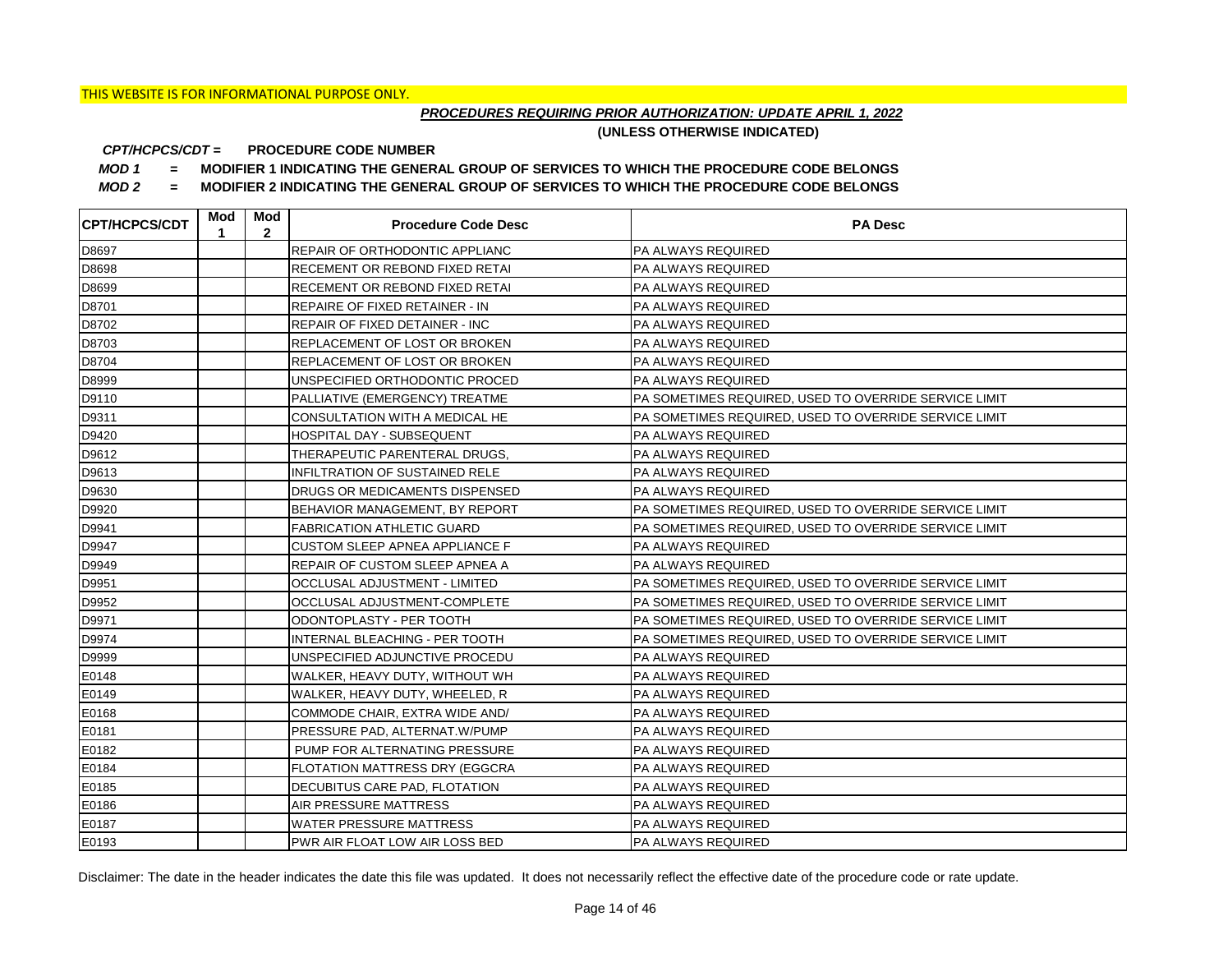## *PROCEDURES REQUIRING PRIOR AUTHORIZATION: UPDATE APRIL 1, 2022*

**(UNLESS OTHERWISE INDICATED)**

#### **PROCEDURE CODE NUMBER** *CPT/HCPCS/CDT =*

*MOD 1 =* **MODIFIER 1 INDICATING THE GENERAL GROUP OF SERVICES TO WHICH THE PROCEDURE CODE BELONGS**

*MOD 2 =* **MODIFIER 2 INDICATING THE GENERAL GROUP OF SERVICES TO WHICH THE PROCEDURE CODE BELONGS**

| <b>CPT/HCPCS/CDT</b> | Mod<br>1 | Mod<br>$\mathbf{2}$ | <b>Procedure Code Desc</b>            | <b>PA Desc</b>                                        |
|----------------------|----------|---------------------|---------------------------------------|-------------------------------------------------------|
| D8697                |          |                     | <b>REPAIR OF ORTHODONTIC APPLIANC</b> | PA ALWAYS REQUIRED                                    |
| D8698                |          |                     | <b>RECEMENT OR REBOND FIXED RETAI</b> | <b>PA ALWAYS REQUIRED</b>                             |
| D8699                |          |                     | <b>RECEMENT OR REBOND FIXED RETAI</b> | PA ALWAYS REQUIRED                                    |
| D8701                |          |                     | <b>REPAIRE OF FIXED RETAINER - IN</b> | PA ALWAYS REQUIRED                                    |
| D8702                |          |                     | <b>REPAIR OF FIXED DETAINER - INC</b> | PA ALWAYS REQUIRED                                    |
| D8703                |          |                     | <b>REPLACEMENT OF LOST OR BROKEN</b>  | PA ALWAYS REQUIRED                                    |
| D8704                |          |                     | <b>REPLACEMENT OF LOST OR BROKEN</b>  | PA ALWAYS REQUIRED                                    |
| D8999                |          |                     | UNSPECIFIED ORTHODONTIC PROCED        | PA ALWAYS REQUIRED                                    |
| D9110                |          |                     | PALLIATIVE (EMERGENCY) TREATME        | PA SOMETIMES REQUIRED, USED TO OVERRIDE SERVICE LIMIT |
| D9311                |          |                     | CONSULTATION WITH A MEDICAL HE        | PA SOMETIMES REQUIRED, USED TO OVERRIDE SERVICE LIMIT |
| D9420                |          |                     | HOSPITAL DAY - SUBSEQUENT             | PA ALWAYS REQUIRED                                    |
| D9612                |          |                     | THERAPEUTIC PARENTERAL DRUGS,         | PA ALWAYS REQUIRED                                    |
| D9613                |          |                     | <b>INFILTRATION OF SUSTAINED RELE</b> | <b>PA ALWAYS REQUIRED</b>                             |
| D9630                |          |                     | DRUGS OR MEDICAMENTS DISPENSED        | PA ALWAYS REQUIRED                                    |
| D9920                |          |                     | BEHAVIOR MANAGEMENT, BY REPORT        | PA SOMETIMES REQUIRED, USED TO OVERRIDE SERVICE LIMIT |
| D9941                |          |                     | <b>FABRICATION ATHLETIC GUARD</b>     | PA SOMETIMES REQUIRED, USED TO OVERRIDE SERVICE LIMIT |
| D9947                |          |                     | CUSTOM SLEEP APNEA APPLIANCE F        | <b>PA ALWAYS REQUIRED</b>                             |
| D9949                |          |                     | REPAIR OF CUSTOM SLEEP APNEA A        | <b>PA ALWAYS REQUIRED</b>                             |
| D9951                |          |                     | OCCLUSAL ADJUSTMENT - LIMITED         | PA SOMETIMES REQUIRED, USED TO OVERRIDE SERVICE LIMIT |
| D9952                |          |                     | OCCLUSAL ADJUSTMENT-COMPLETE          | PA SOMETIMES REQUIRED, USED TO OVERRIDE SERVICE LIMIT |
| D9971                |          |                     | ODONTOPLASTY - PER TOOTH              | PA SOMETIMES REQUIRED, USED TO OVERRIDE SERVICE LIMIT |
| D9974                |          |                     | INTERNAL BLEACHING - PER TOOTH        | PA SOMETIMES REQUIRED, USED TO OVERRIDE SERVICE LIMIT |
| D9999                |          |                     | UNSPECIFIED ADJUNCTIVE PROCEDU        | <b>PA ALWAYS REQUIRED</b>                             |
| E0148                |          |                     | WALKER, HEAVY DUTY, WITHOUT WH        | PA ALWAYS REQUIRED                                    |
| E0149                |          |                     | WALKER, HEAVY DUTY, WHEELED, R        | PA ALWAYS REQUIRED                                    |
| E0168                |          |                     | COMMODE CHAIR, EXTRA WIDE AND/        | PA ALWAYS REQUIRED                                    |
| E0181                |          |                     | PRESSURE PAD, ALTERNAT.W/PUMP         | PA ALWAYS REQUIRED                                    |
| E0182                |          |                     | PUMP FOR ALTERNATING PRESSURE         | PA ALWAYS REQUIRED                                    |
| E0184                |          |                     | <b>FLOTATION MATTRESS DRY (EGGCRA</b> | <b>PA ALWAYS REQUIRED</b>                             |
| E0185                |          |                     | DECUBITUS CARE PAD, FLOTATION         | PA ALWAYS REQUIRED                                    |
| E0186                |          |                     | AIR PRESSURE MATTRESS                 | PA ALWAYS REQUIRED                                    |
| E0187                |          |                     | <b>WATER PRESSURE MATTRESS</b>        | <b>PA ALWAYS REQUIRED</b>                             |
| E0193                |          |                     | <b>PWR AIR FLOAT LOW AIR LOSS BED</b> | <b>PA ALWAYS REQUIRED</b>                             |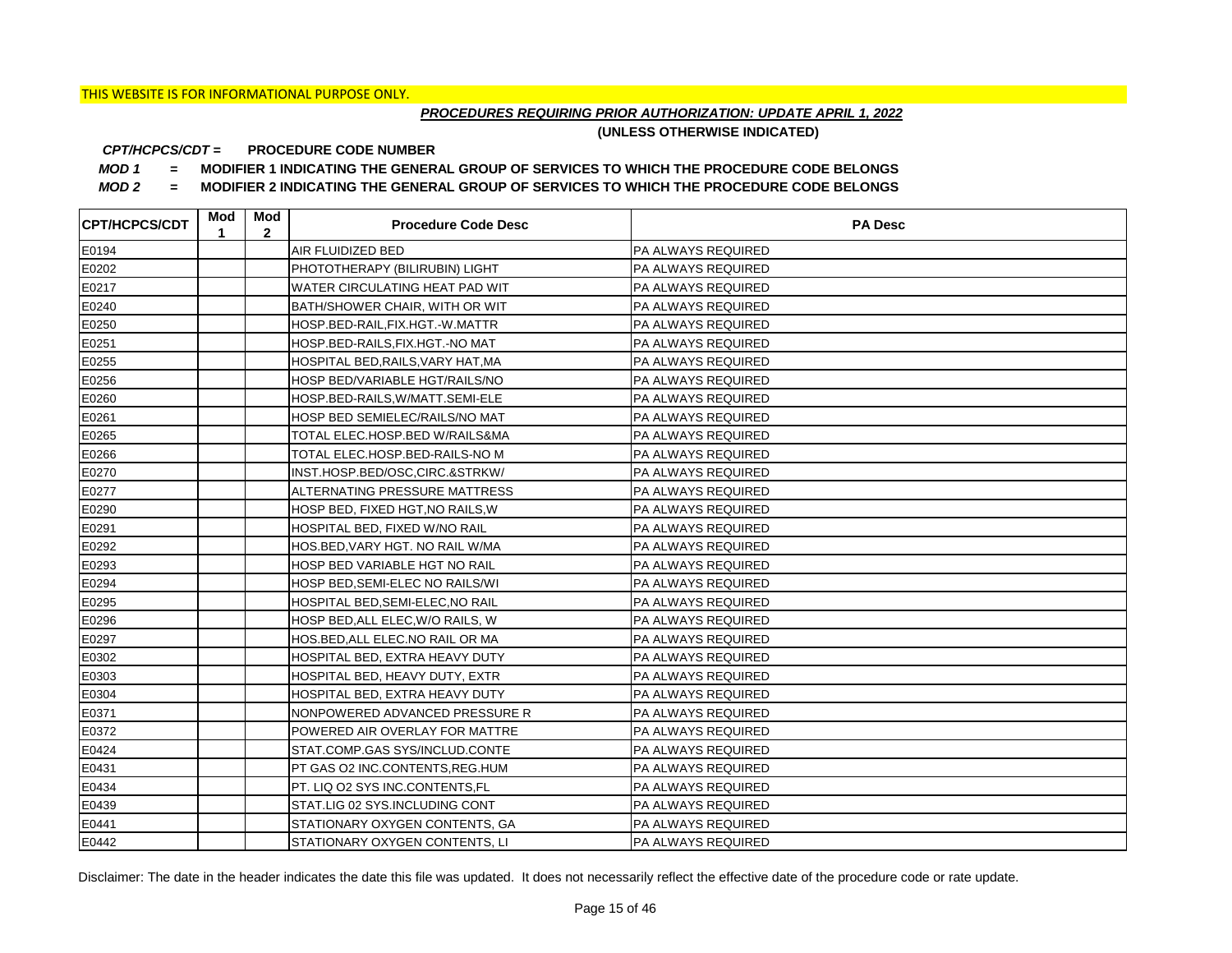## *PROCEDURES REQUIRING PRIOR AUTHORIZATION: UPDATE APRIL 1, 2022*

**(UNLESS OTHERWISE INDICATED)**

#### **PROCEDURE CODE NUMBER** *CPT/HCPCS/CDT =*

*MOD 1 =* **MODIFIER 1 INDICATING THE GENERAL GROUP OF SERVICES TO WHICH THE PROCEDURE CODE BELONGS**

*MOD 2 =* **MODIFIER 2 INDICATING THE GENERAL GROUP OF SERVICES TO WHICH THE PROCEDURE CODE BELONGS**

| <b>CPT/HCPCS/CDT</b> | Mod<br>1 | Mod<br>$\mathbf{2}$ | <b>Procedure Code Desc</b>        | <b>PA Desc</b>            |
|----------------------|----------|---------------------|-----------------------------------|---------------------------|
| E0194                |          |                     | <b>AIR FLUIDIZED BED</b>          | PA ALWAYS REQUIRED        |
| E0202                |          |                     | PHOTOTHERAPY (BILIRUBIN) LIGHT    | PA ALWAYS REQUIRED        |
| E0217                |          |                     | WATER CIRCULATING HEAT PAD WIT    | PA ALWAYS REQUIRED        |
| E0240                |          |                     | BATH/SHOWER CHAIR, WITH OR WIT    | PA ALWAYS REQUIRED        |
| E0250                |          |                     | HOSP.BED-RAIL,FIX.HGT.-W.MATTR    | PA ALWAYS REQUIRED        |
| E0251                |          |                     | HOSP.BED-RAILS, FIX.HGT.-NO MAT   | PA ALWAYS REQUIRED        |
| E0255                |          |                     | HOSPITAL BED, RAILS, VARY HAT, MA | PA ALWAYS REQUIRED        |
| E0256                |          |                     | HOSP BED/VARIABLE HGT/RAILS/NO    | PA ALWAYS REQUIRED        |
| E0260                |          |                     | HOSP.BED-RAILS, W/MATT.SEMI-ELE   | PA ALWAYS REQUIRED        |
| E0261                |          |                     | HOSP BED SEMIELEC/RAILS/NO MAT    | PA ALWAYS REQUIRED        |
| E0265                |          |                     | TOTAL ELEC.HOSP.BED W/RAILS&MA    | PA ALWAYS REQUIRED        |
| E0266                |          |                     | TOTAL ELEC.HOSP.BED-RAILS-NO M    | PA ALWAYS REQUIRED        |
| E0270                |          |                     | INST.HOSP.BED/OSC.CIRC.&STRKW/    | PA ALWAYS REQUIRED        |
| E0277                |          |                     | ALTERNATING PRESSURE MATTRESS     | PA ALWAYS REQUIRED        |
| E0290                |          |                     | HOSP BED, FIXED HGT, NO RAILS, W  | PA ALWAYS REQUIRED        |
| E0291                |          |                     | HOSPITAL BED, FIXED W/NO RAIL     | PA ALWAYS REQUIRED        |
| E0292                |          |                     | HOS.BED, VARY HGT. NO RAIL W/MA   | PA ALWAYS REQUIRED        |
| E0293                |          |                     | HOSP BED VARIABLE HGT NO RAIL     | PA ALWAYS REQUIRED        |
| E0294                |          |                     | HOSP BED, SEMI-ELEC NO RAILS/WI   | PA ALWAYS REQUIRED        |
| E0295                |          |                     | HOSPITAL BED, SEMI-ELEC, NO RAIL  | PA ALWAYS REQUIRED        |
| E0296                |          |                     | HOSP BED, ALL ELEC, W/O RAILS, W  | PA ALWAYS REQUIRED        |
| E0297                |          |                     | HOS.BED, ALL ELEC.NO RAIL OR MA   | PA ALWAYS REQUIRED        |
| E0302                |          |                     | HOSPITAL BED, EXTRA HEAVY DUTY    | PA ALWAYS REQUIRED        |
| E0303                |          |                     | HOSPITAL BED, HEAVY DUTY, EXTR    | PA ALWAYS REQUIRED        |
| E0304                |          |                     | HOSPITAL BED, EXTRA HEAVY DUTY    | <b>PA ALWAYS REQUIRED</b> |
| E0371                |          |                     | NONPOWERED ADVANCED PRESSURE R    | PA ALWAYS REQUIRED        |
| E0372                |          |                     | POWERED AIR OVERLAY FOR MATTRE    | PA ALWAYS REQUIRED        |
| E0424                |          |                     | STAT.COMP.GAS SYS/INCLUD.CONTE    | PA ALWAYS REQUIRED        |
| E0431                |          |                     | PT GAS O2 INC.CONTENTS, REG.HUM   | PA ALWAYS REQUIRED        |
| E0434                |          |                     | PT. LIQ O2 SYS INC.CONTENTS,FL    | PA ALWAYS REQUIRED        |
| E0439                |          |                     | STAT.LIG 02 SYS.INCLUDING CONT    | PA ALWAYS REQUIRED        |
| E0441                |          |                     | STATIONARY OXYGEN CONTENTS, GA    | PA ALWAYS REQUIRED        |
| E0442                |          |                     | STATIONARY OXYGEN CONTENTS. LI    | <b>PA ALWAYS REQUIRED</b> |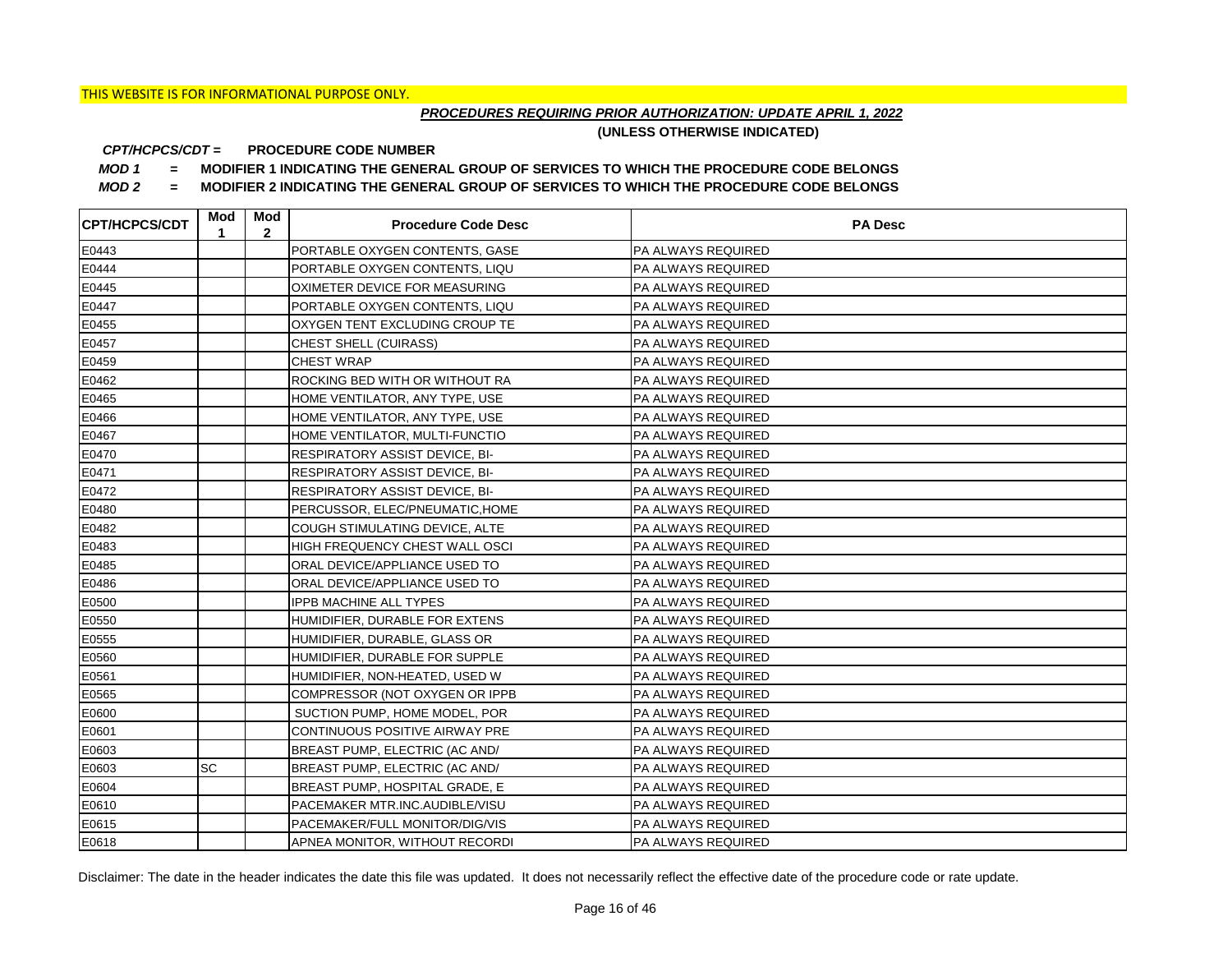## *PROCEDURES REQUIRING PRIOR AUTHORIZATION: UPDATE APRIL 1, 2022*

**(UNLESS OTHERWISE INDICATED)**

#### **PROCEDURE CODE NUMBER** *CPT/HCPCS/CDT =*

*MOD 1 =* **MODIFIER 1 INDICATING THE GENERAL GROUP OF SERVICES TO WHICH THE PROCEDURE CODE BELONGS**

*MOD 2 =* **MODIFIER 2 INDICATING THE GENERAL GROUP OF SERVICES TO WHICH THE PROCEDURE CODE BELONGS**

| <b>CPT/HCPCS/CDT</b> | Mod<br>1 | Mod<br>$\mathbf{2}$ | <b>Procedure Code Desc</b>            | <b>PA Desc</b>     |
|----------------------|----------|---------------------|---------------------------------------|--------------------|
| E0443                |          |                     | PORTABLE OXYGEN CONTENTS, GASE        | PA ALWAYS REQUIRED |
| E0444                |          |                     | PORTABLE OXYGEN CONTENTS, LIQU        | PA ALWAYS REQUIRED |
| E0445                |          |                     | OXIMETER DEVICE FOR MEASURING         | PA ALWAYS REQUIRED |
| E0447                |          |                     | PORTABLE OXYGEN CONTENTS, LIQU        | PA ALWAYS REQUIRED |
| E0455                |          |                     | OXYGEN TENT EXCLUDING CROUP TE        | PA ALWAYS REQUIRED |
| E0457                |          |                     | CHEST SHELL (CUIRASS)                 | PA ALWAYS REQUIRED |
| E0459                |          |                     | <b>CHEST WRAP</b>                     | PA ALWAYS REQUIRED |
| E0462                |          |                     | ROCKING BED WITH OR WITHOUT RA        | PA ALWAYS REQUIRED |
| E0465                |          |                     | HOME VENTILATOR, ANY TYPE, USE        | PA ALWAYS REQUIRED |
| E0466                |          |                     | HOME VENTILATOR, ANY TYPE, USE        | PA ALWAYS REQUIRED |
| E0467                |          |                     | HOME VENTILATOR, MULTI-FUNCTIO        | PA ALWAYS REQUIRED |
| E0470                |          |                     | <b>RESPIRATORY ASSIST DEVICE, BI-</b> | PA ALWAYS REQUIRED |
| E0471                |          |                     | <b>RESPIRATORY ASSIST DEVICE, BI-</b> | PA ALWAYS REQUIRED |
| E0472                |          |                     | RESPIRATORY ASSIST DEVICE, BI-        | PA ALWAYS REQUIRED |
| E0480                |          |                     | PERCUSSOR, ELEC/PNEUMATIC, HOME       | PA ALWAYS REQUIRED |
| E0482                |          |                     | COUGH STIMULATING DEVICE, ALTE        | PA ALWAYS REQUIRED |
| E0483                |          |                     | HIGH FREQUENCY CHEST WALL OSCI        | PA ALWAYS REQUIRED |
| E0485                |          |                     | ORAL DEVICE/APPLIANCE USED TO         | PA ALWAYS REQUIRED |
| E0486                |          |                     | ORAL DEVICE/APPLIANCE USED TO         | PA ALWAYS REQUIRED |
| E0500                |          |                     | <b>IPPB MACHINE ALL TYPES</b>         | PA ALWAYS REQUIRED |
| E0550                |          |                     | HUMIDIFIER, DURABLE FOR EXTENS        | PA ALWAYS REQUIRED |
| E0555                |          |                     | HUMIDIFIER, DURABLE, GLASS OR         | PA ALWAYS REQUIRED |
| E0560                |          |                     | HUMIDIFIER, DURABLE FOR SUPPLE        | PA ALWAYS REQUIRED |
| E0561                |          |                     | HUMIDIFIER, NON-HEATED, USED W        | PA ALWAYS REQUIRED |
| E0565                |          |                     | COMPRESSOR (NOT OXYGEN OR IPPB        | PA ALWAYS REQUIRED |
| E0600                |          |                     | SUCTION PUMP, HOME MODEL, POR         | PA ALWAYS REQUIRED |
| E0601                |          |                     | CONTINUOUS POSITIVE AIRWAY PRE        | PA ALWAYS REQUIRED |
| E0603                |          |                     | BREAST PUMP, ELECTRIC (AC AND/        | PA ALWAYS REQUIRED |
| E0603                | SC       |                     | BREAST PUMP, ELECTRIC (AC AND/        | PA ALWAYS REQUIRED |
| E0604                |          |                     | BREAST PUMP, HOSPITAL GRADE, E        | PA ALWAYS REQUIRED |
| E0610                |          |                     | PACEMAKER MTR.INC.AUDIBLE/VISU        | PA ALWAYS REQUIRED |
| E0615                |          |                     | PACEMAKER/FULL MONITOR/DIG/VIS        | PA ALWAYS REQUIRED |
| E0618                |          |                     | APNEA MONITOR, WITHOUT RECORDI        | PA ALWAYS REQUIRED |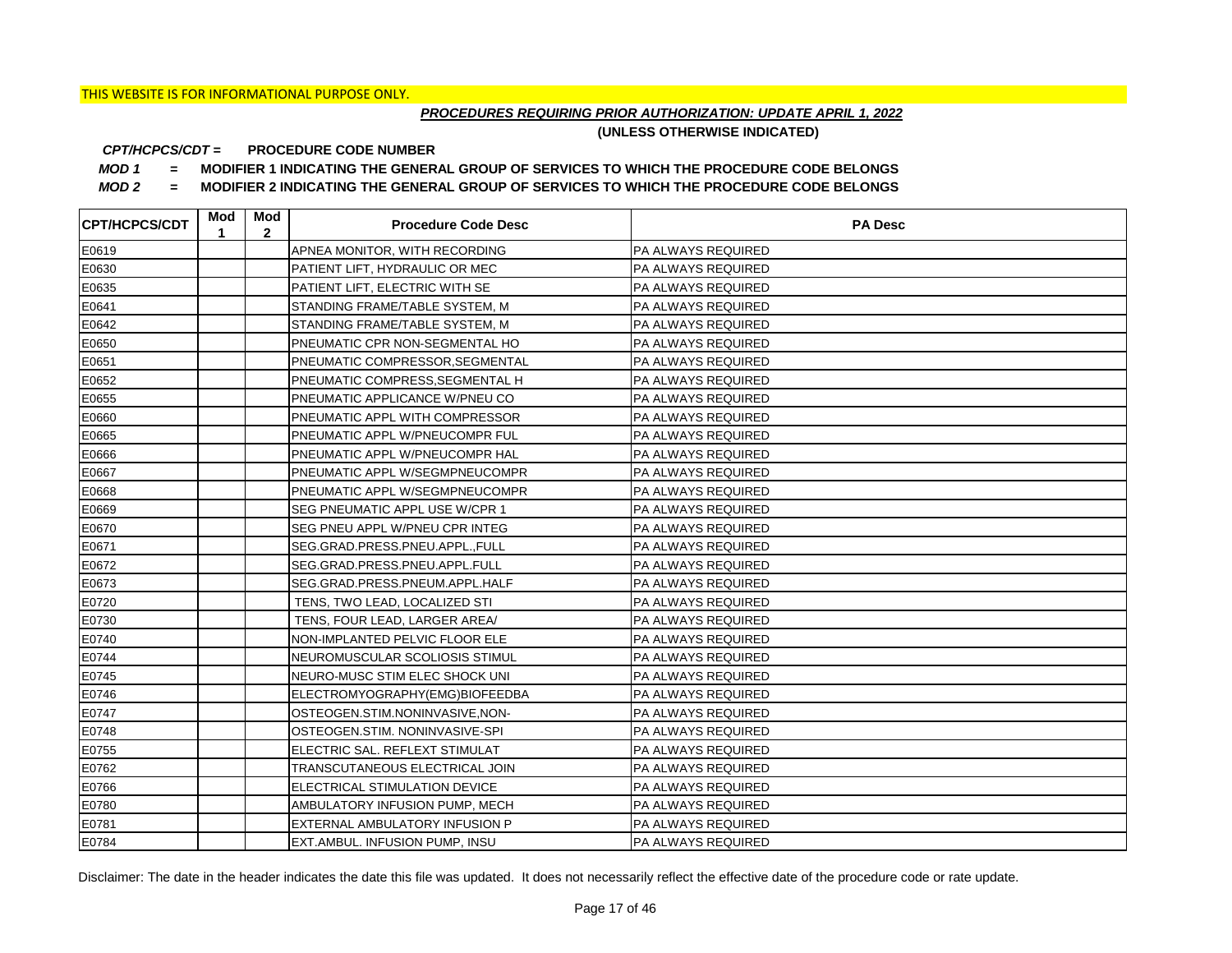## *PROCEDURES REQUIRING PRIOR AUTHORIZATION: UPDATE APRIL 1, 2022*

**(UNLESS OTHERWISE INDICATED)**

#### **PROCEDURE CODE NUMBER** *CPT/HCPCS/CDT =*

*MOD 1 =* **MODIFIER 1 INDICATING THE GENERAL GROUP OF SERVICES TO WHICH THE PROCEDURE CODE BELONGS**

*MOD 2 =* **MODIFIER 2 INDICATING THE GENERAL GROUP OF SERVICES TO WHICH THE PROCEDURE CODE BELONGS**

| <b>CPT/HCPCS/CDT</b> | Mod<br>1 | Mod<br>$\mathbf{2}$ | <b>Procedure Code Desc</b>      | <b>PA Desc</b>            |
|----------------------|----------|---------------------|---------------------------------|---------------------------|
| E0619                |          |                     | APNEA MONITOR, WITH RECORDING   | PA ALWAYS REQUIRED        |
| E0630                |          |                     | PATIENT LIFT, HYDRAULIC OR MEC  | <b>PA ALWAYS REQUIRED</b> |
| E0635                |          |                     | PATIENT LIFT, ELECTRIC WITH SE  | <b>PA ALWAYS REQUIRED</b> |
| E0641                |          |                     | STANDING FRAME/TABLE SYSTEM, M  | <b>PA ALWAYS REQUIRED</b> |
| E0642                |          |                     | STANDING FRAME/TABLE SYSTEM, M  | PA ALWAYS REQUIRED        |
| E0650                |          |                     | PNEUMATIC CPR NON-SEGMENTAL HO  | PA ALWAYS REQUIRED        |
| E0651                |          |                     | PNEUMATIC COMPRESSOR, SEGMENTAL | PA ALWAYS REQUIRED        |
| E0652                |          |                     | PNEUMATIC COMPRESS, SEGMENTAL H | PA ALWAYS REQUIRED        |
| E0655                |          |                     | PNEUMATIC APPLICANCE W/PNEU CO  | PA ALWAYS REQUIRED        |
| E0660                |          |                     | PNEUMATIC APPL WITH COMPRESSOR  | <b>PA ALWAYS REQUIRED</b> |
| E0665                |          |                     | PNEUMATIC APPL W/PNEUCOMPR FUL  | PA ALWAYS REQUIRED        |
| E0666                |          |                     | PNEUMATIC APPL W/PNEUCOMPR HAL  | PA ALWAYS REQUIRED        |
| E0667                |          |                     | PNEUMATIC APPL W/SEGMPNEUCOMPR  | PA ALWAYS REQUIRED        |
| E0668                |          |                     | PNEUMATIC APPL W/SEGMPNEUCOMPR  | <b>PA ALWAYS REQUIRED</b> |
| E0669                |          |                     | SEG PNEUMATIC APPL USE W/CPR 1  | <b>PA ALWAYS REQUIRED</b> |
| E0670                |          |                     | SEG PNEU APPL W/PNEU CPR INTEG  | <b>PA ALWAYS REQUIRED</b> |
| E0671                |          |                     | SEG.GRAD.PRESS.PNEU.APPL.,FULL  | PA ALWAYS REQUIRED        |
| E0672                |          |                     | SEG.GRAD.PRESS.PNEU.APPL.FULL   | <b>PA ALWAYS REQUIRED</b> |
| E0673                |          |                     | SEG.GRAD.PRESS.PNEUM.APPL.HALF  | <b>PA ALWAYS REQUIRED</b> |
| E0720                |          |                     | TENS, TWO LEAD, LOCALIZED STI   | <b>PA ALWAYS REQUIRED</b> |
| E0730                |          |                     | TENS, FOUR LEAD, LARGER AREA/   | <b>PA ALWAYS REQUIRED</b> |
| E0740                |          |                     | NON-IMPLANTED PELVIC FLOOR ELE  | <b>PA ALWAYS REQUIRED</b> |
| E0744                |          |                     | NEUROMUSCULAR SCOLIOSIS STIMUL  | <b>PA ALWAYS REQUIRED</b> |
| E0745                |          |                     | NEURO-MUSC STIM ELEC SHOCK UNI  | PA ALWAYS REQUIRED        |
| E0746                |          |                     | ELECTROMYOGRAPHY(EMG)BIOFEEDBA  | <b>PA ALWAYS REQUIRED</b> |
| E0747                |          |                     | OSTEOGEN.STIM.NONINVASIVE,NON-  | <b>PA ALWAYS REQUIRED</b> |
| E0748                |          |                     | OSTEOGEN.STIM. NONINVASIVE-SPI  | <b>PA ALWAYS REQUIRED</b> |
| E0755                |          |                     | ELECTRIC SAL. REFLEXT STIMULAT  | <b>PA ALWAYS REQUIRED</b> |
| E0762                |          |                     | TRANSCUTANEOUS ELECTRICAL JOIN  | <b>PA ALWAYS REQUIRED</b> |
| E0766                |          |                     | ELECTRICAL STIMULATION DEVICE   | PA ALWAYS REQUIRED        |
| E0780                |          |                     | AMBULATORY INFUSION PUMP, MECH  | PA ALWAYS REQUIRED        |
| E0781                |          |                     | EXTERNAL AMBULATORY INFUSION P  | PA ALWAYS REQUIRED        |
| E0784                |          |                     | EXT.AMBUL. INFUSION PUMP, INSU  | <b>PA ALWAYS REQUIRED</b> |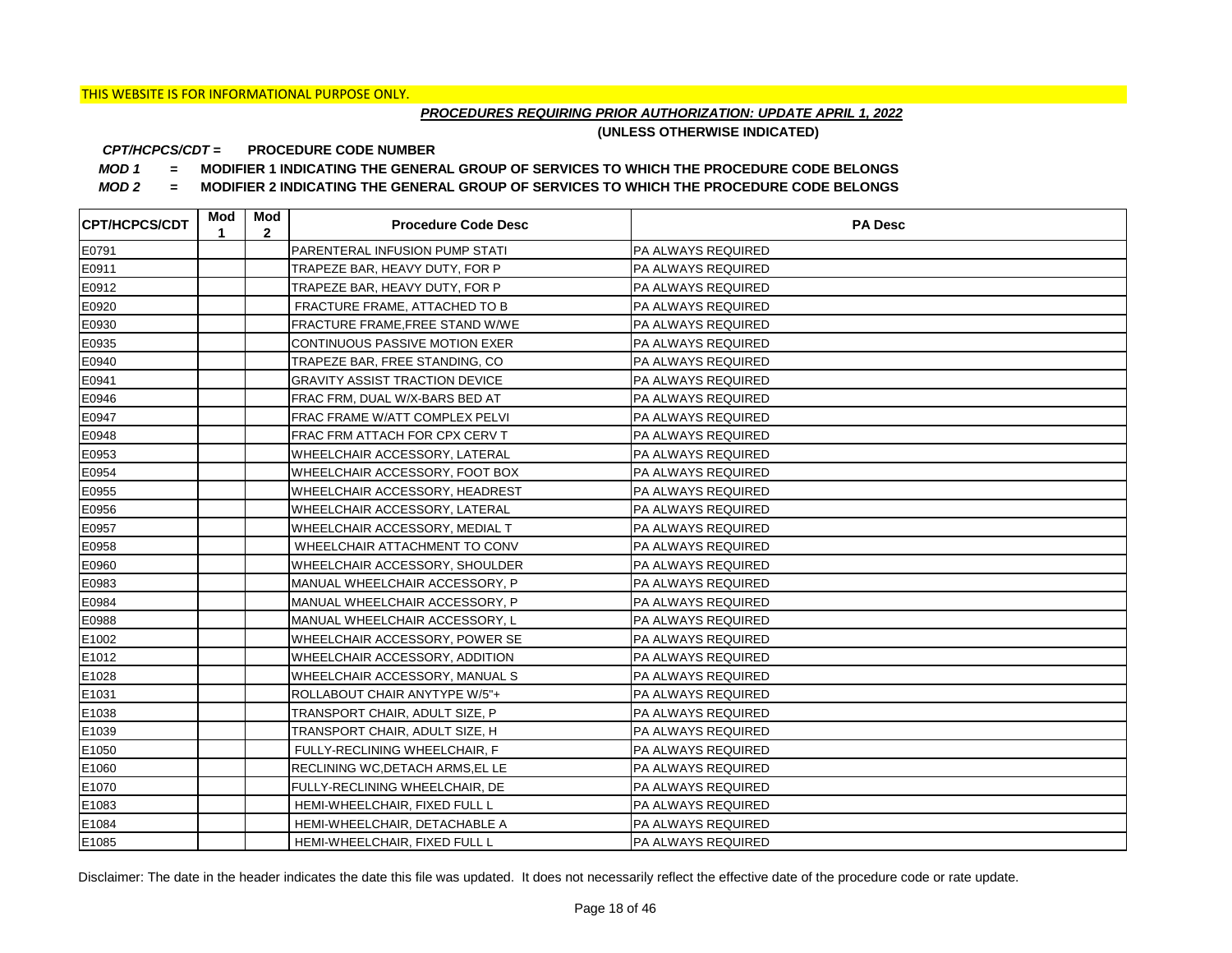## *PROCEDURES REQUIRING PRIOR AUTHORIZATION: UPDATE APRIL 1, 2022*

**(UNLESS OTHERWISE INDICATED)**

#### **PROCEDURE CODE NUMBER** *CPT/HCPCS/CDT =*

*MOD 1 =* **MODIFIER 1 INDICATING THE GENERAL GROUP OF SERVICES TO WHICH THE PROCEDURE CODE BELONGS**

*MOD 2 =* **MODIFIER 2 INDICATING THE GENERAL GROUP OF SERVICES TO WHICH THE PROCEDURE CODE BELONGS**

| <b>CPT/HCPCS/CDT</b> | Mod<br>1 | Mod<br>$\mathbf{2}$ | <b>Procedure Code Desc</b>            | <b>PA Desc</b>            |
|----------------------|----------|---------------------|---------------------------------------|---------------------------|
| E0791                |          |                     | PARENTERAL INFUSION PUMP STATI        | PA ALWAYS REQUIRED        |
| E0911                |          |                     | TRAPEZE BAR, HEAVY DUTY, FOR P        | <b>PA ALWAYS REQUIRED</b> |
| E0912                |          |                     | TRAPEZE BAR, HEAVY DUTY, FOR P        | <b>PA ALWAYS REQUIRED</b> |
| E0920                |          |                     | FRACTURE FRAME, ATTACHED TO B         | <b>PA ALWAYS REQUIRED</b> |
| E0930                |          |                     | FRACTURE FRAME, FREE STAND W/WE       | PA ALWAYS REQUIRED        |
| E0935                |          |                     | CONTINUOUS PASSIVE MOTION EXER        | PA ALWAYS REQUIRED        |
| E0940                |          |                     | TRAPEZE BAR, FREE STANDING, CO        | PA ALWAYS REQUIRED        |
| E0941                |          |                     | <b>GRAVITY ASSIST TRACTION DEVICE</b> | PA ALWAYS REQUIRED        |
| E0946                |          |                     | FRAC FRM, DUAL W/X-BARS BED AT        | PA ALWAYS REQUIRED        |
| E0947                |          |                     | FRAC FRAME W/ATT COMPLEX PELVI        | PA ALWAYS REQUIRED        |
| E0948                |          |                     | FRAC FRM ATTACH FOR CPX CERV T        | PA ALWAYS REQUIRED        |
| E0953                |          |                     | WHEELCHAIR ACCESSORY, LATERAL         | PA ALWAYS REQUIRED        |
| E0954                |          |                     | WHEELCHAIR ACCESSORY, FOOT BOX        | PA ALWAYS REQUIRED        |
| E0955                |          |                     | WHEELCHAIR ACCESSORY, HEADREST        | <b>PA ALWAYS REQUIRED</b> |
| E0956                |          |                     | WHEELCHAIR ACCESSORY, LATERAL         | <b>PA ALWAYS REQUIRED</b> |
| E0957                |          |                     | WHEELCHAIR ACCESSORY, MEDIAL T        | <b>PA ALWAYS REQUIRED</b> |
| E0958                |          |                     | WHEELCHAIR ATTACHMENT TO CONV         | <b>PA ALWAYS REQUIRED</b> |
| E0960                |          |                     | WHEELCHAIR ACCESSORY, SHOULDER        | PA ALWAYS REQUIRED        |
| E0983                |          |                     | MANUAL WHEELCHAIR ACCESSORY, P        | <b>PA ALWAYS REQUIRED</b> |
| E0984                |          |                     | MANUAL WHEELCHAIR ACCESSORY, P        | <b>PA ALWAYS REQUIRED</b> |
| E0988                |          |                     | MANUAL WHEELCHAIR ACCESSORY, L        | <b>PA ALWAYS REQUIRED</b> |
| E1002                |          |                     | WHEELCHAIR ACCESSORY, POWER SE        | <b>PA ALWAYS REQUIRED</b> |
| E1012                |          |                     | WHEELCHAIR ACCESSORY, ADDITION        | <b>PA ALWAYS REQUIRED</b> |
| E1028                |          |                     | WHEELCHAIR ACCESSORY, MANUAL S        | PA ALWAYS REQUIRED        |
| E1031                |          |                     | ROLLABOUT CHAIR ANYTYPE W/5"+         | <b>PA ALWAYS REQUIRED</b> |
| E1038                |          |                     | TRANSPORT CHAIR, ADULT SIZE, P        | <b>PA ALWAYS REQUIRED</b> |
| E1039                |          |                     | TRANSPORT CHAIR, ADULT SIZE, H        | <b>PA ALWAYS REQUIRED</b> |
| E1050                |          |                     | FULLY-RECLINING WHEELCHAIR, F         | <b>PA ALWAYS REQUIRED</b> |
| E1060                |          |                     | RECLINING WC, DETACH ARMS, EL LE      | <b>PA ALWAYS REQUIRED</b> |
| E1070                |          |                     | FULLY-RECLINING WHEELCHAIR, DE        | PA ALWAYS REQUIRED        |
| E1083                |          |                     | HEMI-WHEELCHAIR, FIXED FULL L         | PA ALWAYS REQUIRED        |
| E1084                |          |                     | HEMI-WHEELCHAIR, DETACHABLE A         | PA ALWAYS REQUIRED        |
| E1085                |          |                     | HEMI-WHEELCHAIR, FIXED FULL L         | <b>PA ALWAYS REQUIRED</b> |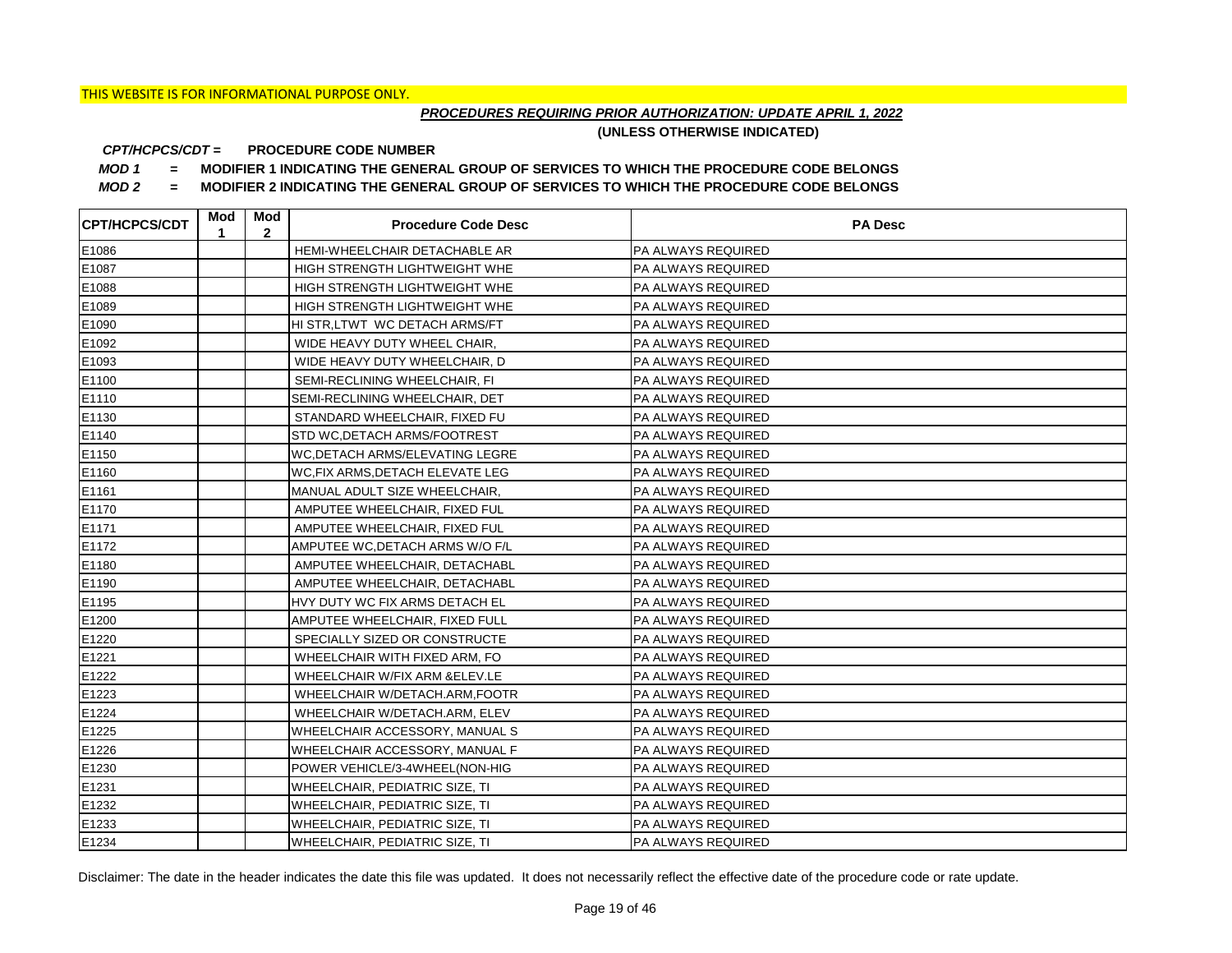## *PROCEDURES REQUIRING PRIOR AUTHORIZATION: UPDATE APRIL 1, 2022*

**(UNLESS OTHERWISE INDICATED)**

#### **PROCEDURE CODE NUMBER** *CPT/HCPCS/CDT =*

*MOD 1 =* **MODIFIER 1 INDICATING THE GENERAL GROUP OF SERVICES TO WHICH THE PROCEDURE CODE BELONGS**

*MOD 2 =* **MODIFIER 2 INDICATING THE GENERAL GROUP OF SERVICES TO WHICH THE PROCEDURE CODE BELONGS**

| <b>CPT/HCPCS/CDT</b> | Mod<br>1 | Mod<br>$\overline{2}$ | <b>Procedure Code Desc</b>          | <b>PA Desc</b>            |
|----------------------|----------|-----------------------|-------------------------------------|---------------------------|
| E1086                |          |                       | HEMI-WHEELCHAIR DETACHABLE AR       | <b>PA ALWAYS REQUIRED</b> |
| E1087                |          |                       | HIGH STRENGTH LIGHTWEIGHT WHE       | PA ALWAYS REQUIRED        |
| E1088                |          |                       | HIGH STRENGTH LIGHTWEIGHT WHE       | PA ALWAYS REQUIRED        |
| E1089                |          |                       | HIGH STRENGTH LIGHTWEIGHT WHE       | PA ALWAYS REQUIRED        |
| E1090                |          |                       | HI STR, LTWT WC DETACH ARMS/FT      | PA ALWAYS REQUIRED        |
| E1092                |          |                       | WIDE HEAVY DUTY WHEEL CHAIR,        | PA ALWAYS REQUIRED        |
| E1093                |          |                       | WIDE HEAVY DUTY WHEELCHAIR, D       | PA ALWAYS REQUIRED        |
| E1100                |          |                       | SEMI-RECLINING WHEELCHAIR, FI       | PA ALWAYS REQUIRED        |
| E1110                |          |                       | SEMI-RECLINING WHEELCHAIR, DET      | PA ALWAYS REQUIRED        |
| E1130                |          |                       | STANDARD WHEELCHAIR, FIXED FU       | PA ALWAYS REQUIRED        |
| E1140                |          |                       | <b>STD WC, DETACH ARMS/FOOTREST</b> | PA ALWAYS REQUIRED        |
| E1150                |          |                       | WC, DETACH ARMS/ELEVATING LEGRE     | PA ALWAYS REQUIRED        |
| E1160                |          |                       | WC.FIX ARMS.DETACH ELEVATE LEG      | <b>PA ALWAYS REQUIRED</b> |
| E1161                |          |                       | MANUAL ADULT SIZE WHEELCHAIR,       | PA ALWAYS REQUIRED        |
| E1170                |          |                       | AMPUTEE WHEELCHAIR, FIXED FUL       | PA ALWAYS REQUIRED        |
| E1171                |          |                       | AMPUTEE WHEELCHAIR, FIXED FUL       | PA ALWAYS REQUIRED        |
| E1172                |          |                       | AMPUTEE WC, DETACH ARMS W/O F/L     | PA ALWAYS REQUIRED        |
| E1180                |          |                       | AMPUTEE WHEELCHAIR, DETACHABL       | PA ALWAYS REQUIRED        |
| E1190                |          |                       | AMPUTEE WHEELCHAIR, DETACHABL       | PA ALWAYS REQUIRED        |
| E1195                |          |                       | HVY DUTY WC FIX ARMS DETACH EL      | <b>PA ALWAYS REQUIRED</b> |
| E1200                |          |                       | AMPUTEE WHEELCHAIR, FIXED FULL      | PA ALWAYS REQUIRED        |
| E1220                |          |                       | SPECIALLY SIZED OR CONSTRUCTE       | PA ALWAYS REQUIRED        |
| E1221                |          |                       | WHEELCHAIR WITH FIXED ARM, FO       | PA ALWAYS REQUIRED        |
| E1222                |          |                       | WHEELCHAIR W/FIX ARM &ELEV.LE       | PA ALWAYS REQUIRED        |
| E1223                |          |                       | WHEELCHAIR W/DETACH.ARM, FOOTR      | PA ALWAYS REQUIRED        |
| E1224                |          |                       | WHEELCHAIR W/DETACH.ARM, ELEV       | PA ALWAYS REQUIRED        |
| E1225                |          |                       | WHEELCHAIR ACCESSORY, MANUAL S      | PA ALWAYS REQUIRED        |
| E1226                |          |                       | WHEELCHAIR ACCESSORY, MANUAL F      | PA ALWAYS REQUIRED        |
| E1230                |          |                       | POWER VEHICLE/3-4WHEEL(NON-HIG      | PA ALWAYS REQUIRED        |
| E1231                |          |                       | WHEELCHAIR, PEDIATRIC SIZE, TI      | PA ALWAYS REQUIRED        |
| E1232                |          |                       | WHEELCHAIR, PEDIATRIC SIZE, TI      | PA ALWAYS REQUIRED        |
| E1233                |          |                       | WHEELCHAIR, PEDIATRIC SIZE, TI      | PA ALWAYS REQUIRED        |
| E1234                |          |                       | WHEELCHAIR, PEDIATRIC SIZE, TI      | PA ALWAYS REQUIRED        |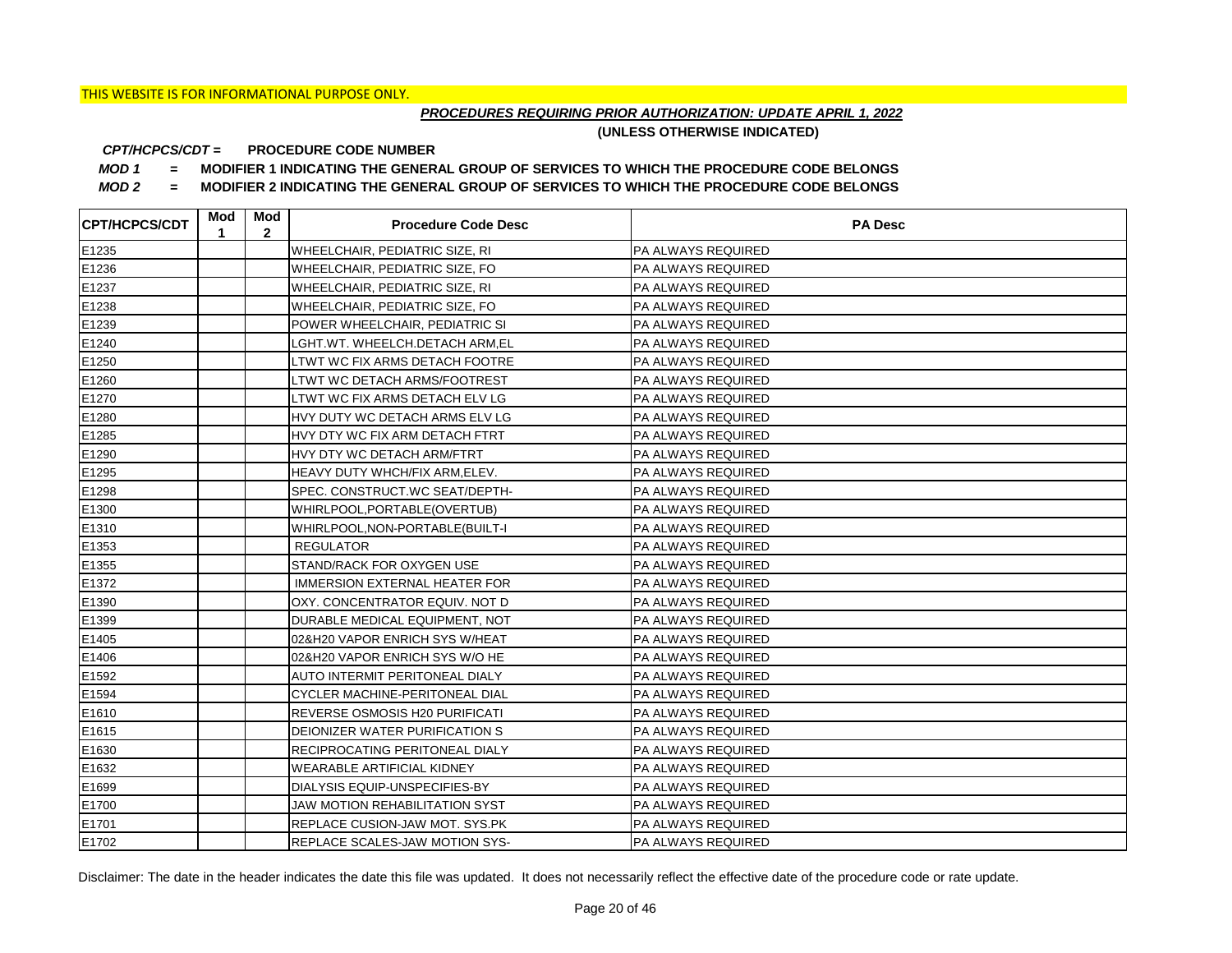## *PROCEDURES REQUIRING PRIOR AUTHORIZATION: UPDATE APRIL 1, 2022*

**(UNLESS OTHERWISE INDICATED)**

#### **PROCEDURE CODE NUMBER** *CPT/HCPCS/CDT =*

*MOD 1 =* **MODIFIER 1 INDICATING THE GENERAL GROUP OF SERVICES TO WHICH THE PROCEDURE CODE BELONGS**

*MOD 2 =* **MODIFIER 2 INDICATING THE GENERAL GROUP OF SERVICES TO WHICH THE PROCEDURE CODE BELONGS**

| <b>CPT/HCPCS/CDT</b> | Mod<br>1 | Mod<br>$\mathbf{2}$ | <b>Procedure Code Desc</b>            | <b>PA Desc</b>            |
|----------------------|----------|---------------------|---------------------------------------|---------------------------|
| E1235                |          |                     | WHEELCHAIR, PEDIATRIC SIZE, RI        | PA ALWAYS REQUIRED        |
| E1236                |          |                     | WHEELCHAIR, PEDIATRIC SIZE, FO        | PA ALWAYS REQUIRED        |
| E1237                |          |                     | WHEELCHAIR, PEDIATRIC SIZE, RI        | PA ALWAYS REQUIRED        |
| E1238                |          |                     | WHEELCHAIR, PEDIATRIC SIZE, FO        | PA ALWAYS REQUIRED        |
| E1239                |          |                     | POWER WHEELCHAIR, PEDIATRIC SI        | PA ALWAYS REQUIRED        |
| E1240                |          |                     | LGHT.WT. WHEELCH.DETACH ARM,EL        | PA ALWAYS REQUIRED        |
| E1250                |          |                     | LTWT WC FIX ARMS DETACH FOOTRE        | PA ALWAYS REQUIRED        |
| E1260                |          |                     | LTWT WC DETACH ARMS/FOOTREST          | PA ALWAYS REQUIRED        |
| E1270                |          |                     | LTWT WC FIX ARMS DETACH ELV LG        | PA ALWAYS REQUIRED        |
| E1280                |          |                     | HVY DUTY WC DETACH ARMS ELV LG        | PA ALWAYS REQUIRED        |
| E1285                |          |                     | HVY DTY WC FIX ARM DETACH FTRT        | PA ALWAYS REQUIRED        |
| E1290                |          |                     | HVY DTY WC DETACH ARM/FTRT            | PA ALWAYS REQUIRED        |
| E1295                |          |                     | HEAVY DUTY WHCH/FIX ARM, ELEV.        | PA ALWAYS REQUIRED        |
| E1298                |          |                     | SPEC. CONSTRUCT.WC SEAT/DEPTH-        | PA ALWAYS REQUIRED        |
| E1300                |          |                     | WHIRLPOOL, PORTABLE (OVERTUB)         | PA ALWAYS REQUIRED        |
| E1310                |          |                     | WHIRLPOOL, NON-PORTABLE(BUILT-I       | PA ALWAYS REQUIRED        |
| E1353                |          |                     | <b>REGULATOR</b>                      | PA ALWAYS REQUIRED        |
| E1355                |          |                     | STAND/RACK FOR OXYGEN USE             | PA ALWAYS REQUIRED        |
| E1372                |          |                     | <b>IMMERSION EXTERNAL HEATER FOR</b>  | PA ALWAYS REQUIRED        |
| E1390                |          |                     | OXY. CONCENTRATOR EQUIV. NOT D        | PA ALWAYS REQUIRED        |
| E1399                |          |                     | DURABLE MEDICAL EQUIPMENT, NOT        | PA ALWAYS REQUIRED        |
| E1405                |          |                     | 02&H20 VAPOR ENRICH SYS W/HEAT        | PA ALWAYS REQUIRED        |
| E1406                |          |                     | 02&H20 VAPOR ENRICH SYS W/O HE        | PA ALWAYS REQUIRED        |
| E1592                |          |                     | AUTO INTERMIT PERITONEAL DIALY        | PA ALWAYS REQUIRED        |
| E1594                |          |                     | <b>CYCLER MACHINE-PERITONEAL DIAL</b> | PA ALWAYS REQUIRED        |
| E1610                |          |                     | REVERSE OSMOSIS H20 PURIFICATI        | PA ALWAYS REQUIRED        |
| E1615                |          |                     | DEIONIZER WATER PURIFICATION S        | PA ALWAYS REQUIRED        |
| E1630                |          |                     | RECIPROCATING PERITONEAL DIALY        | PA ALWAYS REQUIRED        |
| E1632                |          |                     | <b>WEARABLE ARTIFICIAL KIDNEY</b>     | PA ALWAYS REQUIRED        |
| E1699                |          |                     | DIALYSIS EQUIP-UNSPECIFIES-BY         | PA ALWAYS REQUIRED        |
| E1700                |          |                     | <b>JAW MOTION REHABILITATION SYST</b> | PA ALWAYS REQUIRED        |
| E1701                |          |                     | REPLACE CUSION-JAW MOT. SYS.PK        | PA ALWAYS REQUIRED        |
| E1702                |          |                     | <b>REPLACE SCALES-JAW MOTION SYS-</b> | <b>PA ALWAYS REQUIRED</b> |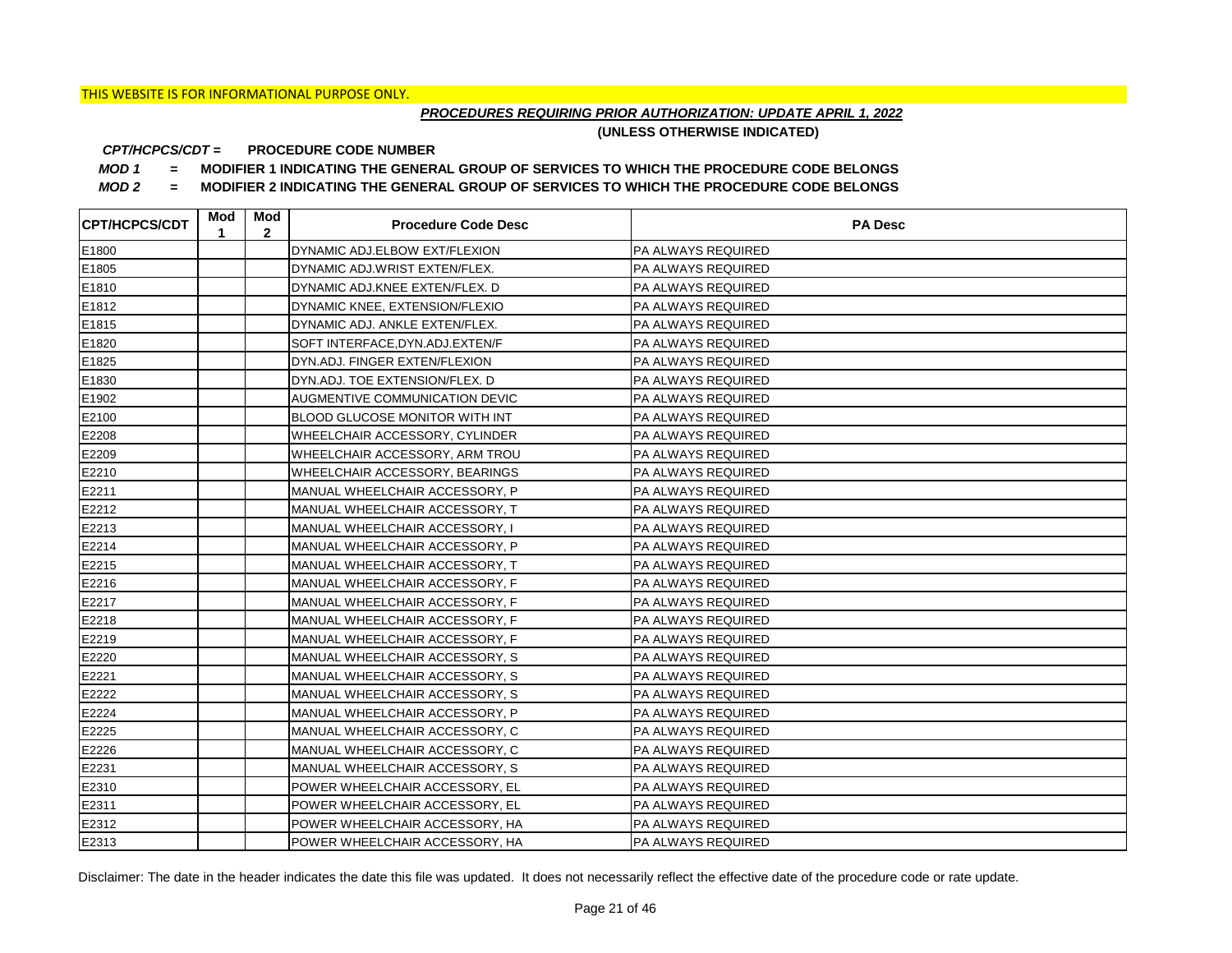## *PROCEDURES REQUIRING PRIOR AUTHORIZATION: UPDATE APRIL 1, 2022*

**(UNLESS OTHERWISE INDICATED)**

#### **PROCEDURE CODE NUMBER** *CPT/HCPCS/CDT =*

*MOD 1 =* **MODIFIER 1 INDICATING THE GENERAL GROUP OF SERVICES TO WHICH THE PROCEDURE CODE BELONGS**

*MOD 2 =* **MODIFIER 2 INDICATING THE GENERAL GROUP OF SERVICES TO WHICH THE PROCEDURE CODE BELONGS**

| <b>CPT/HCPCS/CDT</b> | Mod<br>1 | Mod<br>$\mathbf{2}$ | <b>Procedure Code Desc</b>            | <b>PA Desc</b>            |
|----------------------|----------|---------------------|---------------------------------------|---------------------------|
| E1800                |          |                     | DYNAMIC ADJ.ELBOW EXT/FLEXION         | PA ALWAYS REQUIRED        |
| E1805                |          |                     | DYNAMIC ADJ.WRIST EXTEN/FLEX.         | PA ALWAYS REQUIRED        |
| E1810                |          |                     | DYNAMIC ADJ.KNEE EXTEN/FLEX. D        | PA ALWAYS REQUIRED        |
| E1812                |          |                     | DYNAMIC KNEE, EXTENSION/FLEXIO        | PA ALWAYS REQUIRED        |
| E1815                |          |                     | DYNAMIC ADJ. ANKLE EXTEN/FLEX.        | PA ALWAYS REQUIRED        |
| E1820                |          |                     | SOFT INTERFACE, DYN.ADJ.EXTEN/F       | PA ALWAYS REQUIRED        |
| E1825                |          |                     | DYN.ADJ. FINGER EXTEN/FLEXION         | PA ALWAYS REQUIRED        |
| E1830                |          |                     | DYN.ADJ. TOE EXTENSION/FLEX. D        | PA ALWAYS REQUIRED        |
| E1902                |          |                     | AUGMENTIVE COMMUNICATION DEVIC        | PA ALWAYS REQUIRED        |
| E2100                |          |                     | <b>BLOOD GLUCOSE MONITOR WITH INT</b> | PA ALWAYS REQUIRED        |
| E2208                |          |                     | WHEELCHAIR ACCESSORY, CYLINDER        | PA ALWAYS REQUIRED        |
| E2209                |          |                     | WHEELCHAIR ACCESSORY, ARM TROU        | PA ALWAYS REQUIRED        |
| E2210                |          |                     | WHEELCHAIR ACCESSORY, BEARINGS        | <b>PA ALWAYS REQUIRED</b> |
| E2211                |          |                     | MANUAL WHEELCHAIR ACCESSORY, P        | <b>PA ALWAYS REQUIRED</b> |
| E2212                |          |                     | MANUAL WHEELCHAIR ACCESSORY, T        | PA ALWAYS REQUIRED        |
| E2213                |          |                     | MANUAL WHEELCHAIR ACCESSORY, I        | PA ALWAYS REQUIRED        |
| E2214                |          |                     | MANUAL WHEELCHAIR ACCESSORY, P        | PA ALWAYS REQUIRED        |
| E2215                |          |                     | MANUAL WHEELCHAIR ACCESSORY, T        | PA ALWAYS REQUIRED        |
| E2216                |          |                     | MANUAL WHEELCHAIR ACCESSORY, F        | PA ALWAYS REQUIRED        |
| E2217                |          |                     | MANUAL WHEELCHAIR ACCESSORY, F        | PA ALWAYS REQUIRED        |
| E2218                |          |                     | MANUAL WHEELCHAIR ACCESSORY, F        | PA ALWAYS REQUIRED        |
| E2219                |          |                     | MANUAL WHEELCHAIR ACCESSORY, F        | PA ALWAYS REQUIRED        |
| E2220                |          |                     | MANUAL WHEELCHAIR ACCESSORY, S        | PA ALWAYS REQUIRED        |
| E2221                |          |                     | MANUAL WHEELCHAIR ACCESSORY, S        | PA ALWAYS REQUIRED        |
| E2222                |          |                     | MANUAL WHEELCHAIR ACCESSORY, S        | PA ALWAYS REQUIRED        |
| E2224                |          |                     | MANUAL WHEELCHAIR ACCESSORY, P        | <b>PA ALWAYS REQUIRED</b> |
| E2225                |          |                     | MANUAL WHEELCHAIR ACCESSORY, C        | PA ALWAYS REQUIRED        |
| E2226                |          |                     | MANUAL WHEELCHAIR ACCESSORY, C        | PA ALWAYS REQUIRED        |
| E2231                |          |                     | MANUAL WHEELCHAIR ACCESSORY, S        | <b>PA ALWAYS REQUIRED</b> |
| E2310                |          |                     | POWER WHEELCHAIR ACCESSORY, EL        | PA ALWAYS REQUIRED        |
| E2311                |          |                     | POWER WHEELCHAIR ACCESSORY, EL        | PA ALWAYS REQUIRED        |
| E2312                |          |                     | POWER WHEELCHAIR ACCESSORY, HA        | PA ALWAYS REQUIRED        |
| E2313                |          |                     | POWER WHEELCHAIR ACCESSORY, HA        | <b>PA ALWAYS REQUIRED</b> |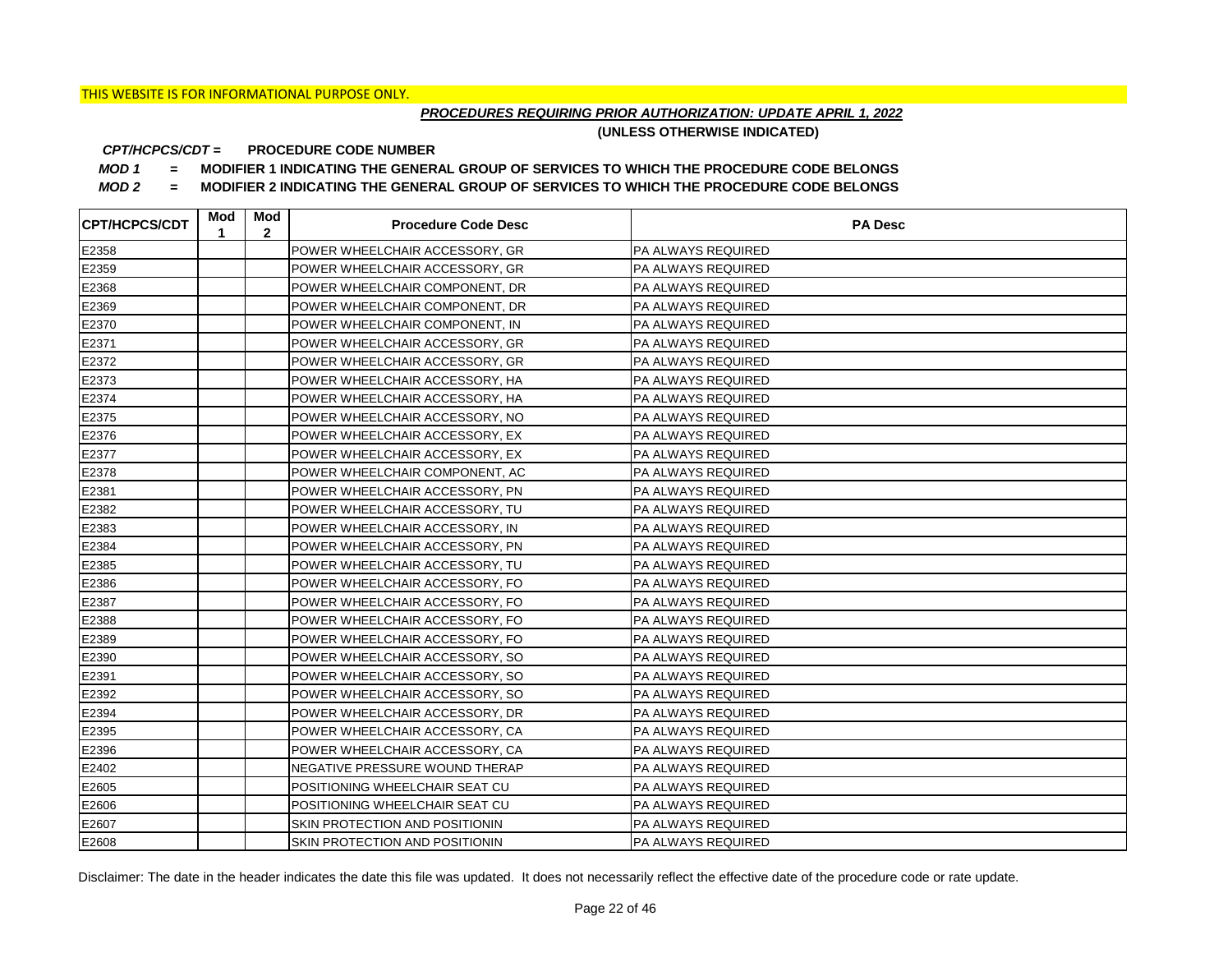## *PROCEDURES REQUIRING PRIOR AUTHORIZATION: UPDATE APRIL 1, 2022*

**(UNLESS OTHERWISE INDICATED)**

#### **PROCEDURE CODE NUMBER** *CPT/HCPCS/CDT =*

*MOD 1 =* **MODIFIER 1 INDICATING THE GENERAL GROUP OF SERVICES TO WHICH THE PROCEDURE CODE BELONGS**

*MOD 2 =* **MODIFIER 2 INDICATING THE GENERAL GROUP OF SERVICES TO WHICH THE PROCEDURE CODE BELONGS**

| <b>CPT/HCPCS/CDT</b> | Mod<br>1 | Mod<br>$\mathbf{2}$ | <b>Procedure Code Desc</b>     | <b>PA Desc</b>            |
|----------------------|----------|---------------------|--------------------------------|---------------------------|
| E2358                |          |                     | POWER WHEELCHAIR ACCESSORY, GR | <b>PA ALWAYS REQUIRED</b> |
| E2359                |          |                     | POWER WHEELCHAIR ACCESSORY, GR | PA ALWAYS REQUIRED        |
| E2368                |          |                     | POWER WHEELCHAIR COMPONENT, DR | PA ALWAYS REQUIRED        |
| E2369                |          |                     | POWER WHEELCHAIR COMPONENT, DR | PA ALWAYS REQUIRED        |
| E2370                |          |                     | POWER WHEELCHAIR COMPONENT, IN | PA ALWAYS REQUIRED        |
| E2371                |          |                     | POWER WHEELCHAIR ACCESSORY, GR | PA ALWAYS REQUIRED        |
| E2372                |          |                     | POWER WHEELCHAIR ACCESSORY, GR | PA ALWAYS REQUIRED        |
| E2373                |          |                     | POWER WHEELCHAIR ACCESSORY, HA | PA ALWAYS REQUIRED        |
| E2374                |          |                     | POWER WHEELCHAIR ACCESSORY, HA | PA ALWAYS REQUIRED        |
| E2375                |          |                     | POWER WHEELCHAIR ACCESSORY, NO | PA ALWAYS REQUIRED        |
| E2376                |          |                     | POWER WHEELCHAIR ACCESSORY, EX | PA ALWAYS REQUIRED        |
| E2377                |          |                     | POWER WHEELCHAIR ACCESSORY, EX | PA ALWAYS REQUIRED        |
| E2378                |          |                     | POWER WHEELCHAIR COMPONENT, AC | PA ALWAYS REQUIRED        |
| E2381                |          |                     | POWER WHEELCHAIR ACCESSORY, PN | PA ALWAYS REQUIRED        |
| E2382                |          |                     | POWER WHEELCHAIR ACCESSORY, TU | PA ALWAYS REQUIRED        |
| E2383                |          |                     | POWER WHEELCHAIR ACCESSORY, IN | PA ALWAYS REQUIRED        |
| E2384                |          |                     | POWER WHEELCHAIR ACCESSORY, PN | PA ALWAYS REQUIRED        |
| E2385                |          |                     | POWER WHEELCHAIR ACCESSORY, TU | PA ALWAYS REQUIRED        |
| E2386                |          |                     | POWER WHEELCHAIR ACCESSORY, FO | PA ALWAYS REQUIRED        |
| E2387                |          |                     | POWER WHEELCHAIR ACCESSORY, FO | PA ALWAYS REQUIRED        |
| E2388                |          |                     | POWER WHEELCHAIR ACCESSORY, FO | PA ALWAYS REQUIRED        |
| E2389                |          |                     | POWER WHEELCHAIR ACCESSORY, FO | PA ALWAYS REQUIRED        |
| E2390                |          |                     | POWER WHEELCHAIR ACCESSORY, SO | PA ALWAYS REQUIRED        |
| E2391                |          |                     | POWER WHEELCHAIR ACCESSORY, SO | PA ALWAYS REQUIRED        |
| E2392                |          |                     | POWER WHEELCHAIR ACCESSORY, SO | PA ALWAYS REQUIRED        |
| E2394                |          |                     | POWER WHEELCHAIR ACCESSORY, DR | PA ALWAYS REQUIRED        |
| E2395                |          |                     | POWER WHEELCHAIR ACCESSORY, CA | PA ALWAYS REQUIRED        |
| E2396                |          |                     | POWER WHEELCHAIR ACCESSORY, CA | PA ALWAYS REQUIRED        |
| E2402                |          |                     | NEGATIVE PRESSURE WOUND THERAP | PA ALWAYS REQUIRED        |
| E2605                |          |                     | POSITIONING WHEELCHAIR SEAT CU | PA ALWAYS REQUIRED        |
| E2606                |          |                     | POSITIONING WHEELCHAIR SEAT CU | PA ALWAYS REQUIRED        |
| E2607                |          |                     | SKIN PROTECTION AND POSITIONIN | PA ALWAYS REQUIRED        |
| E2608                |          |                     | SKIN PROTECTION AND POSITIONIN | <b>PA ALWAYS REQUIRED</b> |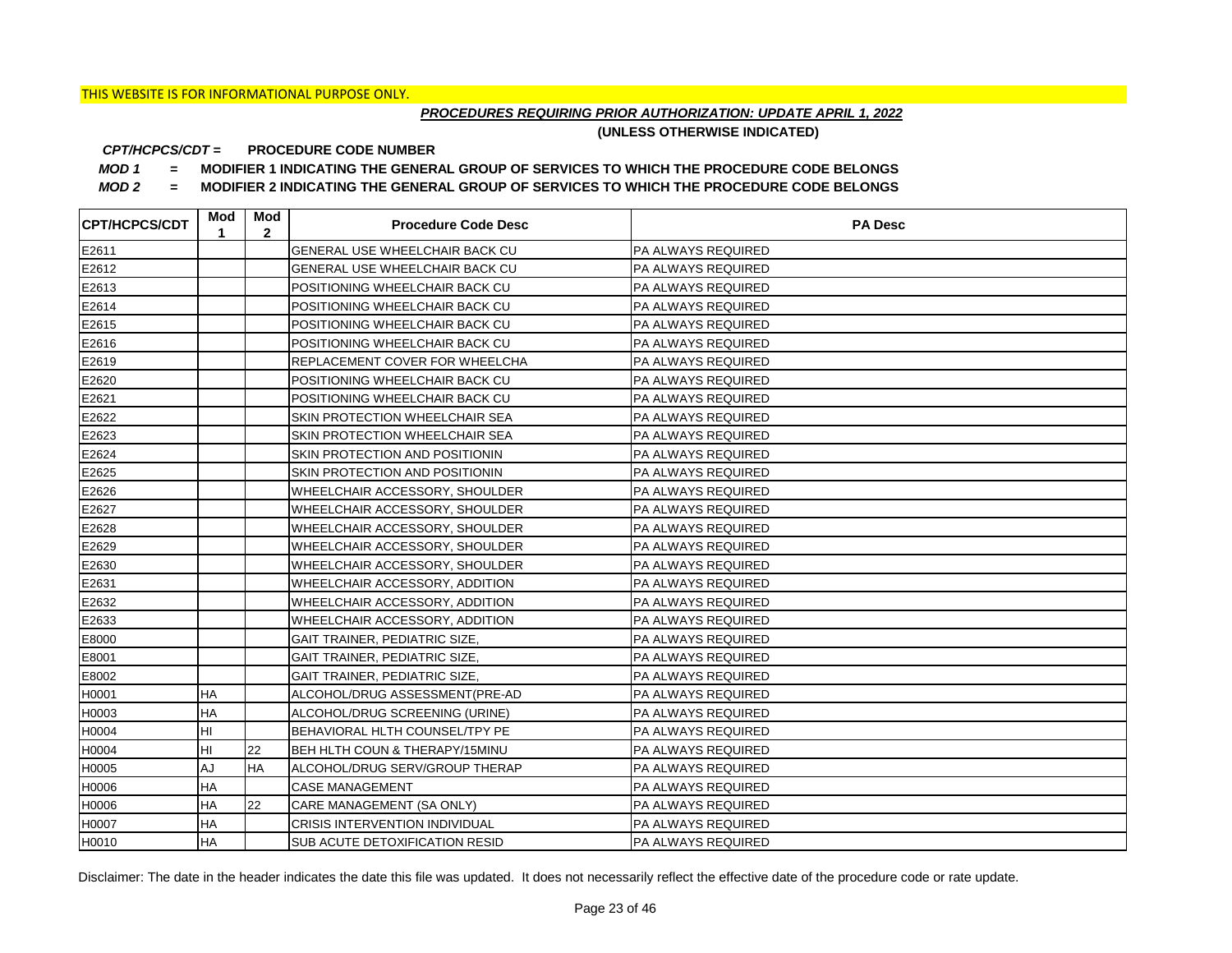## *PROCEDURES REQUIRING PRIOR AUTHORIZATION: UPDATE APRIL 1, 2022*

**(UNLESS OTHERWISE INDICATED)**

#### **PROCEDURE CODE NUMBER** *CPT/HCPCS/CDT =*

*MOD 1 =* **MODIFIER 1 INDICATING THE GENERAL GROUP OF SERVICES TO WHICH THE PROCEDURE CODE BELONGS**

*MOD 2 =* **MODIFIER 2 INDICATING THE GENERAL GROUP OF SERVICES TO WHICH THE PROCEDURE CODE BELONGS**

| <b>CPT/HCPCS/CDT</b> | Mod<br>1  | Mod<br>$\mathbf{2}$ | <b>Procedure Code Desc</b>            | <b>PA Desc</b>            |
|----------------------|-----------|---------------------|---------------------------------------|---------------------------|
| E2611                |           |                     | GENERAL USE WHEELCHAIR BACK CU        | <b>PA ALWAYS REQUIRED</b> |
| E2612                |           |                     | GENERAL USE WHEELCHAIR BACK CU        | <b>PA ALWAYS REQUIRED</b> |
| E2613                |           |                     | POSITIONING WHEELCHAIR BACK CU        | <b>PA ALWAYS REQUIRED</b> |
| E2614                |           |                     | POSITIONING WHEELCHAIR BACK CU        | <b>PA ALWAYS REQUIRED</b> |
| E2615                |           |                     | POSITIONING WHEELCHAIR BACK CU        | PA ALWAYS REQUIRED        |
| E2616                |           |                     | POSITIONING WHEELCHAIR BACK CU        | PA ALWAYS REQUIRED        |
| E2619                |           |                     | REPLACEMENT COVER FOR WHEELCHA        | <b>PA ALWAYS REQUIRED</b> |
| E2620                |           |                     | POSITIONING WHEELCHAIR BACK CU        | PA ALWAYS REQUIRED        |
| E2621                |           |                     | POSITIONING WHEELCHAIR BACK CU        | <b>PA ALWAYS REQUIRED</b> |
| E2622                |           |                     | SKIN PROTECTION WHEELCHAIR SEA        | PA ALWAYS REQUIRED        |
| E2623                |           |                     | SKIN PROTECTION WHEELCHAIR SEA        | PA ALWAYS REQUIRED        |
| E2624                |           |                     | SKIN PROTECTION AND POSITIONIN        | <b>PA ALWAYS REQUIRED</b> |
| E2625                |           |                     | SKIN PROTECTION AND POSITIONIN        | <b>PA ALWAYS REQUIRED</b> |
| E2626                |           |                     | WHEELCHAIR ACCESSORY, SHOULDER        | <b>PA ALWAYS REQUIRED</b> |
| E2627                |           |                     | WHEELCHAIR ACCESSORY, SHOULDER        | PA ALWAYS REQUIRED        |
| E2628                |           |                     | WHEELCHAIR ACCESSORY, SHOULDER        | PA ALWAYS REQUIRED        |
| E2629                |           |                     | WHEELCHAIR ACCESSORY, SHOULDER        | PA ALWAYS REQUIRED        |
| E2630                |           |                     | WHEELCHAIR ACCESSORY, SHOULDER        | PA ALWAYS REQUIRED        |
| E2631                |           |                     | WHEELCHAIR ACCESSORY, ADDITION        | PA ALWAYS REQUIRED        |
| E2632                |           |                     | WHEELCHAIR ACCESSORY, ADDITION        | PA ALWAYS REQUIRED        |
| E2633                |           |                     | WHEELCHAIR ACCESSORY, ADDITION        | PA ALWAYS REQUIRED        |
| E8000                |           |                     | GAIT TRAINER, PEDIATRIC SIZE,         | PA ALWAYS REQUIRED        |
| E8001                |           |                     | GAIT TRAINER, PEDIATRIC SIZE,         | PA ALWAYS REQUIRED        |
| E8002                |           |                     | GAIT TRAINER, PEDIATRIC SIZE,         | PA ALWAYS REQUIRED        |
| H0001                | HA        |                     | ALCOHOL/DRUG ASSESSMENT(PRE-AD        | PA ALWAYS REQUIRED        |
| H0003                | HA        |                     | ALCOHOL/DRUG SCREENING (URINE)        | PA ALWAYS REQUIRED        |
| H0004                | HI        |                     | BEHAVIORAL HLTH COUNSEL/TPY PE        | PA ALWAYS REQUIRED        |
| H0004                | HI        | 22                  | BEH HLTH COUN & THERAPY/15MINU        | PA ALWAYS REQUIRED        |
| H0005                | AJ        | <b>HA</b>           | ALCOHOL/DRUG SERV/GROUP THERAP        | PA ALWAYS REQUIRED        |
| H0006                | <b>HA</b> |                     | <b>CASE MANAGEMENT</b>                | PA ALWAYS REQUIRED        |
| H0006                | HA        | 22                  | CARE MANAGEMENT (SA ONLY)             | PA ALWAYS REQUIRED        |
| H0007                | <b>HA</b> |                     | <b>CRISIS INTERVENTION INDIVIDUAL</b> | PA ALWAYS REQUIRED        |
| H0010                | <b>HA</b> |                     | SUB ACUTE DETOXIFICATION RESID        | PA ALWAYS REQUIRED        |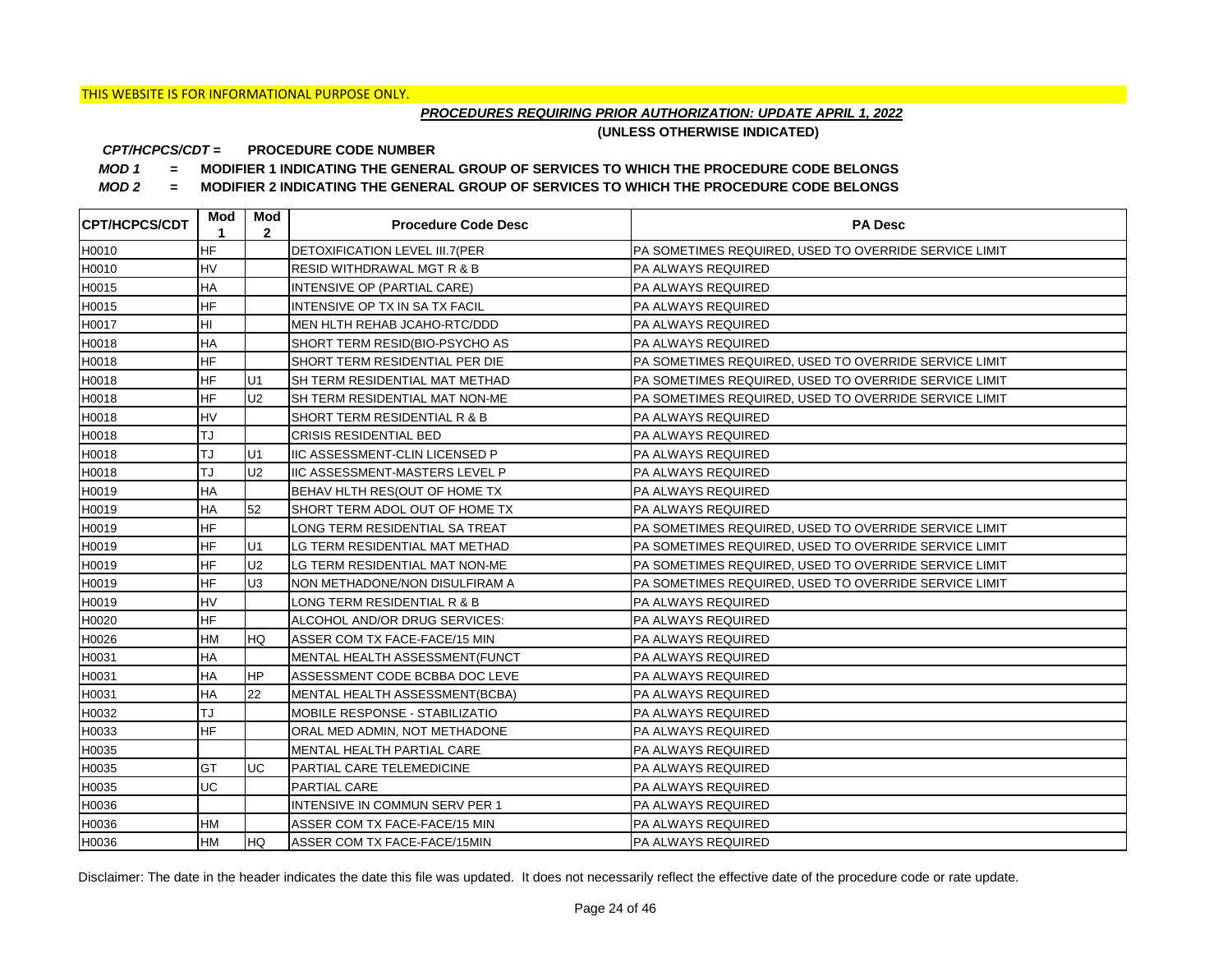## *PROCEDURES REQUIRING PRIOR AUTHORIZATION: UPDATE APRIL 1, 2022*

**(UNLESS OTHERWISE INDICATED)**

#### **PROCEDURE CODE NUMBER** *CPT/HCPCS/CDT =*

*MOD 1 =* **MODIFIER 1 INDICATING THE GENERAL GROUP OF SERVICES TO WHICH THE PROCEDURE CODE BELONGS**

*MOD 2 =* **MODIFIER 2 INDICATING THE GENERAL GROUP OF SERVICES TO WHICH THE PROCEDURE CODE BELONGS**

| <b>CPT/HCPCS/CDT</b> | Mod<br>1  | Mod<br>$\mathbf{2}$ | <b>Procedure Code Desc</b>             | <b>PA Desc</b>                                        |
|----------------------|-----------|---------------------|----------------------------------------|-------------------------------------------------------|
| H0010                | <b>HF</b> |                     | <b>DETOXIFICATION LEVEL III.7 (PER</b> | PA SOMETIMES REQUIRED, USED TO OVERRIDE SERVICE LIMIT |
| H0010                | <b>HV</b> |                     | <b>RESID WITHDRAWAL MGT R &amp; B</b>  | <b>PA ALWAYS REQUIRED</b>                             |
| H0015                | <b>HA</b> |                     | INTENSIVE OP (PARTIAL CARE)            | PA ALWAYS REQUIRED                                    |
| H0015                | <b>HF</b> |                     | INTENSIVE OP TX IN SA TX FACIL         | PA ALWAYS REQUIRED                                    |
| H0017                | HI        |                     | MEN HLTH REHAB JCAHO-RTC/DDD           | <b>PA ALWAYS REQUIRED</b>                             |
| H0018                | HA        |                     | SHORT TERM RESID(BIO-PSYCHO AS         | <b>PA ALWAYS REQUIRED</b>                             |
| H0018                | <b>HF</b> |                     | SHORT TERM RESIDENTIAL PER DIE         | PA SOMETIMES REQUIRED, USED TO OVERRIDE SERVICE LIMIT |
| H0018                | <b>HF</b> | U1                  | SH TERM RESIDENTIAL MAT METHAD         | PA SOMETIMES REQUIRED, USED TO OVERRIDE SERVICE LIMIT |
| H0018                | <b>HF</b> | U <sub>2</sub>      | SH TERM RESIDENTIAL MAT NON-ME         | PA SOMETIMES REQUIRED, USED TO OVERRIDE SERVICE LIMIT |
| H0018                | <b>HV</b> |                     | SHORT TERM RESIDENTIAL R & B           | <b>PA ALWAYS REQUIRED</b>                             |
| H0018                | TJ        |                     | <b>CRISIS RESIDENTIAL BED</b>          | <b>PA ALWAYS REQUIRED</b>                             |
| H0018                | TJ        | U <sub>1</sub>      | <b>IIC ASSESSMENT-CLIN LICENSED P</b>  | <b>PA ALWAYS REQUIRED</b>                             |
| H0018                | TJ        | U <sub>2</sub>      | <b>IIC ASSESSMENT-MASTERS LEVEL P</b>  | <b>PA ALWAYS REQUIRED</b>                             |
| H0019                | <b>HA</b> |                     | BEHAV HLTH RES(OUT OF HOME TX          | PA ALWAYS REQUIRED                                    |
| H0019                | <b>HA</b> | 52                  | SHORT TERM ADOL OUT OF HOME TX         | PA ALWAYS REQUIRED                                    |
| H0019                | <b>HF</b> |                     | LONG TERM RESIDENTIAL SA TREAT         | PA SOMETIMES REQUIRED, USED TO OVERRIDE SERVICE LIMIT |
| H0019                | <b>HF</b> | U1                  | LG TERM RESIDENTIAL MAT METHAD         | PA SOMETIMES REQUIRED, USED TO OVERRIDE SERVICE LIMIT |
| H0019                | <b>HF</b> | U <sub>2</sub>      | LG TERM RESIDENTIAL MAT NON-ME         | PA SOMETIMES REQUIRED, USED TO OVERRIDE SERVICE LIMIT |
| H0019                | <b>HF</b> | U <sub>3</sub>      | NON METHADONE/NON DISULFIRAM A         | PA SOMETIMES REQUIRED, USED TO OVERRIDE SERVICE LIMIT |
| H0019                | <b>HV</b> |                     | LONG TERM RESIDENTIAL R & B            | PA ALWAYS REQUIRED                                    |
| H0020                | <b>HF</b> |                     | ALCOHOL AND/OR DRUG SERVICES:          | PA ALWAYS REQUIRED                                    |
| H0026                | HM        | <b>HQ</b>           | ASSER COM TX FACE-FACE/15 MIN          | <b>PA ALWAYS REQUIRED</b>                             |
| H0031                | HA        |                     | MENTAL HEALTH ASSESSMENT(FUNCT         | PA ALWAYS REQUIRED                                    |
| H0031                | HA        | <b>HP</b>           | ASSESSMENT CODE BCBBA DOC LEVE         | PA ALWAYS REQUIRED                                    |
| H0031                | <b>HA</b> | 22                  | MENTAL HEALTH ASSESSMENT(BCBA)         | <b>PA ALWAYS REQUIRED</b>                             |
| H0032                | TJ        |                     | MOBILE RESPONSE - STABILIZATIO         | PA ALWAYS REQUIRED                                    |
| H0033                | <b>HF</b> |                     | ORAL MED ADMIN, NOT METHADONE          | PA ALWAYS REQUIRED                                    |
| H0035                |           |                     | MENTAL HEALTH PARTIAL CARE             | PA ALWAYS REQUIRED                                    |
| H0035                | GT        | <b>UC</b>           | PARTIAL CARE TELEMEDICINE              | PA ALWAYS REQUIRED                                    |
| H0035                | <b>UC</b> |                     | PARTIAL CARE                           | PA ALWAYS REQUIRED                                    |
| H0036                |           |                     | INTENSIVE IN COMMUN SERV PER 1         | PA ALWAYS REQUIRED                                    |
| H0036                | <b>HM</b> |                     | ASSER COM TX FACE-FACE/15 MIN          | PA ALWAYS REQUIRED                                    |
| H0036                | <b>HM</b> | <b>IHQ</b>          | ASSER COM TX FACE-FACE/15MIN           | <b>PA ALWAYS REQUIRED</b>                             |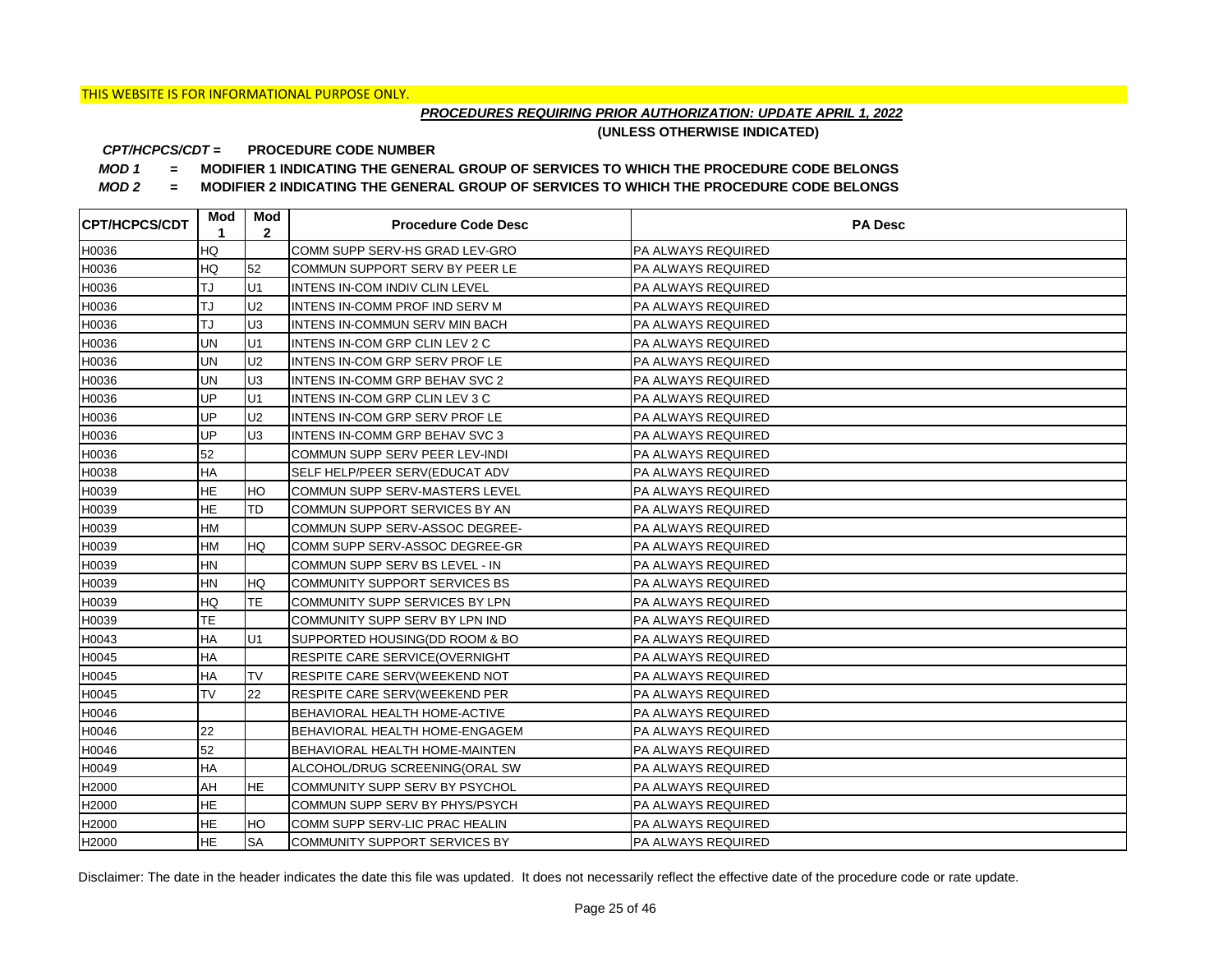## *PROCEDURES REQUIRING PRIOR AUTHORIZATION: UPDATE APRIL 1, 2022*

**(UNLESS OTHERWISE INDICATED)**

#### **PROCEDURE CODE NUMBER** *CPT/HCPCS/CDT =*

*MOD 1 =* **MODIFIER 1 INDICATING THE GENERAL GROUP OF SERVICES TO WHICH THE PROCEDURE CODE BELONGS**

*MOD 2 =* **MODIFIER 2 INDICATING THE GENERAL GROUP OF SERVICES TO WHICH THE PROCEDURE CODE BELONGS**

| <b>CPT/HCPCS/CDT</b> | Mod<br>1  | Mod<br>$\mathbf{2}$ | <b>Procedure Code Desc</b>      | <b>PA Desc</b>            |
|----------------------|-----------|---------------------|---------------------------------|---------------------------|
| H0036                | HQ        |                     | COMM SUPP SERV-HS GRAD LEV-GRO  | PA ALWAYS REQUIRED        |
| H0036                | HQ        | 52                  | COMMUN SUPPORT SERV BY PEER LE  | <b>PA ALWAYS REQUIRED</b> |
| H0036                | TJ        | U1                  | INTENS IN-COM INDIV CLIN LEVEL  | <b>PA ALWAYS REQUIRED</b> |
| H0036                | TJ        | U <sub>2</sub>      | INTENS IN-COMM PROF IND SERV M  | PA ALWAYS REQUIRED        |
| H0036                | TJ        | U <sub>3</sub>      | INTENS IN-COMMUN SERV MIN BACH  | PA ALWAYS REQUIRED        |
| H0036                | UN        | U1                  | INTENS IN-COM GRP CLIN LEV 2 C  | PA ALWAYS REQUIRED        |
| H0036                | <b>UN</b> | U <sub>2</sub>      | INTENS IN-COM GRP SERV PROF LE  | PA ALWAYS REQUIRED        |
| H0036                | UN        | U <sub>3</sub>      | INTENS IN-COMM GRP BEHAV SVC 2  | PA ALWAYS REQUIRED        |
| H0036                | UP        | U1                  | INTENS IN-COM GRP CLIN LEV 3 C  | PA ALWAYS REQUIRED        |
| H0036                | UP        | U <sub>2</sub>      | INTENS IN-COM GRP SERV PROF LE  | PA ALWAYS REQUIRED        |
| H0036                | UP        | U <sub>3</sub>      | INTENS IN-COMM GRP BEHAV SVC 3  | PA ALWAYS REQUIRED        |
| H0036                | 52        |                     | COMMUN SUPP SERV PEER LEV-INDI  | PA ALWAYS REQUIRED        |
| H0038                | HA        |                     | SELF HELP/PEER SERV(EDUCAT ADV  | <b>PA ALWAYS REQUIRED</b> |
| H0039                | <b>HE</b> | HO                  | COMMUN SUPP SERV-MASTERS LEVEL  | <b>PA ALWAYS REQUIRED</b> |
| H0039                | <b>HE</b> | <b>TD</b>           | COMMUN SUPPORT SERVICES BY AN   | <b>PA ALWAYS REQUIRED</b> |
| H0039                | HM        |                     | COMMUN SUPP SERV-ASSOC DEGREE-  | PA ALWAYS REQUIRED        |
| H0039                | <b>HM</b> | <b>HQ</b>           | COMM SUPP SERV-ASSOC DEGREE-GR  | PA ALWAYS REQUIRED        |
| H0039                | <b>HN</b> |                     | COMMUN SUPP SERV BS LEVEL - IN  | PA ALWAYS REQUIRED        |
| H0039                | <b>HN</b> | <b>HQ</b>           | COMMUNITY SUPPORT SERVICES BS   | <b>PA ALWAYS REQUIRED</b> |
| H0039                | HQ        | <b>TE</b>           | COMMUNITY SUPP SERVICES BY LPN  | <b>PA ALWAYS REQUIRED</b> |
| H0039                | <b>TE</b> |                     | COMMUNITY SUPP SERV BY LPN IND  | <b>PA ALWAYS REQUIRED</b> |
| H0043                | HA        | U1                  | SUPPORTED HOUSING(DD ROOM & BO  | PA ALWAYS REQUIRED        |
| H0045                | ΗA        |                     | RESPITE CARE SERVICE (OVERNIGHT | PA ALWAYS REQUIRED        |
| H0045                | HA        | <b>TV</b>           | RESPITE CARE SERV(WEEKEND NOT   | <b>PA ALWAYS REQUIRED</b> |
| H0045                | <b>TV</b> | 22                  | RESPITE CARE SERV(WEEKEND PER   | <b>PA ALWAYS REQUIRED</b> |
| H0046                |           |                     | BEHAVIORAL HEALTH HOME-ACTIVE   | <b>PA ALWAYS REQUIRED</b> |
| H0046                | 22        |                     | BEHAVIORAL HEALTH HOME-ENGAGEM  | <b>PA ALWAYS REQUIRED</b> |
| H0046                | 52        |                     | BEHAVIORAL HEALTH HOME-MAINTEN  | PA ALWAYS REQUIRED        |
| H0049                | HA        |                     | ALCOHOL/DRUG SCREENING(ORAL SW  | PA ALWAYS REQUIRED        |
| H2000                | AH        | <b>HE</b>           | COMMUNITY SUPP SERV BY PSYCHOL  | PA ALWAYS REQUIRED        |
| H2000                | <b>HE</b> |                     | COMMUN SUPP SERV BY PHYS/PSYCH  | PA ALWAYS REQUIRED        |
| H2000                | <b>HE</b> | HO                  | COMM SUPP SERV-LIC PRAC HEALIN  | PA ALWAYS REQUIRED        |
| H2000                | <b>HE</b> | <b>SA</b>           | COMMUNITY SUPPORT SERVICES BY   | PA ALWAYS REQUIRED        |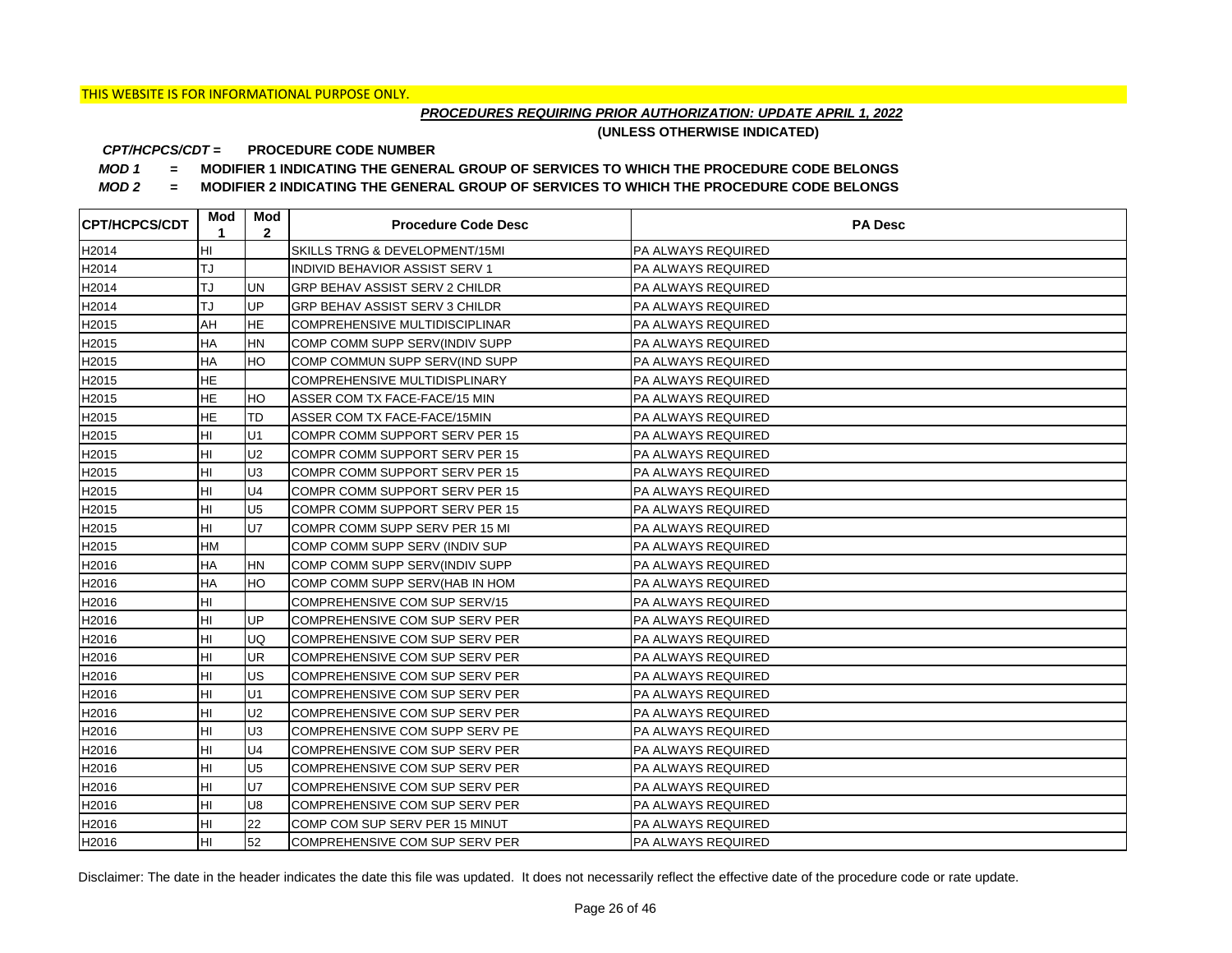## *PROCEDURES REQUIRING PRIOR AUTHORIZATION: UPDATE APRIL 1, 2022*

**(UNLESS OTHERWISE INDICATED)**

#### **PROCEDURE CODE NUMBER** *CPT/HCPCS/CDT =*

*MOD 1 =* **MODIFIER 1 INDICATING THE GENERAL GROUP OF SERVICES TO WHICH THE PROCEDURE CODE BELONGS**

*MOD 2 =* **MODIFIER 2 INDICATING THE GENERAL GROUP OF SERVICES TO WHICH THE PROCEDURE CODE BELONGS**

| <b>CPT/HCPCS/CDT</b> | Mod<br>1  | Mod<br>$\mathbf{2}$ | <b>Procedure Code Desc</b>     | <b>PA Desc</b>            |
|----------------------|-----------|---------------------|--------------------------------|---------------------------|
| H2014                | HI        |                     | SKILLS TRNG & DEVELOPMENT/15MI | <b>PA ALWAYS REQUIRED</b> |
| H2014                | TJ        |                     | INDIVID BEHAVIOR ASSIST SERV 1 | PA ALWAYS REQUIRED        |
| H2014                | TJ        | <b>UN</b>           | GRP BEHAV ASSIST SERV 2 CHILDR | PA ALWAYS REQUIRED        |
| H2014                | TJ        | UP                  | GRP BEHAV ASSIST SERV 3 CHILDR | PA ALWAYS REQUIRED        |
| H2015                | AH        | <b>HE</b>           | COMPREHENSIVE MULTIDISCIPLINAR | PA ALWAYS REQUIRED        |
| H2015                | <b>HA</b> | <b>HN</b>           | COMP COMM SUPP SERV(INDIV SUPP | <b>PA ALWAYS REQUIRED</b> |
| H2015                | <b>HA</b> | <b>HO</b>           | COMP COMMUN SUPP SERV(IND SUPP | PA ALWAYS REQUIRED        |
| H2015                | <b>HE</b> |                     | COMPREHENSIVE MULTIDISPLINARY  | PA ALWAYS REQUIRED        |
| H2015                | <b>HE</b> | HO                  | ASSER COM TX FACE-FACE/15 MIN  | PA ALWAYS REQUIRED        |
| H2015                | <b>HE</b> | TD                  | ASSER COM TX FACE-FACE/15MIN   | PA ALWAYS REQUIRED        |
| H2015                | HI        | U1                  | COMPR COMM SUPPORT SERV PER 15 | PA ALWAYS REQUIRED        |
| H2015                | HI        | U <sub>2</sub>      | COMPR COMM SUPPORT SERV PER 15 | PA ALWAYS REQUIRED        |
| H2015                | HI        | U <sub>3</sub>      | COMPR COMM SUPPORT SERV PER 15 | PA ALWAYS REQUIRED        |
| H2015                | HI        | U <sub>4</sub>      | COMPR COMM SUPPORT SERV PER 15 | PA ALWAYS REQUIRED        |
| H2015                | HI        | U <sub>5</sub>      | COMPR COMM SUPPORT SERV PER 15 | PA ALWAYS REQUIRED        |
| H2015                | HI        | U7                  | COMPR COMM SUPP SERV PER 15 MI | PA ALWAYS REQUIRED        |
| H2015                | HM        |                     | COMP COMM SUPP SERV (INDIV SUP | PA ALWAYS REQUIRED        |
| H2016                | HA        | <b>HN</b>           | COMP COMM SUPP SERV(INDIV SUPP | PA ALWAYS REQUIRED        |
| H2016                | HA        | HO                  | COMP COMM SUPP SERV(HAB IN HOM | PA ALWAYS REQUIRED        |
| H2016                | HI        |                     | COMPREHENSIVE COM SUP SERV/15  | PA ALWAYS REQUIRED        |
| H2016                | HI        | UP                  | COMPREHENSIVE COM SUP SERV PER | PA ALWAYS REQUIRED        |
| H2016                | HI        | UQ                  | COMPREHENSIVE COM SUP SERV PER | PA ALWAYS REQUIRED        |
| H2016                | HI        | <b>UR</b>           | COMPREHENSIVE COM SUP SERV PER | PA ALWAYS REQUIRED        |
| H2016                | HI        | US                  | COMPREHENSIVE COM SUP SERV PER | PA ALWAYS REQUIRED        |
| H2016                | HI        | U1                  | COMPREHENSIVE COM SUP SERV PER | PA ALWAYS REQUIRED        |
| H2016                | HI        | U <sub>2</sub>      | COMPREHENSIVE COM SUP SERV PER | PA ALWAYS REQUIRED        |
| H2016                | HI        | U <sub>3</sub>      | COMPREHENSIVE COM SUPP SERV PE | PA ALWAYS REQUIRED        |
| H2016                | HI        | U <sub>4</sub>      | COMPREHENSIVE COM SUP SERV PER | PA ALWAYS REQUIRED        |
| H2016                | HI        | U <sub>5</sub>      | COMPREHENSIVE COM SUP SERV PER | PA ALWAYS REQUIRED        |
| H2016                | HI        | <b>U7</b>           | COMPREHENSIVE COM SUP SERV PER | PA ALWAYS REQUIRED        |
| H2016                | HI        | U8                  | COMPREHENSIVE COM SUP SERV PER | PA ALWAYS REQUIRED        |
| H2016                | HI        | 22                  | COMP COM SUP SERV PER 15 MINUT | PA ALWAYS REQUIRED        |
| H2016                | HI        | 52                  | COMPREHENSIVE COM SUP SERV PER | PA ALWAYS REQUIRED        |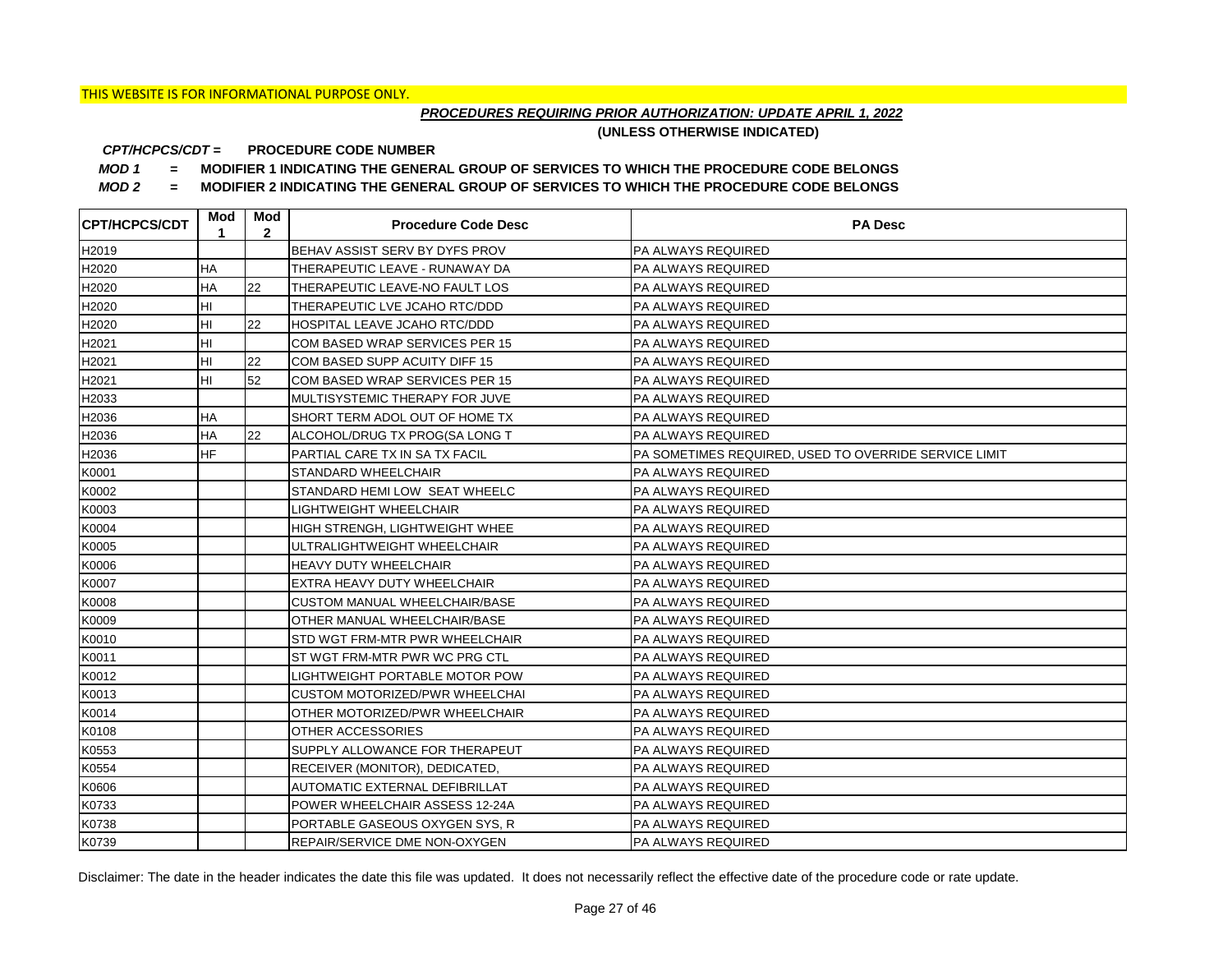## *PROCEDURES REQUIRING PRIOR AUTHORIZATION: UPDATE APRIL 1, 2022*

**(UNLESS OTHERWISE INDICATED)**

#### **PROCEDURE CODE NUMBER** *CPT/HCPCS/CDT =*

*MOD 1 =* **MODIFIER 1 INDICATING THE GENERAL GROUP OF SERVICES TO WHICH THE PROCEDURE CODE BELONGS**

*MOD 2 =* **MODIFIER 2 INDICATING THE GENERAL GROUP OF SERVICES TO WHICH THE PROCEDURE CODE BELONGS**

| <b>CPT/HCPCS/CDT</b> | Mod<br>1  | Mod<br>$\mathbf{2}$ | <b>Procedure Code Desc</b>           | <b>PA Desc</b>                                        |
|----------------------|-----------|---------------------|--------------------------------------|-------------------------------------------------------|
| H2019                |           |                     | BEHAV ASSIST SERV BY DYFS PROV       | PA ALWAYS REQUIRED                                    |
| H2020                | HA        |                     | THERAPEUTIC LEAVE - RUNAWAY DA       | <b>PA ALWAYS REQUIRED</b>                             |
| H2020                | <b>HA</b> | 22                  | THERAPEUTIC LEAVE-NO FAULT LOS       | <b>PA ALWAYS REQUIRED</b>                             |
| H2020                | HI        |                     | THERAPEUTIC LVE JCAHO RTC/DDD        | PA ALWAYS REQUIRED                                    |
| H2020                | HI        | 22                  | HOSPITAL LEAVE JCAHO RTC/DDD         | PA ALWAYS REQUIRED                                    |
| H2021                | HI        |                     | COM BASED WRAP SERVICES PER 15       | PA ALWAYS REQUIRED                                    |
| H2021                | HI        | 22                  | COM BASED SUPP ACUITY DIFF 15        | PA ALWAYS REQUIRED                                    |
| H2021                | HI        | 52                  | COM BASED WRAP SERVICES PER 15       | PA ALWAYS REQUIRED                                    |
| H2033                |           |                     | MULTISYSTEMIC THERAPY FOR JUVE       | PA ALWAYS REQUIRED                                    |
| H2036                | HA        |                     | SHORT TERM ADOL OUT OF HOME TX       | PA ALWAYS REQUIRED                                    |
| H2036                | HA        | 22                  | ALCOHOL/DRUG TX PROG(SA LONG T       | PA ALWAYS REQUIRED                                    |
| H2036                | <b>HF</b> |                     | PARTIAL CARE TX IN SA TX FACIL       | PA SOMETIMES REQUIRED, USED TO OVERRIDE SERVICE LIMIT |
| K0001                |           |                     | STANDARD WHEELCHAIR                  | PA ALWAYS REQUIRED                                    |
| K0002                |           |                     | STANDARD HEMI LOW SEAT WHEELC        | <b>PA ALWAYS REQUIRED</b>                             |
| K0003                |           |                     | LIGHTWEIGHT WHEELCHAIR               | <b>PA ALWAYS REQUIRED</b>                             |
| K0004                |           |                     | HIGH STRENGH. LIGHTWEIGHT WHEE       | PA ALWAYS REQUIRED                                    |
| K0005                |           |                     | ULTRALIGHTWEIGHT WHEELCHAIR          | PA ALWAYS REQUIRED                                    |
| K0006                |           |                     | <b>HEAVY DUTY WHEELCHAIR</b>         | PA ALWAYS REQUIRED                                    |
| K0007                |           |                     | EXTRA HEAVY DUTY WHEELCHAIR          | <b>PA ALWAYS REQUIRED</b>                             |
| K0008                |           |                     | <b>CUSTOM MANUAL WHEELCHAIR/BASE</b> | <b>PA ALWAYS REQUIRED</b>                             |
| K0009                |           |                     | OTHER MANUAL WHEELCHAIR/BASE         | <b>PA ALWAYS REQUIRED</b>                             |
| K0010                |           |                     | STD WGT FRM-MTR PWR WHEELCHAIR       | PA ALWAYS REQUIRED                                    |
| K0011                |           |                     | ST WGT FRM-MTR PWR WC PRG CTL        | PA ALWAYS REQUIRED                                    |
| K0012                |           |                     | LIGHTWEIGHT PORTABLE MOTOR POW       | PA ALWAYS REQUIRED                                    |
| K0013                |           |                     | CUSTOM MOTORIZED/PWR WHEELCHAI       | <b>PA ALWAYS REQUIRED</b>                             |
| K0014                |           |                     | OTHER MOTORIZED/PWR WHEELCHAIR       | <b>PA ALWAYS REQUIRED</b>                             |
| K0108                |           |                     | OTHER ACCESSORIES                    | <b>PA ALWAYS REQUIRED</b>                             |
| K0553                |           |                     | SUPPLY ALLOWANCE FOR THERAPEUT       | PA ALWAYS REQUIRED                                    |
| K0554                |           |                     | RECEIVER (MONITOR), DEDICATED,       | PA ALWAYS REQUIRED                                    |
| K0606                |           |                     | AUTOMATIC EXTERNAL DEFIBRILLAT       | <b>PA ALWAYS REQUIRED</b>                             |
| K0733                |           |                     | POWER WHEELCHAIR ASSESS 12-24A       | PA ALWAYS REQUIRED                                    |
| K0738                |           |                     | PORTABLE GASEOUS OXYGEN SYS, R       | PA ALWAYS REQUIRED                                    |
| K0739                |           |                     | REPAIR/SERVICE DME NON-OXYGEN        | <b>PA ALWAYS REQUIRED</b>                             |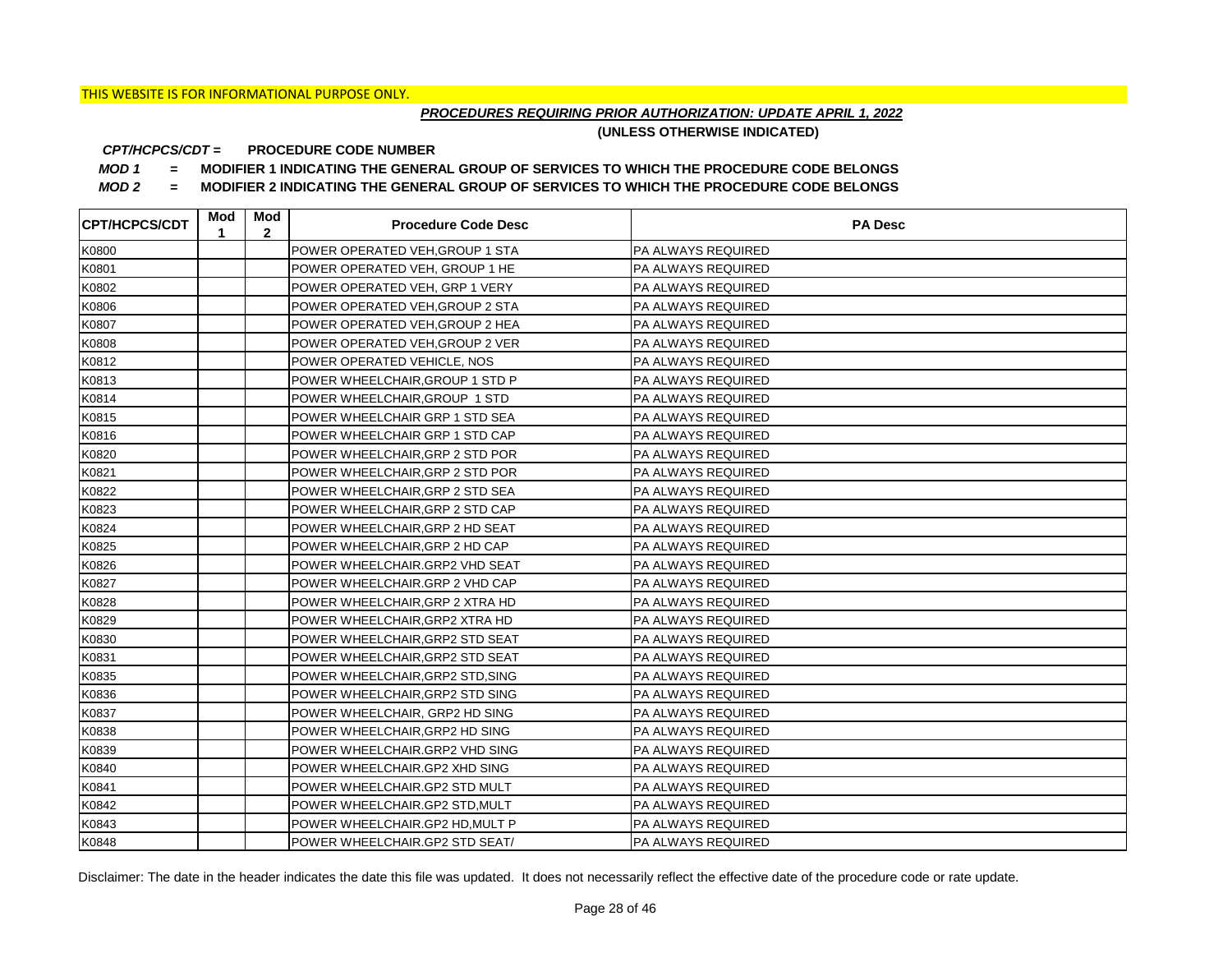## *PROCEDURES REQUIRING PRIOR AUTHORIZATION: UPDATE APRIL 1, 2022*

**(UNLESS OTHERWISE INDICATED)**

#### **PROCEDURE CODE NUMBER** *CPT/HCPCS/CDT =*

*MOD 1 =* **MODIFIER 1 INDICATING THE GENERAL GROUP OF SERVICES TO WHICH THE PROCEDURE CODE BELONGS**

*MOD 2 =* **MODIFIER 2 INDICATING THE GENERAL GROUP OF SERVICES TO WHICH THE PROCEDURE CODE BELONGS**

| <b>ICPT/HCPCS/CDT</b> | Mod<br>1 | Mod<br>$\mathbf{2}$ | <b>Procedure Code Desc</b>       | <b>PA Desc</b>            |
|-----------------------|----------|---------------------|----------------------------------|---------------------------|
| K0800                 |          |                     | POWER OPERATED VEH, GROUP 1 STA  | <b>PA ALWAYS REQUIRED</b> |
| K0801                 |          |                     | POWER OPERATED VEH, GROUP 1 HE   | <b>PA ALWAYS REQUIRED</b> |
| K0802                 |          |                     | POWER OPERATED VEH, GRP 1 VERY   | <b>PA ALWAYS REQUIRED</b> |
| K0806                 |          |                     | POWER OPERATED VEH, GROUP 2 STA  | <b>PA ALWAYS REQUIRED</b> |
| K0807                 |          |                     | POWER OPERATED VEH, GROUP 2 HEA  | PA ALWAYS REQUIRED        |
| K0808                 |          |                     | POWER OPERATED VEH, GROUP 2 VER  | <b>PA ALWAYS REQUIRED</b> |
| K0812                 |          |                     | POWER OPERATED VEHICLE, NOS      | <b>PA ALWAYS REQUIRED</b> |
| K0813                 |          |                     | POWER WHEELCHAIR, GROUP 1 STD P  | <b>PA ALWAYS REQUIRED</b> |
| K0814                 |          |                     | POWER WHEELCHAIR, GROUP 1 STD    | PA ALWAYS REQUIRED        |
| K0815                 |          |                     | POWER WHEELCHAIR GRP 1 STD SEA   | PA ALWAYS REQUIRED        |
| K0816                 |          |                     | POWER WHEELCHAIR GRP 1 STD CAP   | PA ALWAYS REQUIRED        |
| K0820                 |          |                     | POWER WHEELCHAIR, GRP 2 STD POR  | <b>PA ALWAYS REQUIRED</b> |
| K0821                 |          |                     | POWER WHEELCHAIR, GRP 2 STD POR  | PA ALWAYS REQUIRED        |
| K0822                 |          |                     | POWER WHEELCHAIR, GRP 2 STD SEA  | <b>PA ALWAYS REQUIRED</b> |
| K0823                 |          |                     | POWER WHEELCHAIR.GRP 2 STD CAP   | IPA ALWAYS REQUIRED       |
| K0824                 |          |                     | POWER WHEELCHAIR.GRP 2 HD SEAT   | <b>PA ALWAYS REQUIRED</b> |
| K0825                 |          |                     | POWER WHEELCHAIR, GRP 2 HD CAP   | IPA ALWAYS REQUIRED       |
| K0826                 |          |                     | POWER WHEELCHAIR.GRP2 VHD SEAT   | <b>PA ALWAYS REQUIRED</b> |
| K0827                 |          |                     | POWER WHEELCHAIR.GRP 2 VHD CAP   | <b>PA ALWAYS REQUIRED</b> |
| K0828                 |          |                     | POWER WHEELCHAIR, GRP 2 XTRA HD  | <b>PA ALWAYS REQUIRED</b> |
| K0829                 |          |                     | POWER WHEELCHAIR, GRP2 XTRA HD   | <b>PA ALWAYS REQUIRED</b> |
| K0830                 |          |                     | POWER WHEELCHAIR,GRP2 STD SEAT   | PA ALWAYS REQUIRED        |
| K0831                 |          |                     | POWER WHEELCHAIR,GRP2 STD SEAT   | <b>PA ALWAYS REQUIRED</b> |
| K0835                 |          |                     | POWER WHEELCHAIR, GRP2 STD, SING | <b>PA ALWAYS REQUIRED</b> |
| K0836                 |          |                     | POWER WHEELCHAIR, GRP2 STD SING  | <b>PA ALWAYS REQUIRED</b> |
| K0837                 |          |                     | POWER WHEELCHAIR, GRP2 HD SING   | <b>PA ALWAYS REQUIRED</b> |
| K0838                 |          |                     | POWER WHEELCHAIR, GRP2 HD SING   | <b>PA ALWAYS REQUIRED</b> |
| K0839                 |          |                     | POWER WHEELCHAIR.GRP2 VHD SING   | <b>PA ALWAYS REQUIRED</b> |
| K0840                 |          |                     | POWER WHEELCHAIR.GP2 XHD SING    | <b>PA ALWAYS REQUIRED</b> |
| K0841                 |          |                     | POWER WHEELCHAIR.GP2 STD MULT    | <b>PA ALWAYS REQUIRED</b> |
| K0842                 |          |                     | POWER WHEELCHAIR.GP2 STD, MULT   | <b>PA ALWAYS REQUIRED</b> |
| K0843                 |          |                     | POWER WHEELCHAIR.GP2 HD, MULT P  | <b>PA ALWAYS REQUIRED</b> |
| K0848                 |          |                     | POWER WHEELCHAIR.GP2 STD SEAT/   | <b>PA ALWAYS REQUIRED</b> |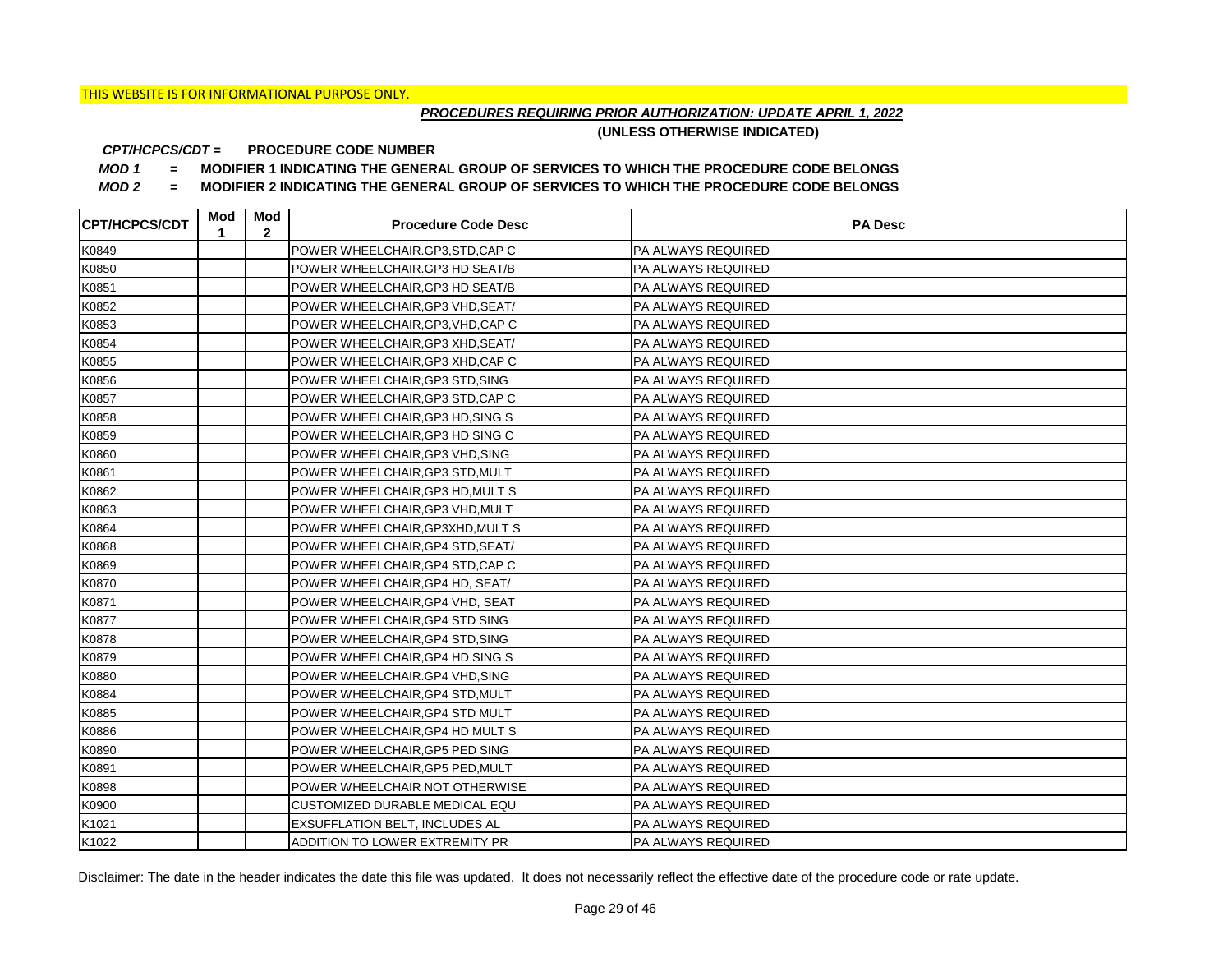## *PROCEDURES REQUIRING PRIOR AUTHORIZATION: UPDATE APRIL 1, 2022*

**(UNLESS OTHERWISE INDICATED)**

#### **PROCEDURE CODE NUMBER** *CPT/HCPCS/CDT =*

*MOD 1 =* **MODIFIER 1 INDICATING THE GENERAL GROUP OF SERVICES TO WHICH THE PROCEDURE CODE BELONGS**

*MOD 2 =* **MODIFIER 2 INDICATING THE GENERAL GROUP OF SERVICES TO WHICH THE PROCEDURE CODE BELONGS**

| <b>CPT/HCPCS/CDT</b> | Mod<br>1 | Mod<br>$\mathbf{2}$ | <b>Procedure Code Desc</b>        | <b>PA Desc</b>            |
|----------------------|----------|---------------------|-----------------------------------|---------------------------|
| K0849                |          |                     | POWER WHEELCHAIR.GP3,STD,CAP C    | <b>PA ALWAYS REQUIRED</b> |
| K0850                |          |                     | POWER WHEELCHAIR.GP3 HD SEAT/B    | <b>PA ALWAYS REQUIRED</b> |
| K0851                |          |                     | POWER WHEELCHAIR, GP3 HD SEAT/B   | <b>PA ALWAYS REQUIRED</b> |
| K0852                |          |                     | POWER WHEELCHAIR, GP3 VHD, SEAT/  | <b>PA ALWAYS REQUIRED</b> |
| K0853                |          |                     | POWER WHEELCHAIR, GP3, VHD, CAP C | <b>PA ALWAYS REQUIRED</b> |
| K0854                |          |                     | POWER WHEELCHAIR, GP3 XHD, SEAT/  | PA ALWAYS REQUIRED        |
| K0855                |          |                     | POWER WHEELCHAIR, GP3 XHD, CAP C  | <b>PA ALWAYS REQUIRED</b> |
| K0856                |          |                     | POWER WHEELCHAIR, GP3 STD, SING   | PA ALWAYS REQUIRED        |
| K0857                |          |                     | POWER WHEELCHAIR, GP3 STD, CAP C  | <b>PA ALWAYS REQUIRED</b> |
| K0858                |          |                     | POWER WHEELCHAIR, GP3 HD, SING S  | PA ALWAYS REQUIRED        |
| K0859                |          |                     | POWER WHEELCHAIR, GP3 HD SING C   | <b>PA ALWAYS REQUIRED</b> |
| K0860                |          |                     | POWER WHEELCHAIR, GP3 VHD, SING   | <b>PA ALWAYS REQUIRED</b> |
| K0861                |          |                     | POWER WHEELCHAIR, GP3 STD, MULT   | <b>PA ALWAYS REQUIRED</b> |
| K0862                |          |                     | POWER WHEELCHAIR, GP3 HD, MULT S  | <b>PA ALWAYS REQUIRED</b> |
| K0863                |          |                     | POWER WHEELCHAIR, GP3 VHD, MULT   | PA ALWAYS REQUIRED        |
| K0864                |          |                     | POWER WHEELCHAIR, GP3XHD, MULT S  | PA ALWAYS REQUIRED        |
| K0868                |          |                     | POWER WHEELCHAIR, GP4 STD, SEAT/  | <b>PA ALWAYS REQUIRED</b> |
| K0869                |          |                     | POWER WHEELCHAIR, GP4 STD, CAP C  | PA ALWAYS REQUIRED        |
| K0870                |          |                     | POWER WHEELCHAIR, GP4 HD, SEAT/   | PA ALWAYS REQUIRED        |
| K0871                |          |                     | POWER WHEELCHAIR, GP4 VHD, SEAT   | PA ALWAYS REQUIRED        |
| K0877                |          |                     | POWER WHEELCHAIR, GP4 STD SING    | PA ALWAYS REQUIRED        |
| K0878                |          |                     | POWER WHEELCHAIR, GP4 STD, SING   | PA ALWAYS REQUIRED        |
| K0879                |          |                     | POWER WHEELCHAIR, GP4 HD SING S   | PA ALWAYS REQUIRED        |
| K0880                |          |                     | POWER WHEELCHAIR.GP4 VHD, SING    | PA ALWAYS REQUIRED        |
| K0884                |          |                     | POWER WHEELCHAIR, GP4 STD, MULT   | <b>PA ALWAYS REQUIRED</b> |
| K0885                |          |                     | POWER WHEELCHAIR, GP4 STD MULT    | PA ALWAYS REQUIRED        |
| K0886                |          |                     | POWER WHEELCHAIR, GP4 HD MULT S   | PA ALWAYS REQUIRED        |
| K0890                |          |                     | POWER WHEELCHAIR, GP5 PED SING    | PA ALWAYS REQUIRED        |
| K0891                |          |                     | POWER WHEELCHAIR, GP5 PED, MULT   | PA ALWAYS REQUIRED        |
| K0898                |          |                     | POWER WHEELCHAIR NOT OTHERWISE    | PA ALWAYS REQUIRED        |
| K0900                |          |                     | CUSTOMIZED DURABLE MEDICAL EQU    | PA ALWAYS REQUIRED        |
| K1021                |          |                     | EXSUFFLATION BELT, INCLUDES AL    | PA ALWAYS REQUIRED        |
| K1022                |          |                     | ADDITION TO LOWER EXTREMITY PR    | <b>PA ALWAYS REQUIRED</b> |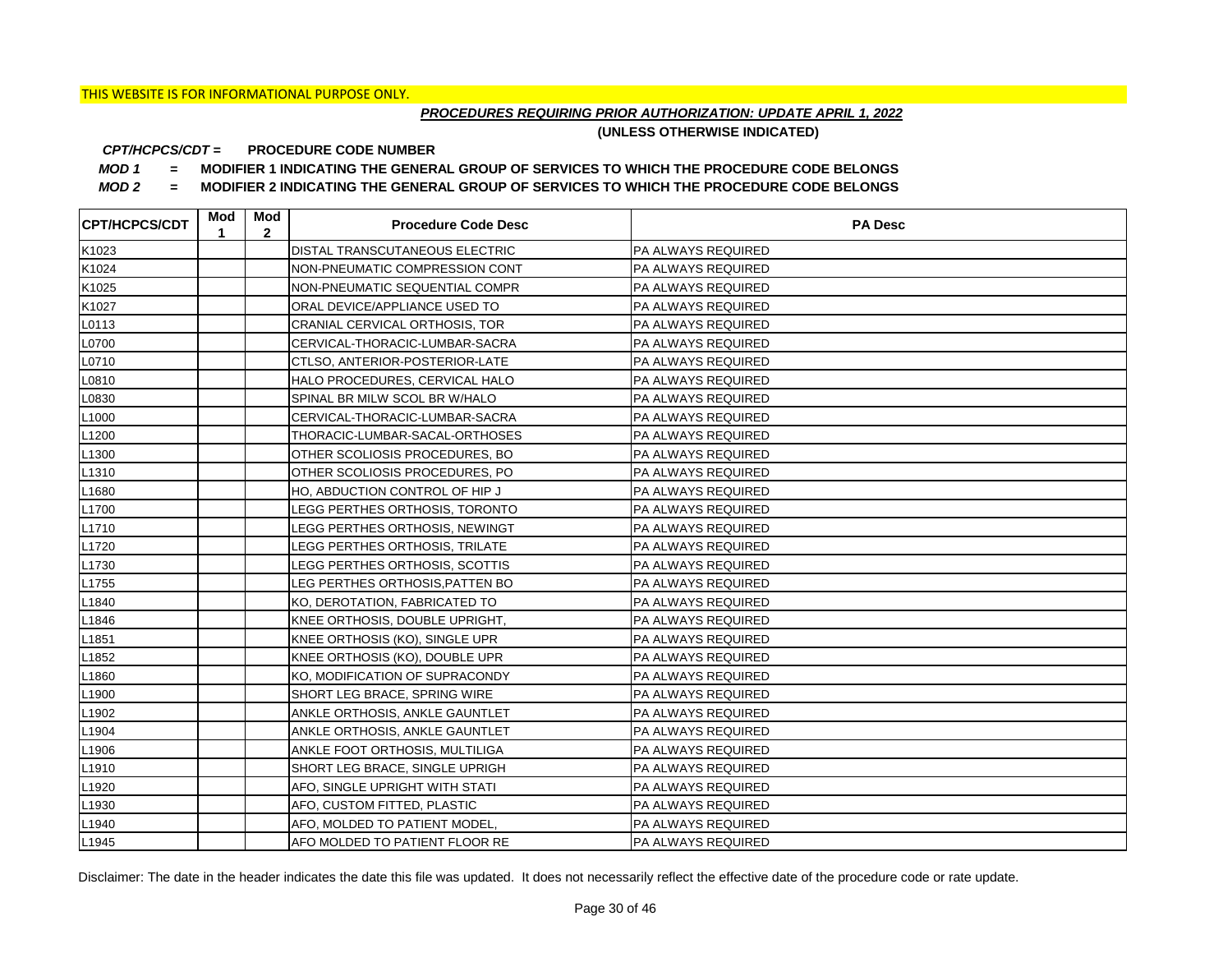## *PROCEDURES REQUIRING PRIOR AUTHORIZATION: UPDATE APRIL 1, 2022*

**(UNLESS OTHERWISE INDICATED)**

#### **PROCEDURE CODE NUMBER** *CPT/HCPCS/CDT =*

*MOD 1 =* **MODIFIER 1 INDICATING THE GENERAL GROUP OF SERVICES TO WHICH THE PROCEDURE CODE BELONGS**

*MOD 2 =* **MODIFIER 2 INDICATING THE GENERAL GROUP OF SERVICES TO WHICH THE PROCEDURE CODE BELONGS**

| <b>CPT/HCPCS/CDT</b> | Mod<br>1 | Mod<br>$\mathbf{2}$ | <b>Procedure Code Desc</b>      | <b>PA Desc</b>            |
|----------------------|----------|---------------------|---------------------------------|---------------------------|
| K1023                |          |                     | DISTAL TRANSCUTANEOUS ELECTRIC  | <b>PA ALWAYS REQUIRED</b> |
| K1024                |          |                     | NON-PNEUMATIC COMPRESSION CONT  | <b>PA ALWAYS REQUIRED</b> |
| K1025                |          |                     | NON-PNEUMATIC SEQUENTIAL COMPR  | <b>PA ALWAYS REQUIRED</b> |
| K1027                |          |                     | ORAL DEVICE/APPLIANCE USED TO   | <b>PA ALWAYS REQUIRED</b> |
| L0113                |          |                     | CRANIAL CERVICAL ORTHOSIS, TOR  | PA ALWAYS REQUIRED        |
| L0700                |          |                     | CERVICAL-THORACIC-LUMBAR-SACRA  | PA ALWAYS REQUIRED        |
| L0710                |          |                     | CTLSO, ANTERIOR-POSTERIOR-LATE  | <b>PA ALWAYS REQUIRED</b> |
| L0810                |          |                     | HALO PROCEDURES, CERVICAL HALO  | <b>PA ALWAYS REQUIRED</b> |
| L0830                |          |                     | SPINAL BR MILW SCOL BR W/HALO   | <b>PA ALWAYS REQUIRED</b> |
| L <sub>1000</sub>    |          |                     | CERVICAL-THORACIC-LUMBAR-SACRA  | PA ALWAYS REQUIRED        |
| L <sub>1200</sub>    |          |                     | THORACIC-LUMBAR-SACAL-ORTHOSES  | PA ALWAYS REQUIRED        |
| L <sub>1300</sub>    |          |                     | OTHER SCOLIOSIS PROCEDURES, BO  | PA ALWAYS REQUIRED        |
| L <sub>1310</sub>    |          |                     | OTHER SCOLIOSIS PROCEDURES, PO  | <b>PA ALWAYS REQUIRED</b> |
| L1680                |          |                     | HO, ABDUCTION CONTROL OF HIP J  | <b>PA ALWAYS REQUIRED</b> |
| L1700                |          |                     | LEGG PERTHES ORTHOSIS, TORONTO  | PA ALWAYS REQUIRED        |
| L1710                |          |                     | LEGG PERTHES ORTHOSIS, NEWINGT  | PA ALWAYS REQUIRED        |
| L1720                |          |                     | LEGG PERTHES ORTHOSIS, TRILATE  | PA ALWAYS REQUIRED        |
| L1730                |          |                     | LEGG PERTHES ORTHOSIS, SCOTTIS  | PA ALWAYS REQUIRED        |
| L1755                |          |                     | LEG PERTHES ORTHOSIS, PATTEN BO | PA ALWAYS REQUIRED        |
| L1840                |          |                     | KO, DEROTATION, FABRICATED TO   | PA ALWAYS REQUIRED        |
| L1846                |          |                     | KNEE ORTHOSIS, DOUBLE UPRIGHT,  | PA ALWAYS REQUIRED        |
| L1851                |          |                     | KNEE ORTHOSIS (KO), SINGLE UPR  | PA ALWAYS REQUIRED        |
| L1852                |          |                     | KNEE ORTHOSIS (KO), DOUBLE UPR  | PA ALWAYS REQUIRED        |
| L1860                |          |                     | KO, MODIFICATION OF SUPRACONDY  | PA ALWAYS REQUIRED        |
| L1900                |          |                     | SHORT LEG BRACE, SPRING WIRE    | PA ALWAYS REQUIRED        |
| L1902                |          |                     | ANKLE ORTHOSIS, ANKLE GAUNTLET  | PA ALWAYS REQUIRED        |
| L <sub>1904</sub>    |          |                     | ANKLE ORTHOSIS, ANKLE GAUNTLET  | PA ALWAYS REQUIRED        |
| L1906                |          |                     | ANKLE FOOT ORTHOSIS, MULTILIGA  | PA ALWAYS REQUIRED        |
| L1910                |          |                     | SHORT LEG BRACE, SINGLE UPRIGH  | PA ALWAYS REQUIRED        |
| L1920                |          |                     | AFO, SINGLE UPRIGHT WITH STATI  | PA ALWAYS REQUIRED        |
| L1930                |          |                     | AFO, CUSTOM FITTED, PLASTIC     | PA ALWAYS REQUIRED        |
| L <sub>1940</sub>    |          |                     | AFO, MOLDED TO PATIENT MODEL,   | PA ALWAYS REQUIRED        |
| L <sub>1945</sub>    |          |                     | AFO MOLDED TO PATIENT FLOOR RE  | PA ALWAYS REQUIRED        |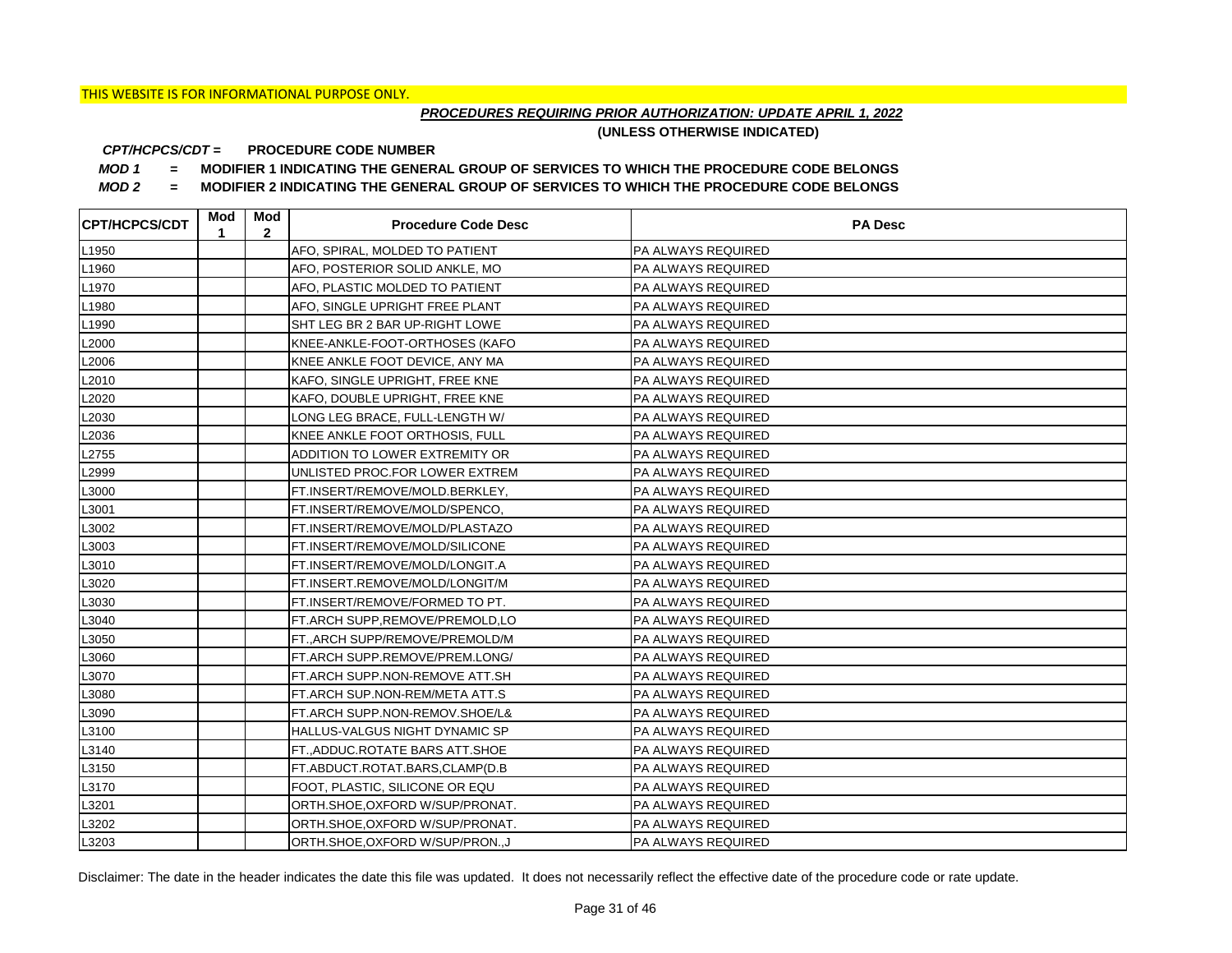## *PROCEDURES REQUIRING PRIOR AUTHORIZATION: UPDATE APRIL 1, 2022*

**(UNLESS OTHERWISE INDICATED)**

#### **PROCEDURE CODE NUMBER** *CPT/HCPCS/CDT =*

*MOD 1 =* **MODIFIER 1 INDICATING THE GENERAL GROUP OF SERVICES TO WHICH THE PROCEDURE CODE BELONGS**

*MOD 2 =* **MODIFIER 2 INDICATING THE GENERAL GROUP OF SERVICES TO WHICH THE PROCEDURE CODE BELONGS**

| <b>CPT/HCPCS/CDT</b> | Mod<br>1 | Mod<br>$\mathbf{2}$ | <b>Procedure Code Desc</b>       | <b>PA Desc</b>            |
|----------------------|----------|---------------------|----------------------------------|---------------------------|
| L <sub>1950</sub>    |          |                     | AFO, SPIRAL, MOLDED TO PATIENT   | PA ALWAYS REQUIRED        |
| L1960                |          |                     | AFO, POSTERIOR SOLID ANKLE, MO   | PA ALWAYS REQUIRED        |
| L <sub>1970</sub>    |          |                     | AFO, PLASTIC MOLDED TO PATIENT   | PA ALWAYS REQUIRED        |
| L1980                |          |                     | AFO, SINGLE UPRIGHT FREE PLANT   | PA ALWAYS REQUIRED        |
| L1990                |          |                     | SHT LEG BR 2 BAR UP-RIGHT LOWE   | PA ALWAYS REQUIRED        |
| L2000                |          |                     | KNEE-ANKLE-FOOT-ORTHOSES (KAFO   | PA ALWAYS REQUIRED        |
| L2006                |          |                     | KNEE ANKLE FOOT DEVICE, ANY MA   | PA ALWAYS REQUIRED        |
| L2010                |          |                     | KAFO, SINGLE UPRIGHT, FREE KNE   | PA ALWAYS REQUIRED        |
| L2020                |          |                     | KAFO, DOUBLE UPRIGHT, FREE KNE   | PA ALWAYS REQUIRED        |
| L2030                |          |                     | LONG LEG BRACE, FULL-LENGTH W/   | PA ALWAYS REQUIRED        |
| L2036                |          |                     | KNEE ANKLE FOOT ORTHOSIS, FULL   | PA ALWAYS REQUIRED        |
| L2755                |          |                     | ADDITION TO LOWER EXTREMITY OR   | PA ALWAYS REQUIRED        |
| L2999                |          |                     | UNLISTED PROC.FOR LOWER EXTREM   | PA ALWAYS REQUIRED        |
| L3000                |          |                     | FT.INSERT/REMOVE/MOLD.BERKLEY,   | PA ALWAYS REQUIRED        |
| L3001                |          |                     | FT.INSERT/REMOVE/MOLD/SPENCO,    | PA ALWAYS REQUIRED        |
| L3002                |          |                     | FT.INSERT/REMOVE/MOLD/PLASTAZO   | PA ALWAYS REQUIRED        |
| L3003                |          |                     | FT.INSERT/REMOVE/MOLD/SILICONE   | PA ALWAYS REQUIRED        |
| L3010                |          |                     | FT.INSERT/REMOVE/MOLD/LONGIT.A   | PA ALWAYS REQUIRED        |
| L3020                |          |                     | FT.INSERT.REMOVE/MOLD/LONGIT/M   | PA ALWAYS REQUIRED        |
| L3030                |          |                     | FT.INSERT/REMOVE/FORMED TO PT.   | PA ALWAYS REQUIRED        |
| L3040                |          |                     | FT.ARCH SUPP,REMOVE/PREMOLD,LO   | PA ALWAYS REQUIRED        |
| L3050                |          |                     | FT., ARCH SUPP/REMOVE/PREMOLD/M  | PA ALWAYS REQUIRED        |
| L3060                |          |                     | FT.ARCH SUPP.REMOVE/PREM.LONG/   | PA ALWAYS REQUIRED        |
| L3070                |          |                     | FT.ARCH SUPP.NON-REMOVE ATT.SH   | PA ALWAYS REQUIRED        |
| L3080                |          |                     | FT.ARCH SUP.NON-REM/META ATT.S   | PA ALWAYS REQUIRED        |
| L3090                |          |                     | FT.ARCH SUPP.NON-REMOV.SHOE/L&   | PA ALWAYS REQUIRED        |
| L3100                |          |                     | HALLUS-VALGUS NIGHT DYNAMIC SP   | PA ALWAYS REQUIRED        |
| L3140                |          |                     | FT.,ADDUC.ROTATE BARS ATT.SHOE   | PA ALWAYS REQUIRED        |
| L3150                |          |                     | FT.ABDUCT.ROTAT.BARS,CLAMP(D.B   | PA ALWAYS REQUIRED        |
| L3170                |          |                     | FOOT, PLASTIC, SILICONE OR EQU   | PA ALWAYS REQUIRED        |
| L3201                |          |                     | ORTH.SHOE, OXFORD W/SUP/PRONAT.  | PA ALWAYS REQUIRED        |
| L3202                |          |                     | ORTH.SHOE, OXFORD W/SUP/PRONAT.  | PA ALWAYS REQUIRED        |
| L3203                |          |                     | ORTH.SHOE, OXFORD W/SUP/PRON., J | <b>PA ALWAYS REQUIRED</b> |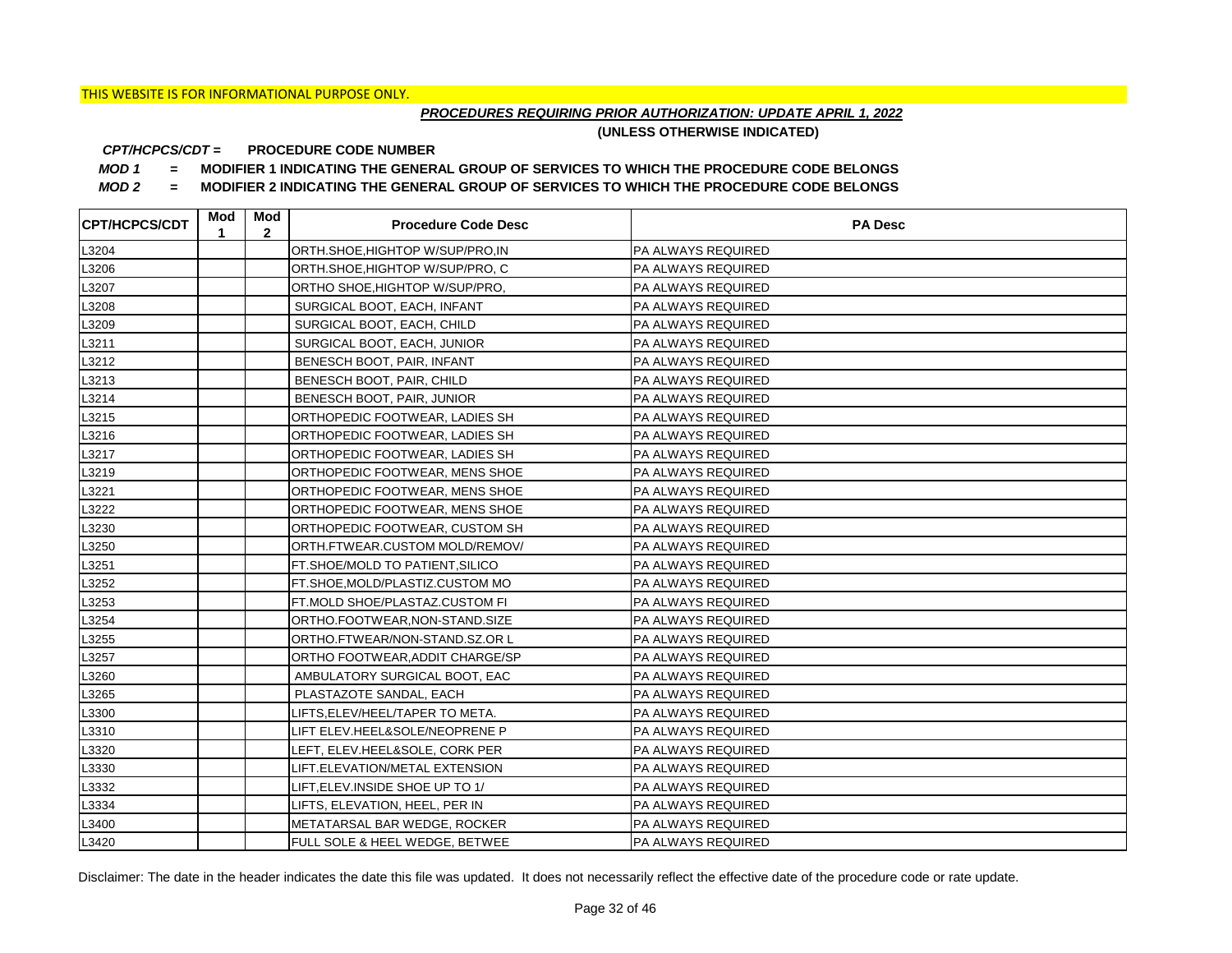## *PROCEDURES REQUIRING PRIOR AUTHORIZATION: UPDATE APRIL 1, 2022*

**(UNLESS OTHERWISE INDICATED)**

#### **PROCEDURE CODE NUMBER** *CPT/HCPCS/CDT =*

*MOD 1 =* **MODIFIER 1 INDICATING THE GENERAL GROUP OF SERVICES TO WHICH THE PROCEDURE CODE BELONGS**

*MOD 2 =* **MODIFIER 2 INDICATING THE GENERAL GROUP OF SERVICES TO WHICH THE PROCEDURE CODE BELONGS**

| <b>CPT/HCPCS/CDT</b> | Mod<br>1 | Mod<br>$\mathbf{2}$ | <b>Procedure Code Desc</b>       | <b>PA Desc</b>     |
|----------------------|----------|---------------------|----------------------------------|--------------------|
| L3204                |          |                     | ORTH.SHOE, HIGHTOP W/SUP/PRO, IN | PA ALWAYS REQUIRED |
| L3206                |          |                     | ORTH.SHOE, HIGHTOP W/SUP/PRO, C  | PA ALWAYS REQUIRED |
| L3207                |          |                     | ORTHO SHOE, HIGHTOP W/SUP/PRO,   | PA ALWAYS REQUIRED |
| L3208                |          |                     | SURGICAL BOOT, EACH, INFANT      | PA ALWAYS REQUIRED |
| L3209                |          |                     | SURGICAL BOOT, EACH, CHILD       | PA ALWAYS REQUIRED |
| L3211                |          |                     | SURGICAL BOOT, EACH, JUNIOR      | PA ALWAYS REQUIRED |
| L3212                |          |                     | BENESCH BOOT, PAIR, INFANT       | PA ALWAYS REQUIRED |
| L3213                |          |                     | BENESCH BOOT, PAIR, CHILD        | PA ALWAYS REQUIRED |
| L3214                |          |                     | BENESCH BOOT, PAIR, JUNIOR       | PA ALWAYS REQUIRED |
| L3215                |          |                     | ORTHOPEDIC FOOTWEAR, LADIES SH   | PA ALWAYS REQUIRED |
| L3216                |          |                     | ORTHOPEDIC FOOTWEAR, LADIES SH   | PA ALWAYS REQUIRED |
| L3217                |          |                     | ORTHOPEDIC FOOTWEAR, LADIES SH   | PA ALWAYS REQUIRED |
| L3219                |          |                     | ORTHOPEDIC FOOTWEAR, MENS SHOE   | PA ALWAYS REQUIRED |
| L3221                |          |                     | ORTHOPEDIC FOOTWEAR, MENS SHOE   | PA ALWAYS REQUIRED |
| L3222                |          |                     | ORTHOPEDIC FOOTWEAR, MENS SHOE   | PA ALWAYS REQUIRED |
| L3230                |          |                     | ORTHOPEDIC FOOTWEAR, CUSTOM SH   | PA ALWAYS REQUIRED |
| L3250                |          |                     | ORTH.FTWEAR.CUSTOM MOLD/REMOV/   | PA ALWAYS REQUIRED |
| L3251                |          |                     | FT.SHOE/MOLD TO PATIENT, SILICO  | PA ALWAYS REQUIRED |
| L3252                |          |                     | FT.SHOE, MOLD/PLASTIZ.CUSTOM MO  | PA ALWAYS REQUIRED |
| L3253                |          |                     | FT.MOLD SHOE/PLASTAZ.CUSTOM FI   | PA ALWAYS REQUIRED |
| L3254                |          |                     | ORTHO.FOOTWEAR, NON-STAND.SIZE   | PA ALWAYS REQUIRED |
| L3255                |          |                     | ORTHO.FTWEAR/NON-STAND.SZ.OR L   | PA ALWAYS REQUIRED |
| L3257                |          |                     | ORTHO FOOTWEAR, ADDIT CHARGE/SP  | PA ALWAYS REQUIRED |
| L3260                |          |                     | AMBULATORY SURGICAL BOOT, EAC    | PA ALWAYS REQUIRED |
| L3265                |          |                     | PLASTAZOTE SANDAL, EACH          | PA ALWAYS REQUIRED |
| L3300                |          |                     | LIFTS,ELEV/HEEL/TAPER TO META.   | PA ALWAYS REQUIRED |
| L3310                |          |                     | LIFT ELEV.HEEL&SOLE/NEOPRENE P   | PA ALWAYS REQUIRED |
| L3320                |          |                     | LEFT, ELEV.HEEL&SOLE, CORK PER   | PA ALWAYS REQUIRED |
| L3330                |          |                     | LIFT.ELEVATION/METAL EXTENSION   | PA ALWAYS REQUIRED |
| L3332                |          |                     | LIFT, ELEV. INSIDE SHOE UP TO 1/ | PA ALWAYS REQUIRED |
| L3334                |          |                     | LIFTS, ELEVATION, HEEL, PER IN   | PA ALWAYS REQUIRED |
| L3400                |          |                     | METATARSAL BAR WEDGE, ROCKER     | PA ALWAYS REQUIRED |
| L3420                |          |                     | FULL SOLE & HEEL WEDGE, BETWEE   | PA ALWAYS REQUIRED |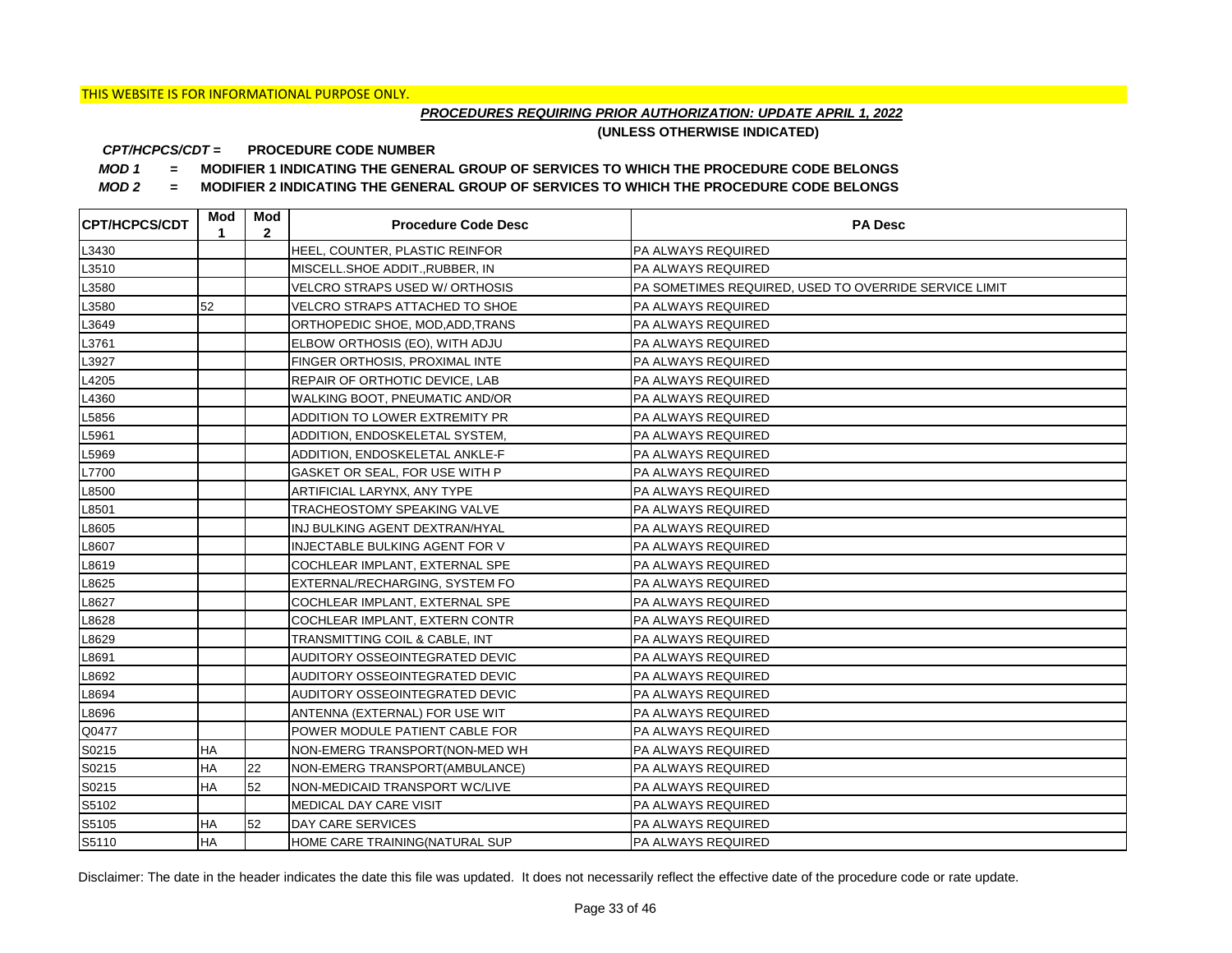## *PROCEDURES REQUIRING PRIOR AUTHORIZATION: UPDATE APRIL 1, 2022*

**(UNLESS OTHERWISE INDICATED)**

#### **PROCEDURE CODE NUMBER** *CPT/HCPCS/CDT =*

*MOD 1 =* **MODIFIER 1 INDICATING THE GENERAL GROUP OF SERVICES TO WHICH THE PROCEDURE CODE BELONGS**

*MOD 2 =* **MODIFIER 2 INDICATING THE GENERAL GROUP OF SERVICES TO WHICH THE PROCEDURE CODE BELONGS**

| <b>CPT/HCPCS/CDT</b> | Mod<br>1  | Mod<br>$\mathbf{2}$ | <b>Procedure Code Desc</b>       | <b>PA Desc</b>                                        |
|----------------------|-----------|---------------------|----------------------------------|-------------------------------------------------------|
| L3430                |           |                     | HEEL, COUNTER, PLASTIC REINFOR   | PA ALWAYS REQUIRED                                    |
| L3510                |           |                     | MISCELL.SHOE ADDIT., RUBBER, IN  | PA ALWAYS REQUIRED                                    |
| L3580                |           |                     | VELCRO STRAPS USED W/ ORTHOSIS   | PA SOMETIMES REQUIRED, USED TO OVERRIDE SERVICE LIMIT |
| L3580                | 52        |                     | VELCRO STRAPS ATTACHED TO SHOE   | PA ALWAYS REQUIRED                                    |
| L3649                |           |                     | ORTHOPEDIC SHOE, MOD, ADD, TRANS | PA ALWAYS REQUIRED                                    |
| L3761                |           |                     | ELBOW ORTHOSIS (EO), WITH ADJU   | PA ALWAYS REQUIRED                                    |
| L3927                |           |                     | FINGER ORTHOSIS, PROXIMAL INTE   | PA ALWAYS REQUIRED                                    |
| L4205                |           |                     | REPAIR OF ORTHOTIC DEVICE, LAB   | PA ALWAYS REQUIRED                                    |
| L4360                |           |                     | WALKING BOOT, PNEUMATIC AND/OR   | PA ALWAYS REQUIRED                                    |
| L5856                |           |                     | ADDITION TO LOWER EXTREMITY PR   | PA ALWAYS REQUIRED                                    |
| L5961                |           |                     | ADDITION, ENDOSKELETAL SYSTEM,   | PA ALWAYS REQUIRED                                    |
| L5969                |           |                     | ADDITION, ENDOSKELETAL ANKLE-F   | PA ALWAYS REQUIRED                                    |
| L7700                |           |                     | GASKET OR SEAL, FOR USE WITH P   | PA ALWAYS REQUIRED                                    |
| L8500                |           |                     | ARTIFICIAL LARYNX, ANY TYPE      | PA ALWAYS REQUIRED                                    |
| L8501                |           |                     | TRACHEOSTOMY SPEAKING VALVE      | PA ALWAYS REQUIRED                                    |
| L8605                |           |                     | INJ BULKING AGENT DEXTRAN/HYAL   | PA ALWAYS REQUIRED                                    |
| L8607                |           |                     | INJECTABLE BULKING AGENT FOR V   | PA ALWAYS REQUIRED                                    |
| L8619                |           |                     | COCHLEAR IMPLANT, EXTERNAL SPE   | PA ALWAYS REQUIRED                                    |
| L8625                |           |                     | EXTERNAL/RECHARGING, SYSTEM FO   | PA ALWAYS REQUIRED                                    |
| L8627                |           |                     | COCHLEAR IMPLANT, EXTERNAL SPE   | PA ALWAYS REQUIRED                                    |
| L8628                |           |                     | COCHLEAR IMPLANT, EXTERN CONTR   | PA ALWAYS REQUIRED                                    |
| L8629                |           |                     | TRANSMITTING COIL & CABLE, INT   | PA ALWAYS REQUIRED                                    |
| L8691                |           |                     | AUDITORY OSSEOINTEGRATED DEVIC   | PA ALWAYS REQUIRED                                    |
| L8692                |           |                     | AUDITORY OSSEOINTEGRATED DEVIC   | PA ALWAYS REQUIRED                                    |
| L8694                |           |                     | AUDITORY OSSEOINTEGRATED DEVIC   | PA ALWAYS REQUIRED                                    |
| L8696                |           |                     | ANTENNA (EXTERNAL) FOR USE WIT   | PA ALWAYS REQUIRED                                    |
| Q0477                |           |                     | POWER MODULE PATIENT CABLE FOR   | PA ALWAYS REQUIRED                                    |
| S0215                | ΗA        |                     | NON-EMERG TRANSPORT(NON-MED WH   | PA ALWAYS REQUIRED                                    |
| S0215                | HA        | 22                  | NON-EMERG TRANSPORT(AMBULANCE)   | PA ALWAYS REQUIRED                                    |
| S0215                | <b>HA</b> | 52                  | NON-MEDICAID TRANSPORT WC/LIVE   | PA ALWAYS REQUIRED                                    |
| S5102                |           |                     | MEDICAL DAY CARE VISIT           | PA ALWAYS REQUIRED                                    |
| S5105                | HA        | 52                  | DAY CARE SERVICES                | PA ALWAYS REQUIRED                                    |
| S5110                | <b>HA</b> |                     | HOME CARE TRAINING(NATURAL SUP   | PA ALWAYS REQUIRED                                    |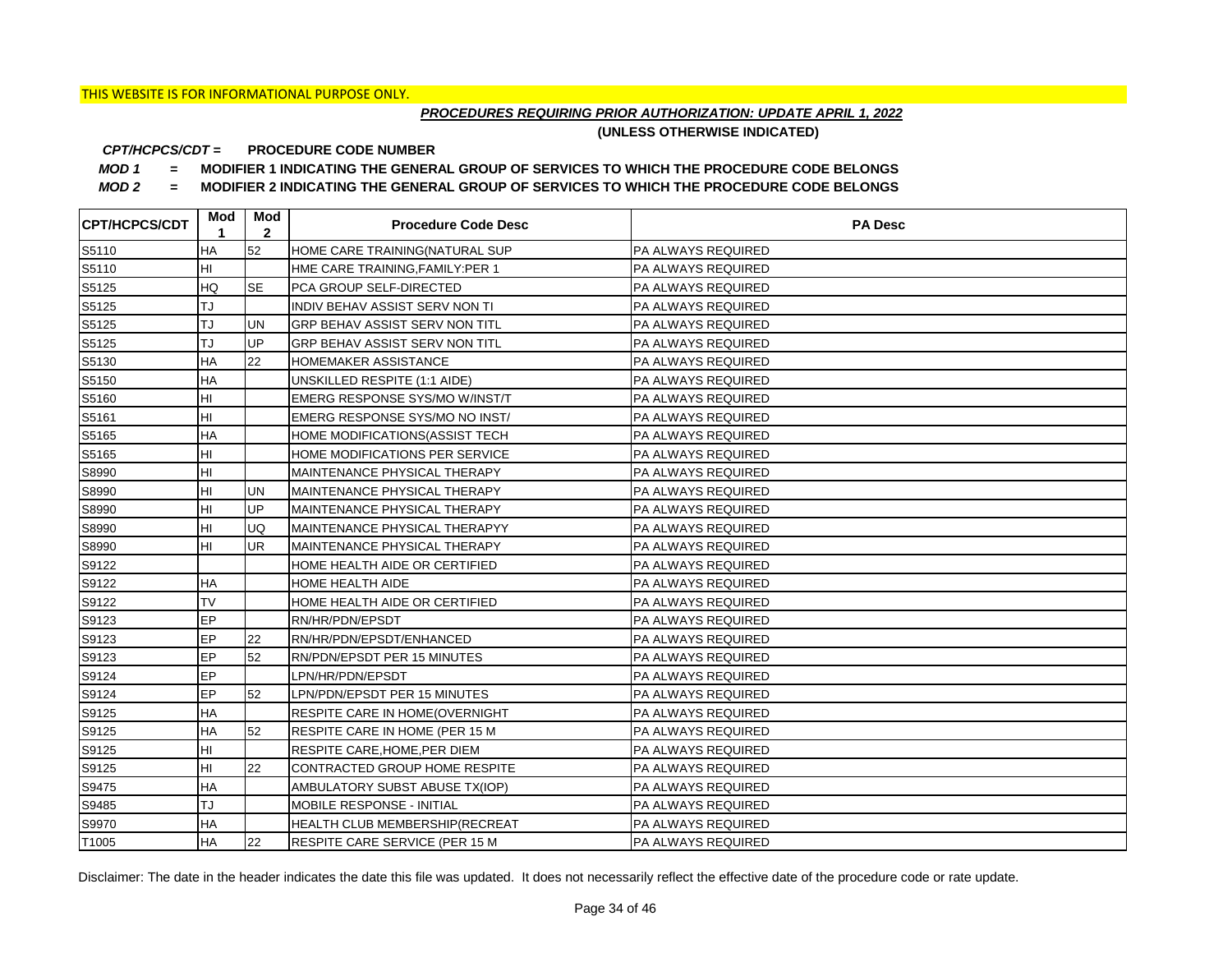## *PROCEDURES REQUIRING PRIOR AUTHORIZATION: UPDATE APRIL 1, 2022*

**(UNLESS OTHERWISE INDICATED)**

#### **PROCEDURE CODE NUMBER** *CPT/HCPCS/CDT =*

*MOD 1 =* **MODIFIER 1 INDICATING THE GENERAL GROUP OF SERVICES TO WHICH THE PROCEDURE CODE BELONGS**

*MOD 2 =* **MODIFIER 2 INDICATING THE GENERAL GROUP OF SERVICES TO WHICH THE PROCEDURE CODE BELONGS**

| <b>CPT/HCPCS/CDT</b> | Mod       | Mod<br>$\mathbf{2}$ | <b>Procedure Code Desc</b>            | <b>PA Desc</b>            |
|----------------------|-----------|---------------------|---------------------------------------|---------------------------|
| S5110                | HA        | 52                  | HOME CARE TRAINING(NATURAL SUP        | <b>PA ALWAYS REQUIRED</b> |
| S5110                | HI        |                     | HME CARE TRAINING, FAMILY: PER 1      | PA ALWAYS REQUIRED        |
| S5125                | HQ        | <b>SE</b>           | <b>PCA GROUP SELF-DIRECTED</b>        | PA ALWAYS REQUIRED        |
| S5125                | TJ        |                     | INDIV BEHAV ASSIST SERV NON TI        | PA ALWAYS REQUIRED        |
| S5125                | TJ        | <b>UN</b>           | GRP BEHAV ASSIST SERV NON TITL        | PA ALWAYS REQUIRED        |
| S5125                | TJ        | <b>UP</b>           | GRP BEHAV ASSIST SERV NON TITL        | PA ALWAYS REQUIRED        |
| S5130                | <b>HA</b> | 22                  | HOMEMAKER ASSISTANCE                  | PA ALWAYS REQUIRED        |
| S5150                | HA        |                     | UNSKILLED RESPITE (1:1 AIDE)          | PA ALWAYS REQUIRED        |
| S5160                | HI        |                     | EMERG RESPONSE SYS/MO W/INST/T        | PA ALWAYS REQUIRED        |
| S5161                | HI        |                     | EMERG RESPONSE SYS/MO NO INST/        | PA ALWAYS REQUIRED        |
| S5165                | HA        |                     | HOME MODIFICATIONS (ASSIST TECH       | PA ALWAYS REQUIRED        |
| S5165                | HI        |                     | HOME MODIFICATIONS PER SERVICE        | PA ALWAYS REQUIRED        |
| S8990                | HI        |                     | MAINTENANCE PHYSICAL THERAPY          | PA ALWAYS REQUIRED        |
| S8990                | HI        | UN                  | MAINTENANCE PHYSICAL THERAPY          | PA ALWAYS REQUIRED        |
| S8990                | HI        | UP                  | MAINTENANCE PHYSICAL THERAPY          | PA ALWAYS REQUIRED        |
| S8990                | HI        | UQ                  | MAINTENANCE PHYSICAL THERAPYY         | PA ALWAYS REQUIRED        |
| S8990                | HI        | <b>UR</b>           | MAINTENANCE PHYSICAL THERAPY          | PA ALWAYS REQUIRED        |
| S9122                |           |                     | HOME HEALTH AIDE OR CERTIFIED         | PA ALWAYS REQUIRED        |
| S9122                | ΗA        |                     | <b>HOME HEALTH AIDE</b>               | PA ALWAYS REQUIRED        |
| S9122                | <b>TV</b> |                     | HOME HEALTH AIDE OR CERTIFIED         | PA ALWAYS REQUIRED        |
| S9123                | EP        |                     | RN/HR/PDN/EPSDT                       | PA ALWAYS REQUIRED        |
| S9123                | EP        | 22                  | RN/HR/PDN/EPSDT/ENHANCED              | PA ALWAYS REQUIRED        |
| S9123                | EP        | 52                  | RN/PDN/EPSDT PER 15 MINUTES           | PA ALWAYS REQUIRED        |
| S9124                | EP        |                     | LPN/HR/PDN/EPSDT                      | PA ALWAYS REQUIRED        |
| S9124                | EP        | 52                  | LPN/PDN/EPSDT PER 15 MINUTES          | PA ALWAYS REQUIRED        |
| S9125                | <b>HA</b> |                     | <b>RESPITE CARE IN HOME(OVERNIGHT</b> | PA ALWAYS REQUIRED        |
| S9125                | <b>HA</b> | 52                  | RESPITE CARE IN HOME (PER 15 M        | PA ALWAYS REQUIRED        |
| S9125                | HI        |                     | RESPITE CARE, HOME, PER DIEM          | PA ALWAYS REQUIRED        |
| S9125                | ΗI        | 22                  | CONTRACTED GROUP HOME RESPITE         | PA ALWAYS REQUIRED        |
| S9475                | <b>HA</b> |                     | AMBULATORY SUBST ABUSE TX(IOP)        | PA ALWAYS REQUIRED        |
| S9485                | TJ        |                     | MOBILE RESPONSE - INITIAL             | PA ALWAYS REQUIRED        |
| S9970                | <b>HA</b> |                     | HEALTH CLUB MEMBERSHIP(RECREAT        | PA ALWAYS REQUIRED        |
| T1005                | <b>HA</b> | 22                  | RESPITE CARE SERVICE (PER 15 M        | PA ALWAYS REQUIRED        |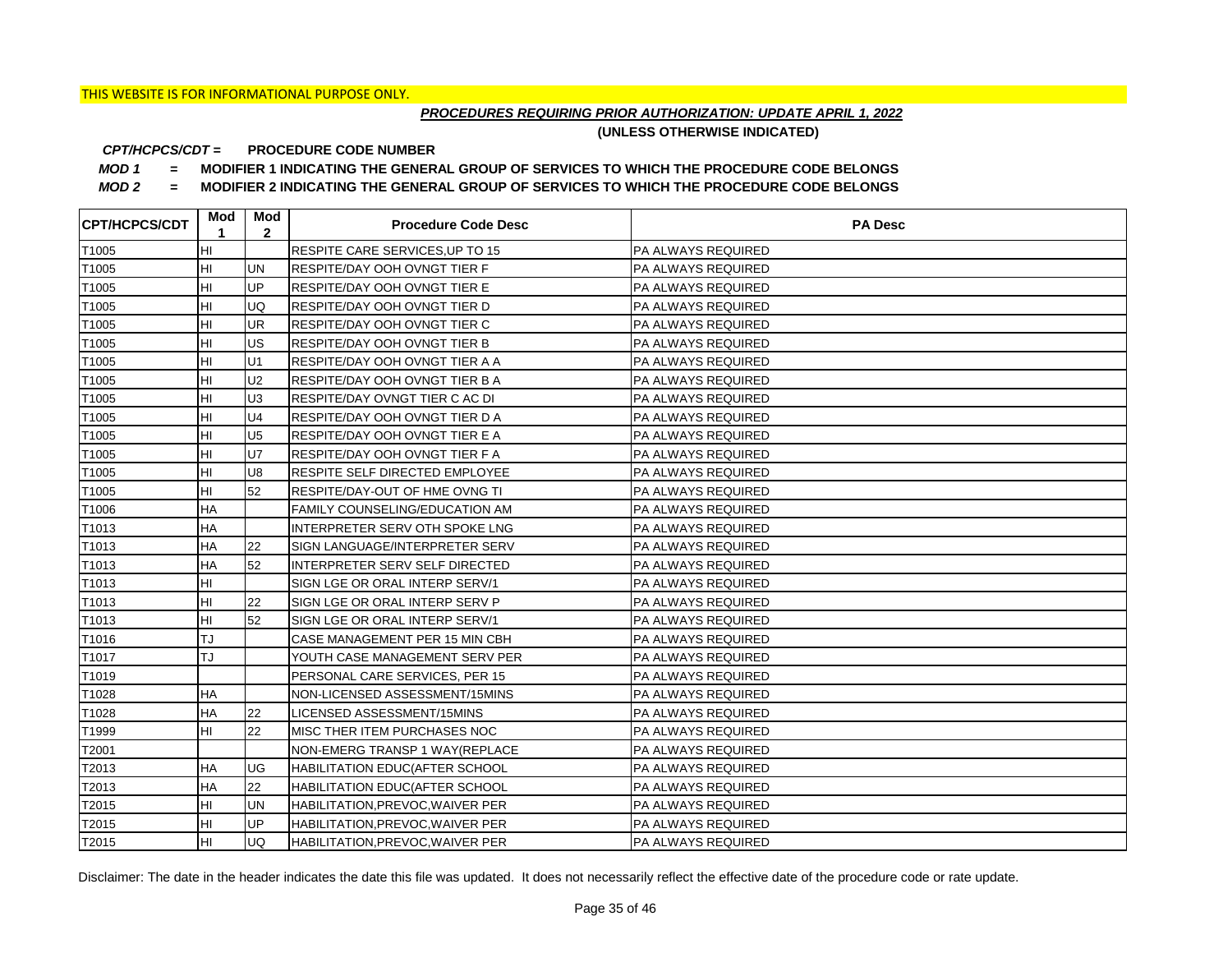## *PROCEDURES REQUIRING PRIOR AUTHORIZATION: UPDATE APRIL 1, 2022*

**(UNLESS OTHERWISE INDICATED)**

#### **PROCEDURE CODE NUMBER** *CPT/HCPCS/CDT =*

*MOD 1 =* **MODIFIER 1 INDICATING THE GENERAL GROUP OF SERVICES TO WHICH THE PROCEDURE CODE BELONGS**

*MOD 2 =* **MODIFIER 2 INDICATING THE GENERAL GROUP OF SERVICES TO WHICH THE PROCEDURE CODE BELONGS**

| <b>CPT/HCPCS/CDT</b> | Mod<br>1  | Mod<br>$\mathbf{2}$ | <b>Procedure Code Desc</b>             | <b>PA Desc</b>            |
|----------------------|-----------|---------------------|----------------------------------------|---------------------------|
| T1005                | HI        |                     | <b>RESPITE CARE SERVICES, UP TO 15</b> | <b>PA ALWAYS REQUIRED</b> |
| T1005                | HI        | <b>UN</b>           | <b>RESPITE/DAY OOH OVNGT TIER F</b>    | PA ALWAYS REQUIRED        |
| T1005                | HI        | <b>UP</b>           | <b>RESPITE/DAY OOH OVNGT TIER E</b>    | <b>PA ALWAYS REQUIRED</b> |
| T1005                | HI        | <b>UQ</b>           | <b>RESPITE/DAY OOH OVNGT TIER D</b>    | PA ALWAYS REQUIRED        |
| T1005                | HI        | <b>UR</b>           | <b>RESPITE/DAY OOH OVNGT TIER C</b>    | PA ALWAYS REQUIRED        |
| T1005                | HI        | <b>IUS</b>          | RESPITE/DAY OOH OVNGT TIER B           | <b>PA ALWAYS REQUIRED</b> |
| T1005                | HI        | U <sub>1</sub>      | RESPITE/DAY OOH OVNGT TIER A A         | PA ALWAYS REQUIRED        |
| T1005                | HI        | U <sub>2</sub>      | RESPITE/DAY OOH OVNGT TIER B A         | PA ALWAYS REQUIRED        |
| T1005                | HI        | U <sub>3</sub>      | RESPITE/DAY OVNGT TIER C AC DI         | PA ALWAYS REQUIRED        |
| T1005                | HI        | U <sub>4</sub>      | RESPITE/DAY OOH OVNGT TIER D A         | PA ALWAYS REQUIRED        |
| T1005                | HI        | U <sub>5</sub>      | RESPITE/DAY OOH OVNGT TIER E A         | PA ALWAYS REQUIRED        |
| T1005                | HI        | <b>U7</b>           | <b>RESPITE/DAY OOH OVNGT TIER F A</b>  | PA ALWAYS REQUIRED        |
| T1005                | HI        | U8                  | <b>RESPITE SELF DIRECTED EMPLOYEE</b>  | <b>PA ALWAYS REQUIRED</b> |
| T1005                | HI        | 52                  | <b>RESPITE/DAY-OUT OF HME OVNG TI</b>  | PA ALWAYS REQUIRED        |
| T1006                | <b>HA</b> |                     | <b>FAMILY COUNSELING/EDUCATION AM</b>  | <b>PA ALWAYS REQUIRED</b> |
| T1013                | <b>HA</b> |                     | INTERPRETER SERV OTH SPOKE LNG         | PA ALWAYS REQUIRED        |
| T1013                | <b>HA</b> | 22                  | SIGN LANGUAGE/INTERPRETER SERV         | <b>PA ALWAYS REQUIRED</b> |
| T1013                | <b>HA</b> | 52                  | INTERPRETER SERV SELF DIRECTED         | PA ALWAYS REQUIRED        |
| T1013                | HI        |                     | SIGN LGE OR ORAL INTERP SERV/1         | PA ALWAYS REQUIRED        |
| T1013                | HI        | <b>22</b>           | SIGN LGE OR ORAL INTERP SERV P         | <b>PA ALWAYS REQUIRED</b> |
| T1013                | Iнı       | 52                  | SIGN LGE OR ORAL INTERP SERV/1         | <b>PA ALWAYS REQUIRED</b> |
| T1016                | TJ        |                     | CASE MANAGEMENT PER 15 MIN CBH         | PA ALWAYS REQUIRED        |
| T1017                | TJ        |                     | YOUTH CASE MANAGEMENT SERV PER         | PA ALWAYS REQUIRED        |
| T1019                |           |                     | PERSONAL CARE SERVICES, PER 15         | <b>PA ALWAYS REQUIRED</b> |
| T1028                | ΗA        |                     | NON-LICENSED ASSESSMENT/15MINS         | PA ALWAYS REQUIRED        |
| T1028                | HA        | 22                  | LICENSED ASSESSMENT/15MINS             | <b>PA ALWAYS REQUIRED</b> |
| T1999                | HI        | 22                  | MISC THER ITEM PURCHASES NOC           | <b>PA ALWAYS REQUIRED</b> |
| T2001                |           |                     | NON-EMERG TRANSP 1 WAY(REPLACE         | PA ALWAYS REQUIRED        |
| T2013                | ΗA        | <b>UG</b>           | HABILITATION EDUC(AFTER SCHOOL         | <b>PA ALWAYS REQUIRED</b> |
| T2013                | <b>HA</b> | 22                  | HABILITATION EDUC(AFTER SCHOOL         | <b>PA ALWAYS REQUIRED</b> |
| T2015                | HI        | <b>UN</b>           | HABILITATION, PREVOC, WAIVER PER       | PA ALWAYS REQUIRED        |
| T2015                | HI        | <b>UP</b>           | HABILITATION, PREVOC, WAIVER PER       | PA ALWAYS REQUIRED        |
| T2015                | Iнı       | luq                 | HABILITATION, PREVOC, WAIVER PER       | <b>PA ALWAYS REQUIRED</b> |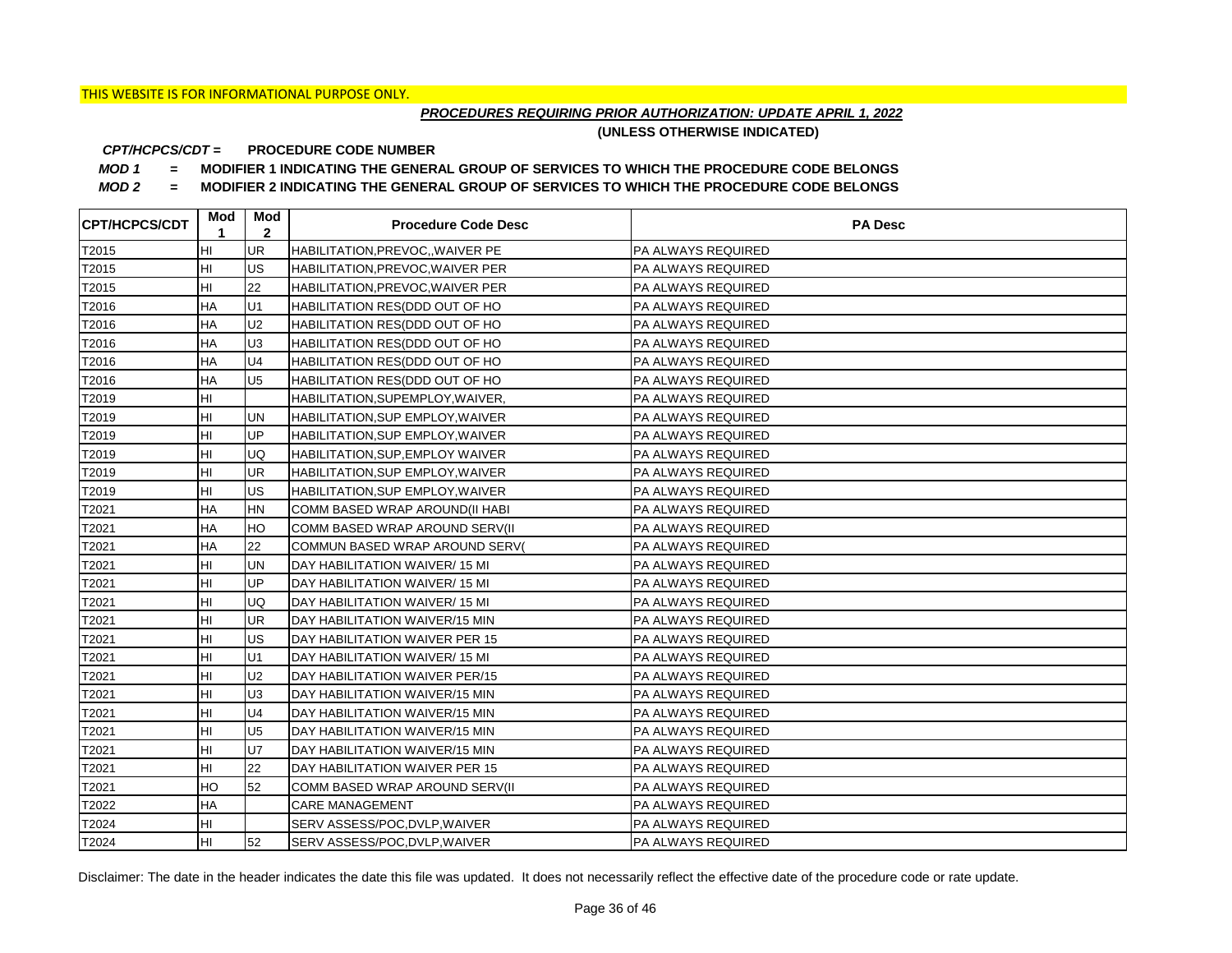## *PROCEDURES REQUIRING PRIOR AUTHORIZATION: UPDATE APRIL 1, 2022*

**(UNLESS OTHERWISE INDICATED)**

#### **PROCEDURE CODE NUMBER** *CPT/HCPCS/CDT =*

*MOD 1 =* **MODIFIER 1 INDICATING THE GENERAL GROUP OF SERVICES TO WHICH THE PROCEDURE CODE BELONGS**

*MOD 2 =* **MODIFIER 2 INDICATING THE GENERAL GROUP OF SERVICES TO WHICH THE PROCEDURE CODE BELONGS**

| <b>CPT/HCPCS/CDT</b> | Mod<br>1  | Mod<br>$\mathbf{2}$ | <b>Procedure Code Desc</b>        | <b>PA Desc</b>            |
|----------------------|-----------|---------------------|-----------------------------------|---------------------------|
| T2015                | HI        | <b>UR</b>           | HABILITATION, PREVOC, , WAIVER PE | <b>PA ALWAYS REQUIRED</b> |
| T2015                | HI        | <b>US</b>           | HABILITATION, PREVOC, WAIVER PER  | PA ALWAYS REQUIRED        |
| T2015                | HI        | 22                  | HABILITATION, PREVOC, WAIVER PER  | PA ALWAYS REQUIRED        |
| T2016                | ΗA        | U1                  | HABILITATION RES(DDD OUT OF HO    | PA ALWAYS REQUIRED        |
| T2016                | HA        | U <sub>2</sub>      | HABILITATION RES(DDD OUT OF HO    | PA ALWAYS REQUIRED        |
| T2016                | HA        | U <sub>3</sub>      | HABILITATION RES(DDD OUT OF HO    | <b>PA ALWAYS REQUIRED</b> |
| T2016                | <b>HA</b> | U <sub>4</sub>      | HABILITATION RES(DDD OUT OF HO    | PA ALWAYS REQUIRED        |
| T2016                | HA        | U <sub>5</sub>      | HABILITATION RES(DDD OUT OF HO    | PA ALWAYS REQUIRED        |
| T2019                | HI        |                     | HABILITATION, SUPEMPLOY, WAIVER,  | PA ALWAYS REQUIRED        |
| T2019                | HI        | <b>UN</b>           | HABILITATION, SUP EMPLOY, WAIVER  | PA ALWAYS REQUIRED        |
| T2019                | HI        | <b>UP</b>           | HABILITATION, SUP EMPLOY, WAIVER  | PA ALWAYS REQUIRED        |
| T2019                | HI        | <b>UQ</b>           | HABILITATION, SUP, EMPLOY WAIVER  | PA ALWAYS REQUIRED        |
| T2019                | HI        | <b>UR</b>           | HABILITATION, SUP EMPLOY, WAIVER  | PA ALWAYS REQUIRED        |
| T2019                | HI        | US                  | HABILITATION, SUP EMPLOY, WAIVER  | PA ALWAYS REQUIRED        |
| T2021                | HA        | <b>HN</b>           | COMM BASED WRAP AROUND(II HABI    | PA ALWAYS REQUIRED        |
| T2021                | HA        | HO                  | COMM BASED WRAP AROUND SERV(II    | PA ALWAYS REQUIRED        |
| T2021                | HA        | 22                  | COMMUN BASED WRAP AROUND SERV(    | PA ALWAYS REQUIRED        |
| T2021                | HI        | <b>UN</b>           | DAY HABILITATION WAIVER/15 MI     | PA ALWAYS REQUIRED        |
| T2021                | HI        | UP                  | DAY HABILITATION WAIVER/15 MI     | PA ALWAYS REQUIRED        |
| T2021                | HI        | UQ                  | DAY HABILITATION WAIVER/15 MI     | PA ALWAYS REQUIRED        |
| T2021                | HI        | UR                  | DAY HABILITATION WAIVER/15 MIN    | PA ALWAYS REQUIRED        |
| T2021                | HI        | US                  | DAY HABILITATION WAIVER PER 15    | PA ALWAYS REQUIRED        |
| T2021                | HI        | U1                  | DAY HABILITATION WAIVER/15 MI     | PA ALWAYS REQUIRED        |
| T2021                | HI        | U <sub>2</sub>      | DAY HABILITATION WAIVER PER/15    | PA ALWAYS REQUIRED        |
| T2021                | HI        | U <sub>3</sub>      | DAY HABILITATION WAIVER/15 MIN    | PA ALWAYS REQUIRED        |
| T2021                | HI        | U <sub>4</sub>      | DAY HABILITATION WAIVER/15 MIN    | PA ALWAYS REQUIRED        |
| T2021                | HI        | U <sub>5</sub>      | DAY HABILITATION WAIVER/15 MIN    | PA ALWAYS REQUIRED        |
| T2021                | HI        | <b>U7</b>           | DAY HABILITATION WAIVER/15 MIN    | PA ALWAYS REQUIRED        |
| T2021                | HI        | 22                  | DAY HABILITATION WAIVER PER 15    | PA ALWAYS REQUIRED        |
| T2021                | HO        | 52                  | COMM BASED WRAP AROUND SERV(II    | PA ALWAYS REQUIRED        |
| T2022                | HA        |                     | <b>CARE MANAGEMENT</b>            | PA ALWAYS REQUIRED        |
| T2024                | HI        |                     | SERV ASSESS/POC, DVLP, WAIVER     | PA ALWAYS REQUIRED        |
| T2024                | HI        | 52                  | SERV ASSESS/POC, DVLP, WAIVER     | PA ALWAYS REQUIRED        |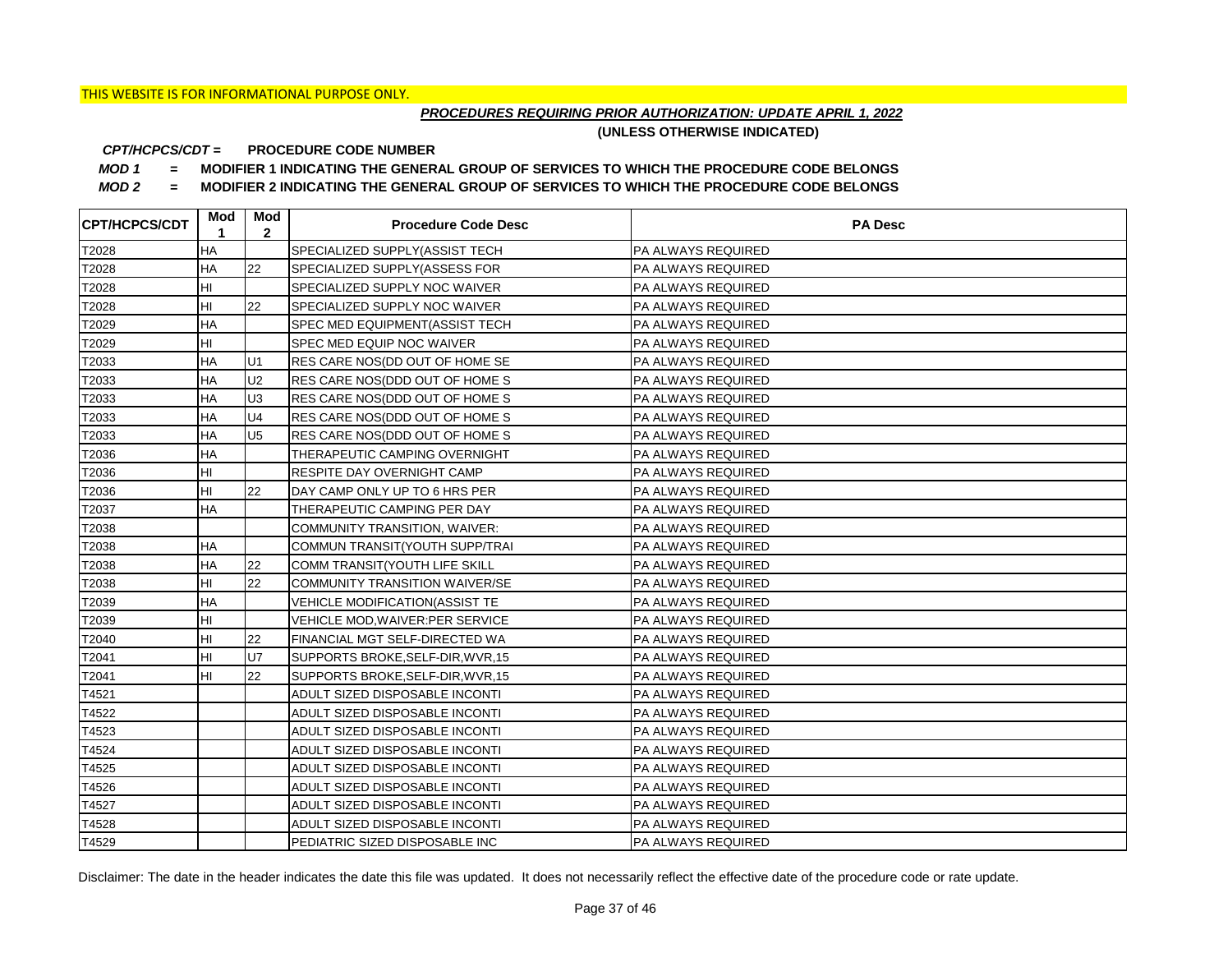## *PROCEDURES REQUIRING PRIOR AUTHORIZATION: UPDATE APRIL 1, 2022*

**(UNLESS OTHERWISE INDICATED)**

#### **PROCEDURE CODE NUMBER** *CPT/HCPCS/CDT =*

*MOD 1 =* **MODIFIER 1 INDICATING THE GENERAL GROUP OF SERVICES TO WHICH THE PROCEDURE CODE BELONGS**

*MOD 2 =* **MODIFIER 2 INDICATING THE GENERAL GROUP OF SERVICES TO WHICH THE PROCEDURE CODE BELONGS**

| <b>CPT/HCPCS/CDT</b> | Mod<br>1  | Mod<br>$\mathbf{2}$ | <b>Procedure Code Desc</b>            | <b>PA Desc</b>            |
|----------------------|-----------|---------------------|---------------------------------------|---------------------------|
| T2028                | <b>HA</b> |                     | SPECIALIZED SUPPLY(ASSIST TECH        | PA ALWAYS REQUIRED        |
| T2028                | HA        | 22                  | SPECIALIZED SUPPLY(ASSESS FOR         | <b>PA ALWAYS REQUIRED</b> |
| T2028                | HI        |                     | SPECIALIZED SUPPLY NOC WAIVER         | <b>PA ALWAYS REQUIRED</b> |
| T2028                | HI        | 22                  | SPECIALIZED SUPPLY NOC WAIVER         | <b>PA ALWAYS REQUIRED</b> |
| T2029                | HA        |                     | SPEC MED EQUIPMENT(ASSIST TECH        | PA ALWAYS REQUIRED        |
| T2029                | HI        |                     | SPEC MED EQUIP NOC WAIVER             | PA ALWAYS REQUIRED        |
| T2033                | HA        | U1                  | RES CARE NOS(DD OUT OF HOME SE        | PA ALWAYS REQUIRED        |
| T2033                | HA        | U <sub>2</sub>      | RES CARE NOS(DDD OUT OF HOME S        | PA ALWAYS REQUIRED        |
| T2033                | HA        | U <sub>3</sub>      | RES CARE NOS(DDD OUT OF HOME S        | PA ALWAYS REQUIRED        |
| T2033                | HA        | U <sub>4</sub>      | RES CARE NOS(DDD OUT OF HOME S        | PA ALWAYS REQUIRED        |
| T2033                | HA        | U <sub>5</sub>      | RES CARE NOS(DDD OUT OF HOME S        | PA ALWAYS REQUIRED        |
| T2036                | HA        |                     | THERAPEUTIC CAMPING OVERNIGHT         | PA ALWAYS REQUIRED        |
| T2036                | HI        |                     | RESPITE DAY OVERNIGHT CAMP            | <b>PA ALWAYS REQUIRED</b> |
| T2036                | HI        | 22                  | DAY CAMP ONLY UP TO 6 HRS PER         | <b>PA ALWAYS REQUIRED</b> |
| T2037                | <b>HA</b> |                     | THERAPEUTIC CAMPING PER DAY           | <b>PA ALWAYS REQUIRED</b> |
| T2038                |           |                     | COMMUNITY TRANSITION, WAIVER:         | <b>PA ALWAYS REQUIRED</b> |
| T2038                | ΗA        |                     | COMMUN TRANSIT(YOUTH SUPP/TRAI        | PA ALWAYS REQUIRED        |
| T2038                | <b>HA</b> | 22                  | COMM TRANSIT(YOUTH LIFE SKILL         | PA ALWAYS REQUIRED        |
| T2038                | HI        | 22                  | COMMUNITY TRANSITION WAIVER/SE        | <b>PA ALWAYS REQUIRED</b> |
| T2039                | <b>HA</b> |                     | <b>VEHICLE MODIFICATION(ASSIST TE</b> | <b>PA ALWAYS REQUIRED</b> |
| T2039                | HI        |                     | VEHICLE MOD, WAIVER: PER SERVICE      | <b>PA ALWAYS REQUIRED</b> |
| T2040                | HI        | 22                  | FINANCIAL MGT SELF-DIRECTED WA        | <b>PA ALWAYS REQUIRED</b> |
| T2041                | HI        | <b>U7</b>           | SUPPORTS BROKE, SELF-DIR, WVR, 15     | PA ALWAYS REQUIRED        |
| T2041                | HI        | 22                  | SUPPORTS BROKE, SELF-DIR, WVR, 15     | <b>PA ALWAYS REQUIRED</b> |
| T4521                |           |                     | ADULT SIZED DISPOSABLE INCONTI        | <b>PA ALWAYS REQUIRED</b> |
| T4522                |           |                     | ADULT SIZED DISPOSABLE INCONTI        | <b>PA ALWAYS REQUIRED</b> |
| T4523                |           |                     | ADULT SIZED DISPOSABLE INCONTI        | <b>PA ALWAYS REQUIRED</b> |
| T4524                |           |                     | ADULT SIZED DISPOSABLE INCONTI        | <b>PA ALWAYS REQUIRED</b> |
| T4525                |           |                     | ADULT SIZED DISPOSABLE INCONTI        | <b>PA ALWAYS REQUIRED</b> |
| T4526                |           |                     | ADULT SIZED DISPOSABLE INCONTI        | <b>PA ALWAYS REQUIRED</b> |
| T4527                |           |                     | ADULT SIZED DISPOSABLE INCONTI        | PA ALWAYS REQUIRED        |
| T4528                |           |                     | ADULT SIZED DISPOSABLE INCONTI        | PA ALWAYS REQUIRED        |
| T4529                |           |                     | PEDIATRIC SIZED DISPOSABLE INC        | PA ALWAYS REQUIRED        |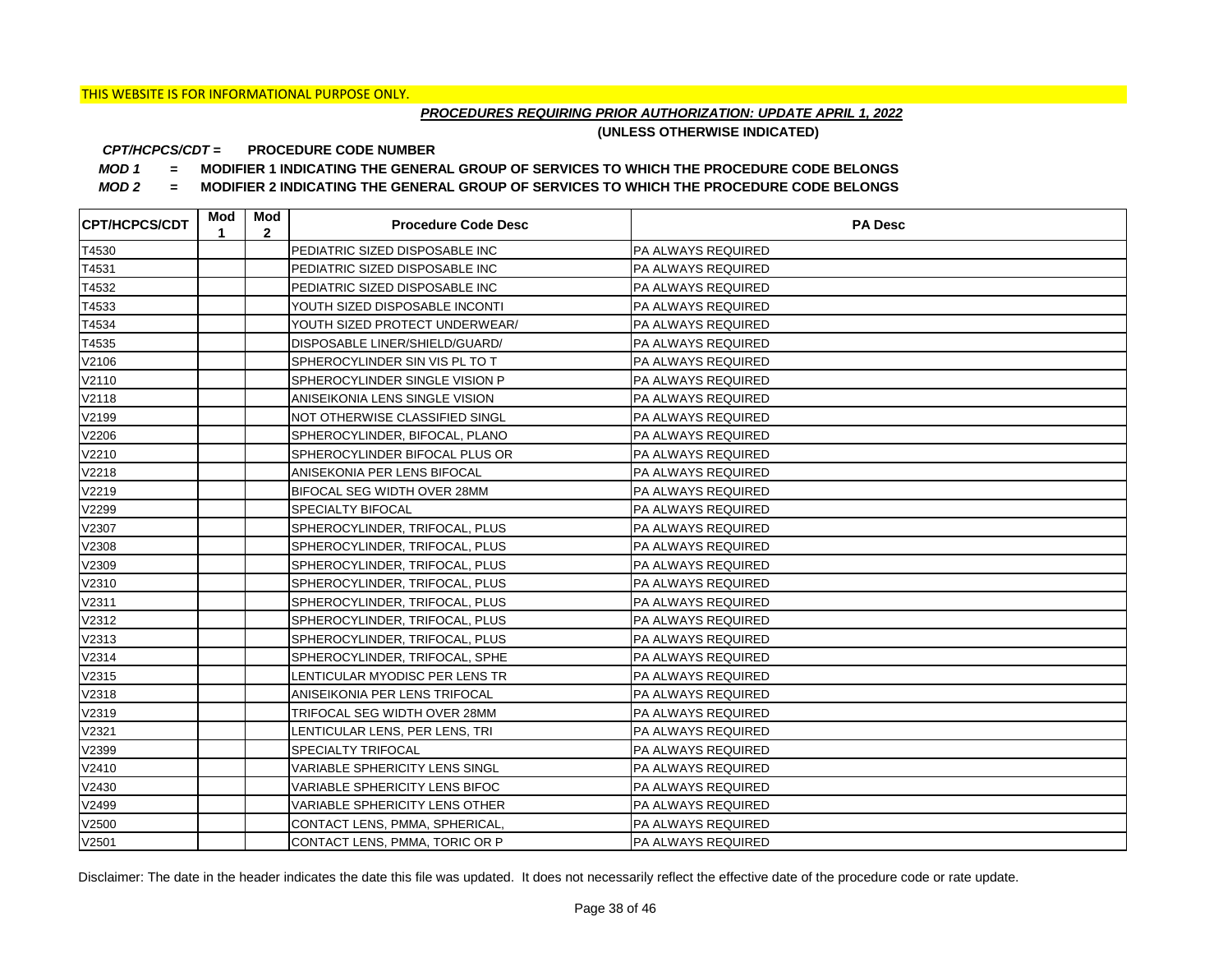## *PROCEDURES REQUIRING PRIOR AUTHORIZATION: UPDATE APRIL 1, 2022*

**(UNLESS OTHERWISE INDICATED)**

#### **PROCEDURE CODE NUMBER** *CPT/HCPCS/CDT =*

*MOD 1 =* **MODIFIER 1 INDICATING THE GENERAL GROUP OF SERVICES TO WHICH THE PROCEDURE CODE BELONGS**

*MOD 2 =* **MODIFIER 2 INDICATING THE GENERAL GROUP OF SERVICES TO WHICH THE PROCEDURE CODE BELONGS**

| <b>CPT/HCPCS/CDT</b> | Mod<br>1 | Mod<br>$\mathbf{2}$ | <b>Procedure Code Desc</b>            | <b>PA Desc</b>            |
|----------------------|----------|---------------------|---------------------------------------|---------------------------|
| T4530                |          |                     | PEDIATRIC SIZED DISPOSABLE INC        | PA ALWAYS REQUIRED        |
| T4531                |          |                     | PEDIATRIC SIZED DISPOSABLE INC        | PA ALWAYS REQUIRED        |
| T4532                |          |                     | PEDIATRIC SIZED DISPOSABLE INC        | PA ALWAYS REQUIRED        |
| T4533                |          |                     | YOUTH SIZED DISPOSABLE INCONTI        | PA ALWAYS REQUIRED        |
| T4534                |          |                     | YOUTH SIZED PROTECT UNDERWEAR/        | PA ALWAYS REQUIRED        |
| T4535                |          |                     | DISPOSABLE LINER/SHIELD/GUARD/        | PA ALWAYS REQUIRED        |
| V2106                |          |                     | SPHEROCYLINDER SIN VIS PL TO T        | PA ALWAYS REQUIRED        |
| V2110                |          |                     | SPHEROCYLINDER SINGLE VISION P        | PA ALWAYS REQUIRED        |
| V2118                |          |                     | ANISEIKONIA LENS SINGLE VISION        | PA ALWAYS REQUIRED        |
| V2199                |          |                     | NOT OTHERWISE CLASSIFIED SINGL        | PA ALWAYS REQUIRED        |
| V2206                |          |                     | SPHEROCYLINDER, BIFOCAL, PLANO        | PA ALWAYS REQUIRED        |
| V2210                |          |                     | SPHEROCYLINDER BIFOCAL PLUS OR        | PA ALWAYS REQUIRED        |
| V2218                |          |                     | ANISEKONIA PER LENS BIFOCAL           | PA ALWAYS REQUIRED        |
| V2219                |          |                     | BIFOCAL SEG WIDTH OVER 28MM           | PA ALWAYS REQUIRED        |
| V2299                |          |                     | <b>SPECIALTY BIFOCAL</b>              | PA ALWAYS REQUIRED        |
| V2307                |          |                     | SPHEROCYLINDER, TRIFOCAL, PLUS        | PA ALWAYS REQUIRED        |
| V2308                |          |                     | SPHEROCYLINDER, TRIFOCAL, PLUS        | PA ALWAYS REQUIRED        |
| V2309                |          |                     | SPHEROCYLINDER, TRIFOCAL, PLUS        | PA ALWAYS REQUIRED        |
| V2310                |          |                     | SPHEROCYLINDER, TRIFOCAL, PLUS        | PA ALWAYS REQUIRED        |
| V2311                |          |                     | SPHEROCYLINDER, TRIFOCAL, PLUS        | PA ALWAYS REQUIRED        |
| V2312                |          |                     | SPHEROCYLINDER, TRIFOCAL, PLUS        | PA ALWAYS REQUIRED        |
| V2313                |          |                     | SPHEROCYLINDER, TRIFOCAL, PLUS        | PA ALWAYS REQUIRED        |
| V2314                |          |                     | SPHEROCYLINDER, TRIFOCAL, SPHE        | PA ALWAYS REQUIRED        |
| V2315                |          |                     | LENTICULAR MYODISC PER LENS TR        | PA ALWAYS REQUIRED        |
| V2318                |          |                     | ANISEIKONIA PER LENS TRIFOCAL         | PA ALWAYS REQUIRED        |
| V2319                |          |                     | TRIFOCAL SEG WIDTH OVER 28MM          | PA ALWAYS REQUIRED        |
| V2321                |          |                     | LENTICULAR LENS, PER LENS, TRI        | PA ALWAYS REQUIRED        |
| V2399                |          |                     | <b>SPECIALTY TRIFOCAL</b>             | PA ALWAYS REQUIRED        |
| V2410                |          |                     | <b>VARIABLE SPHERICITY LENS SINGL</b> | <b>PA ALWAYS REQUIRED</b> |
| V2430                |          |                     | VARIABLE SPHERICITY LENS BIFOC        | PA ALWAYS REQUIRED        |
| V2499                |          |                     | VARIABLE SPHERICITY LENS OTHER        | PA ALWAYS REQUIRED        |
| V2500                |          |                     | CONTACT LENS, PMMA, SPHERICAL,        | PA ALWAYS REQUIRED        |
| V2501                |          |                     | CONTACT LENS, PMMA, TORIC OR P        | <b>PA ALWAYS REQUIRED</b> |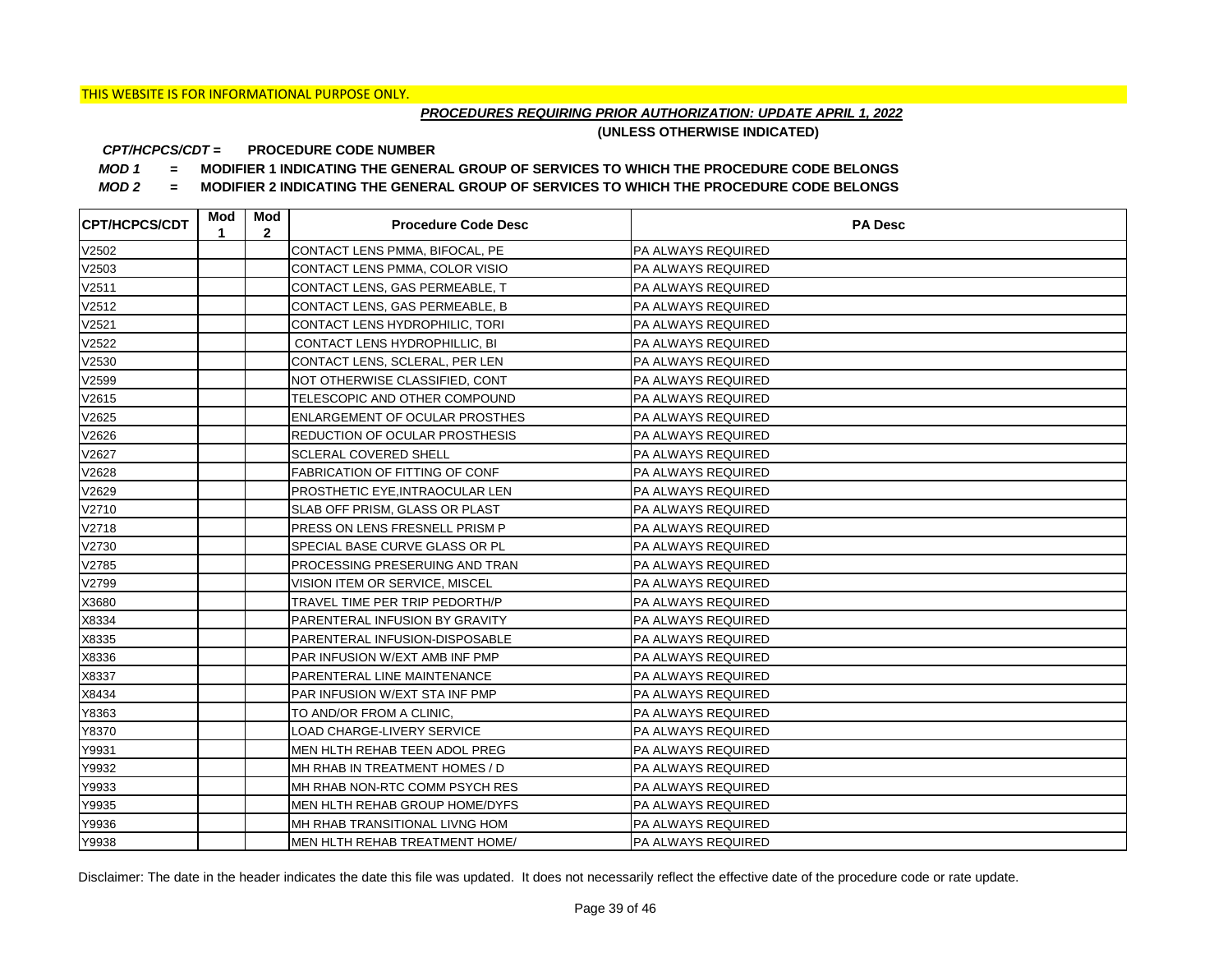## *PROCEDURES REQUIRING PRIOR AUTHORIZATION: UPDATE APRIL 1, 2022*

**(UNLESS OTHERWISE INDICATED)**

#### **PROCEDURE CODE NUMBER** *CPT/HCPCS/CDT =*

*MOD 1 =* **MODIFIER 1 INDICATING THE GENERAL GROUP OF SERVICES TO WHICH THE PROCEDURE CODE BELONGS**

*MOD 2 =* **MODIFIER 2 INDICATING THE GENERAL GROUP OF SERVICES TO WHICH THE PROCEDURE CODE BELONGS**

| <b>CPT/HCPCS/CDT</b> | Mod<br>1 | Mod<br>$\mathbf{2}$ | <b>Procedure Code Desc</b>            | <b>PA Desc</b>            |
|----------------------|----------|---------------------|---------------------------------------|---------------------------|
| V2502                |          |                     | CONTACT LENS PMMA, BIFOCAL, PE        | PA ALWAYS REQUIRED        |
| V2503                |          |                     | CONTACT LENS PMMA, COLOR VISIO        | PA ALWAYS REQUIRED        |
| V2511                |          |                     | CONTACT LENS, GAS PERMEABLE, T        | PA ALWAYS REQUIRED        |
| V2512                |          |                     | CONTACT LENS, GAS PERMEABLE, B        | PA ALWAYS REQUIRED        |
| V2521                |          |                     | CONTACT LENS HYDROPHILIC, TORI        | PA ALWAYS REQUIRED        |
| V2522                |          |                     | CONTACT LENS HYDROPHILLIC, BI         | PA ALWAYS REQUIRED        |
| V2530                |          |                     | CONTACT LENS, SCLERAL, PER LEN        | PA ALWAYS REQUIRED        |
| V2599                |          |                     | NOT OTHERWISE CLASSIFIED, CONT        | PA ALWAYS REQUIRED        |
| V2615                |          |                     | TELESCOPIC AND OTHER COMPOUND         | PA ALWAYS REQUIRED        |
| V2625                |          |                     | <b>ENLARGEMENT OF OCULAR PROSTHES</b> | PA ALWAYS REQUIRED        |
| V2626                |          |                     | <b>REDUCTION OF OCULAR PROSTHESIS</b> | PA ALWAYS REQUIRED        |
| V2627                |          |                     | <b>SCLERAL COVERED SHELL</b>          | PA ALWAYS REQUIRED        |
| V2628                |          |                     | <b>FABRICATION OF FITTING OF CONF</b> | PA ALWAYS REQUIRED        |
| V2629                |          |                     | PROSTHETIC EYE, INTRAOCULAR LEN       | PA ALWAYS REQUIRED        |
| V2710                |          |                     | SLAB OFF PRISM, GLASS OR PLAST        | PA ALWAYS REQUIRED        |
| V2718                |          |                     | PRESS ON LENS FRESNELL PRISM P        | PA ALWAYS REQUIRED        |
| V2730                |          |                     | SPECIAL BASE CURVE GLASS OR PL        | PA ALWAYS REQUIRED        |
| V2785                |          |                     | PROCESSING PRESERUING AND TRAN        | PA ALWAYS REQUIRED        |
| V2799                |          |                     | VISION ITEM OR SERVICE, MISCEL        | PA ALWAYS REQUIRED        |
| X3680                |          |                     | TRAVEL TIME PER TRIP PEDORTH/P        | PA ALWAYS REQUIRED        |
| X8334                |          |                     | PARENTERAL INFUSION BY GRAVITY        | PA ALWAYS REQUIRED        |
| X8335                |          |                     | PARENTERAL INFUSION-DISPOSABLE        | PA ALWAYS REQUIRED        |
| X8336                |          |                     | PAR INFUSION W/EXT AMB INF PMP        | PA ALWAYS REQUIRED        |
| X8337                |          |                     | PARENTERAL LINE MAINTENANCE           | PA ALWAYS REQUIRED        |
| X8434                |          |                     | PAR INFUSION W/EXT STA INF PMP        | PA ALWAYS REQUIRED        |
| Y8363                |          |                     | TO AND/OR FROM A CLINIC,              | PA ALWAYS REQUIRED        |
| Y8370                |          |                     | LOAD CHARGE-LIVERY SERVICE            | PA ALWAYS REQUIRED        |
| Y9931                |          |                     | MEN HLTH REHAB TEEN ADOL PREG         | PA ALWAYS REQUIRED        |
| Y9932                |          |                     | MH RHAB IN TREATMENT HOMES / D        | PA ALWAYS REQUIRED        |
| Y9933                |          |                     | MH RHAB NON-RTC COMM PSYCH RES        | PA ALWAYS REQUIRED        |
| Y9935                |          |                     | MEN HLTH REHAB GROUP HOME/DYFS        | PA ALWAYS REQUIRED        |
| Y9936                |          |                     | MH RHAB TRANSITIONAL LIVNG HOM        | PA ALWAYS REQUIRED        |
| Y9938                |          |                     | <b>MEN HLTH REHAB TREATMENT HOME/</b> | <b>PA ALWAYS REQUIRED</b> |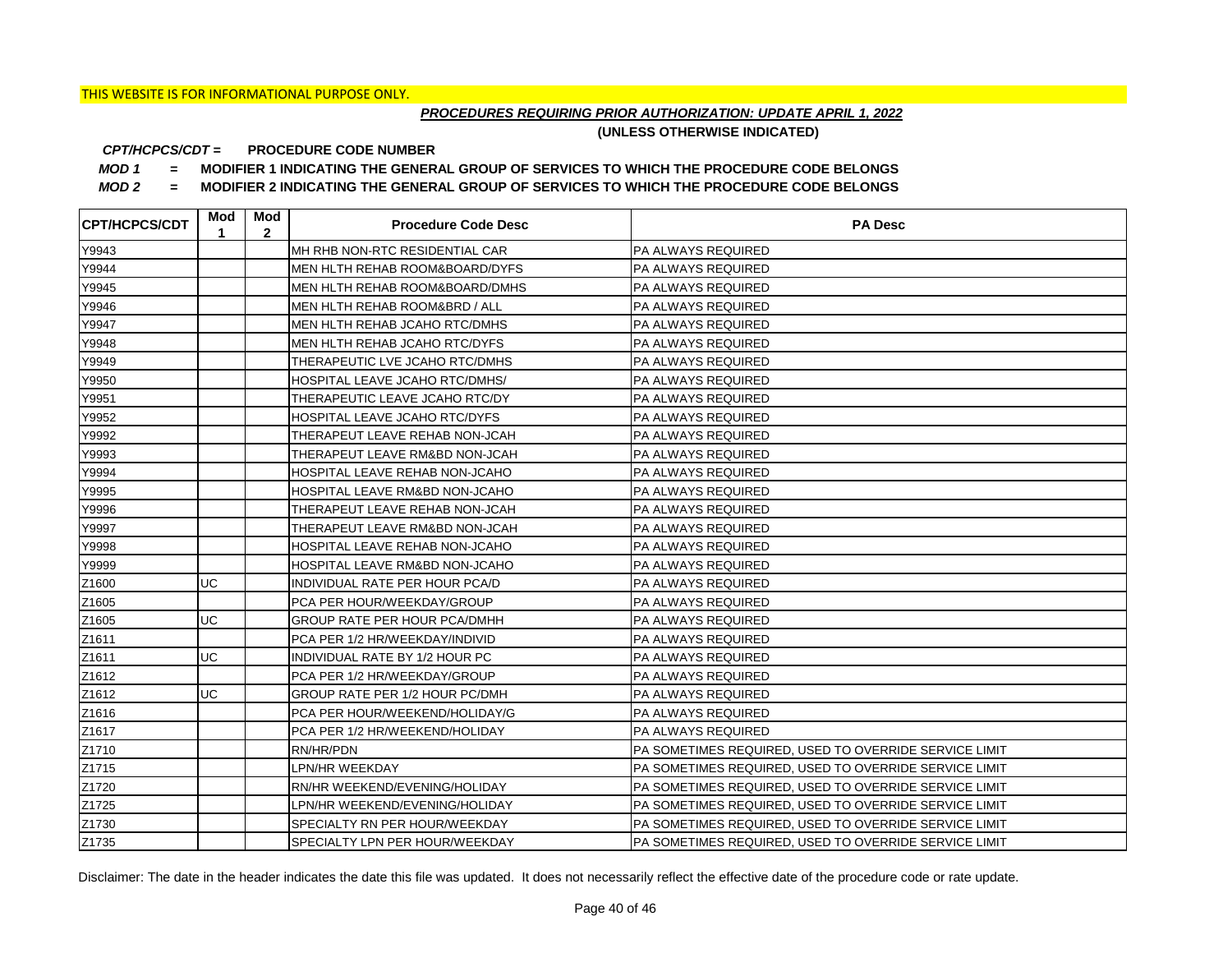## *PROCEDURES REQUIRING PRIOR AUTHORIZATION: UPDATE APRIL 1, 2022*

**(UNLESS OTHERWISE INDICATED)**

#### **PROCEDURE CODE NUMBER** *CPT/HCPCS/CDT =*

*MOD 1 =* **MODIFIER 1 INDICATING THE GENERAL GROUP OF SERVICES TO WHICH THE PROCEDURE CODE BELONGS**

*MOD 2 =* **MODIFIER 2 INDICATING THE GENERAL GROUP OF SERVICES TO WHICH THE PROCEDURE CODE BELONGS**

| CPT/HCPCS/CDT | Mod<br>1 | Mod<br>$\mathbf{2}$ | <b>Procedure Code Desc</b>                | <b>PA Desc</b>                                        |
|---------------|----------|---------------------|-------------------------------------------|-------------------------------------------------------|
| Y9943         |          |                     | MH RHB NON-RTC RESIDENTIAL CAR            | PA ALWAYS REQUIRED                                    |
| Y9944         |          |                     | <b>MEN HLTH REHAB ROOM&amp;BOARD/DYFS</b> | <b>PA ALWAYS REQUIRED</b>                             |
| Y9945         |          |                     | MEN HLTH REHAB ROOM&BOARD/DMHS            | <b>PA ALWAYS REQUIRED</b>                             |
| Y9946         |          |                     | MEN HLTH REHAB ROOM&BRD / ALL             | <b>PA ALWAYS REQUIRED</b>                             |
| Y9947         |          |                     | MEN HLTH REHAB JCAHO RTC/DMHS             | PA ALWAYS REQUIRED                                    |
| Y9948         |          |                     | MEN HLTH REHAB JCAHO RTC/DYFS             | PA ALWAYS REQUIRED                                    |
| Y9949         |          |                     | THERAPEUTIC LVE JCAHO RTC/DMHS            | PA ALWAYS REQUIRED                                    |
| Y9950         |          |                     | HOSPITAL LEAVE JCAHO RTC/DMHS/            | PA ALWAYS REQUIRED                                    |
| Y9951         |          |                     | THERAPEUTIC LEAVE JCAHO RTC/DY            | PA ALWAYS REQUIRED                                    |
| Y9952         |          |                     | HOSPITAL LEAVE JCAHO RTC/DYFS             | PA ALWAYS REQUIRED                                    |
| Y9992         |          |                     | THERAPEUT LEAVE REHAB NON-JCAH            | PA ALWAYS REQUIRED                                    |
| Y9993         |          |                     | THERAPEUT LEAVE RM&BD NON-JCAH            | PA ALWAYS REQUIRED                                    |
| Y9994         |          |                     | HOSPITAL LEAVE REHAB NON-JCAHO            | PA ALWAYS REQUIRED                                    |
| Y9995         |          |                     | HOSPITAL LEAVE RM&BD NON-JCAHO            | PA ALWAYS REQUIRED                                    |
| Y9996         |          |                     | THERAPEUT LEAVE REHAB NON-JCAH            | IPA ALWAYS REQUIRED                                   |
| Y9997         |          |                     | THERAPEUT LEAVE RM&BD NON-JCAH            | <b>PA ALWAYS REQUIRED</b>                             |
| Y9998         |          |                     | HOSPITAL LEAVE REHAB NON-JCAHO            | <b>PA ALWAYS REQUIRED</b>                             |
| Y9999         |          |                     | HOSPITAL LEAVE RM&BD NON-JCAHO            | <b>PA ALWAYS REQUIRED</b>                             |
| Z1600         | UC       |                     | INDIVIDUAL RATE PER HOUR PCA/D            | <b>PA ALWAYS REQUIRED</b>                             |
| Z1605         |          |                     | PCA PER HOUR/WEEKDAY/GROUP                | <b>PA ALWAYS REQUIRED</b>                             |
| Z1605         | UC       |                     | <b>GROUP RATE PER HOUR PCA/DMHH</b>       | <b>PA ALWAYS REQUIRED</b>                             |
| Z1611         |          |                     | PCA PER 1/2 HR/WEEKDAY/INDIVID            | <b>PA ALWAYS REQUIRED</b>                             |
| Z1611         | UC       |                     | INDIVIDUAL RATE BY 1/2 HOUR PC            | <b>PA ALWAYS REQUIRED</b>                             |
| Z1612         |          |                     | PCA PER 1/2 HR/WEEKDAY/GROUP              | PA ALWAYS REQUIRED                                    |
| Z1612         | UC       |                     | GROUP RATE PER 1/2 HOUR PC/DMH            | <b>PA ALWAYS REQUIRED</b>                             |
| Z1616         |          |                     | PCA PER HOUR/WEEKEND/HOLIDAY/G            | <b>PA ALWAYS REQUIRED</b>                             |
| Z1617         |          |                     | PCA PER 1/2 HR/WEEKEND/HOLIDAY            | <b>PA ALWAYS REQUIRED</b>                             |
| Z1710         |          |                     | RN/HR/PDN                                 | PA SOMETIMES REQUIRED, USED TO OVERRIDE SERVICE LIMIT |
| Z1715         |          |                     | LPN/HR WEEKDAY                            | PA SOMETIMES REQUIRED, USED TO OVERRIDE SERVICE LIMIT |
| Z1720         |          |                     | RN/HR WEEKEND/EVENING/HOLIDAY             | PA SOMETIMES REQUIRED, USED TO OVERRIDE SERVICE LIMIT |
| Z1725         |          |                     | LPN/HR WEEKEND/EVENING/HOLIDAY            | PA SOMETIMES REQUIRED, USED TO OVERRIDE SERVICE LIMIT |
| Z1730         |          |                     | SPECIALTY RN PER HOUR/WEEKDAY             | PA SOMETIMES REQUIRED, USED TO OVERRIDE SERVICE LIMIT |
| Z1735         |          |                     | SPECIALTY LPN PER HOUR/WEEKDAY            | PA SOMETIMES REQUIRED, USED TO OVERRIDE SERVICE LIMIT |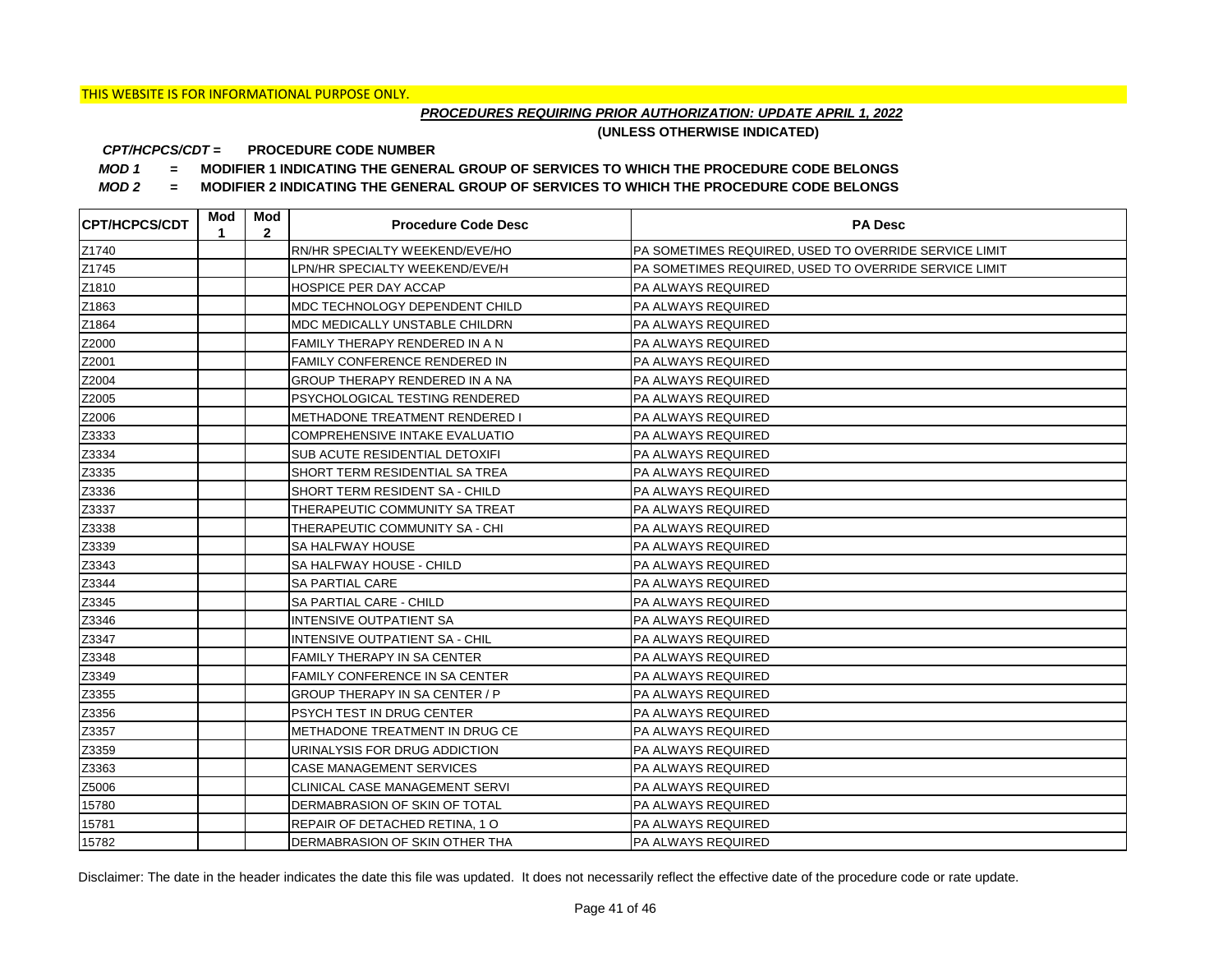## *PROCEDURES REQUIRING PRIOR AUTHORIZATION: UPDATE APRIL 1, 2022*

**(UNLESS OTHERWISE INDICATED)**

#### **PROCEDURE CODE NUMBER** *CPT/HCPCS/CDT =*

*MOD 1 =* **MODIFIER 1 INDICATING THE GENERAL GROUP OF SERVICES TO WHICH THE PROCEDURE CODE BELONGS**

*MOD 2 =* **MODIFIER 2 INDICATING THE GENERAL GROUP OF SERVICES TO WHICH THE PROCEDURE CODE BELONGS**

| <b>CPT/HCPCS/CDT</b> | Mod<br>1 | Mod<br>$\mathbf{2}$ | <b>Procedure Code Desc</b>     | <b>PA Desc</b>                                        |
|----------------------|----------|---------------------|--------------------------------|-------------------------------------------------------|
| Z1740                |          |                     | RN/HR SPECIALTY WEEKEND/EVE/HO | PA SOMETIMES REQUIRED, USED TO OVERRIDE SERVICE LIMIT |
| Z1745                |          |                     | LPN/HR SPECIALTY WEEKEND/EVE/H | PA SOMETIMES REQUIRED, USED TO OVERRIDE SERVICE LIMIT |
| Z1810                |          |                     | HOSPICE PER DAY ACCAP          | PA ALWAYS REQUIRED                                    |
| Z1863                |          |                     | MDC TECHNOLOGY DEPENDENT CHILD | PA ALWAYS REQUIRED                                    |
| Z1864                |          |                     | MDC MEDICALLY UNSTABLE CHILDRN | PA ALWAYS REQUIRED                                    |
| Z2000                |          |                     | FAMILY THERAPY RENDERED IN A N | PA ALWAYS REQUIRED                                    |
| Z2001                |          |                     | FAMILY CONFERENCE RENDERED IN  | <b>PA ALWAYS REQUIRED</b>                             |
| Z2004                |          |                     | GROUP THERAPY RENDERED IN A NA | PA ALWAYS REQUIRED                                    |
| Z2005                |          |                     | PSYCHOLOGICAL TESTING RENDERED | <b>PA ALWAYS REQUIRED</b>                             |
| Z2006                |          |                     | METHADONE TREATMENT RENDERED I | PA ALWAYS REQUIRED                                    |
| Z3333                |          |                     | COMPREHENSIVE INTAKE EVALUATIO | PA ALWAYS REQUIRED                                    |
| Z3334                |          |                     | SUB ACUTE RESIDENTIAL DETOXIFI | PA ALWAYS REQUIRED                                    |
| Z3335                |          |                     | SHORT TERM RESIDENTIAL SA TREA | <b>PA ALWAYS REQUIRED</b>                             |
| Z3336                |          |                     | SHORT TERM RESIDENT SA - CHILD | <b>PA ALWAYS REQUIRED</b>                             |
| Z3337                |          |                     | THERAPEUTIC COMMUNITY SA TREAT | PA ALWAYS REQUIRED                                    |
| Z3338                |          |                     | THERAPEUTIC COMMUNITY SA - CHI | PA ALWAYS REQUIRED                                    |
| Z3339                |          |                     | SA HALFWAY HOUSE               | PA ALWAYS REQUIRED                                    |
| Z3343                |          |                     | SA HALFWAY HOUSE - CHILD       | PA ALWAYS REQUIRED                                    |
| Z3344                |          |                     | SA PARTIAL CARE                | PA ALWAYS REQUIRED                                    |
| Z3345                |          |                     | SA PARTIAL CARE - CHILD        | PA ALWAYS REQUIRED                                    |
| Z3346                |          |                     | <b>INTENSIVE OUTPATIENT SA</b> | PA ALWAYS REQUIRED                                    |
| Z3347                |          |                     | INTENSIVE OUTPATIENT SA - CHIL | PA ALWAYS REQUIRED                                    |
| Z3348                |          |                     | FAMILY THERAPY IN SA CENTER    | PA ALWAYS REQUIRED                                    |
| Z3349                |          |                     | FAMILY CONFERENCE IN SA CENTER | PA ALWAYS REQUIRED                                    |
| Z3355                |          |                     | GROUP THERAPY IN SA CENTER / P | PA ALWAYS REQUIRED                                    |
| Z3356                |          |                     | PSYCH TEST IN DRUG CENTER      | PA ALWAYS REQUIRED                                    |
| Z3357                |          |                     | METHADONE TREATMENT IN DRUG CE | PA ALWAYS REQUIRED                                    |
| Z3359                |          |                     | URINALYSIS FOR DRUG ADDICTION  | PA ALWAYS REQUIRED                                    |
| Z3363                |          |                     | CASE MANAGEMENT SERVICES       | PA ALWAYS REQUIRED                                    |
| Z5006                |          |                     | CLINICAL CASE MANAGEMENT SERVI | PA ALWAYS REQUIRED                                    |
| 15780                |          |                     | DERMABRASION OF SKIN OF TOTAL  | PA ALWAYS REQUIRED                                    |
| 15781                |          |                     | REPAIR OF DETACHED RETINA, 1 O | PA ALWAYS REQUIRED                                    |
| 15782                |          |                     | DERMABRASION OF SKIN OTHER THA | <b>PA ALWAYS REQUIRED</b>                             |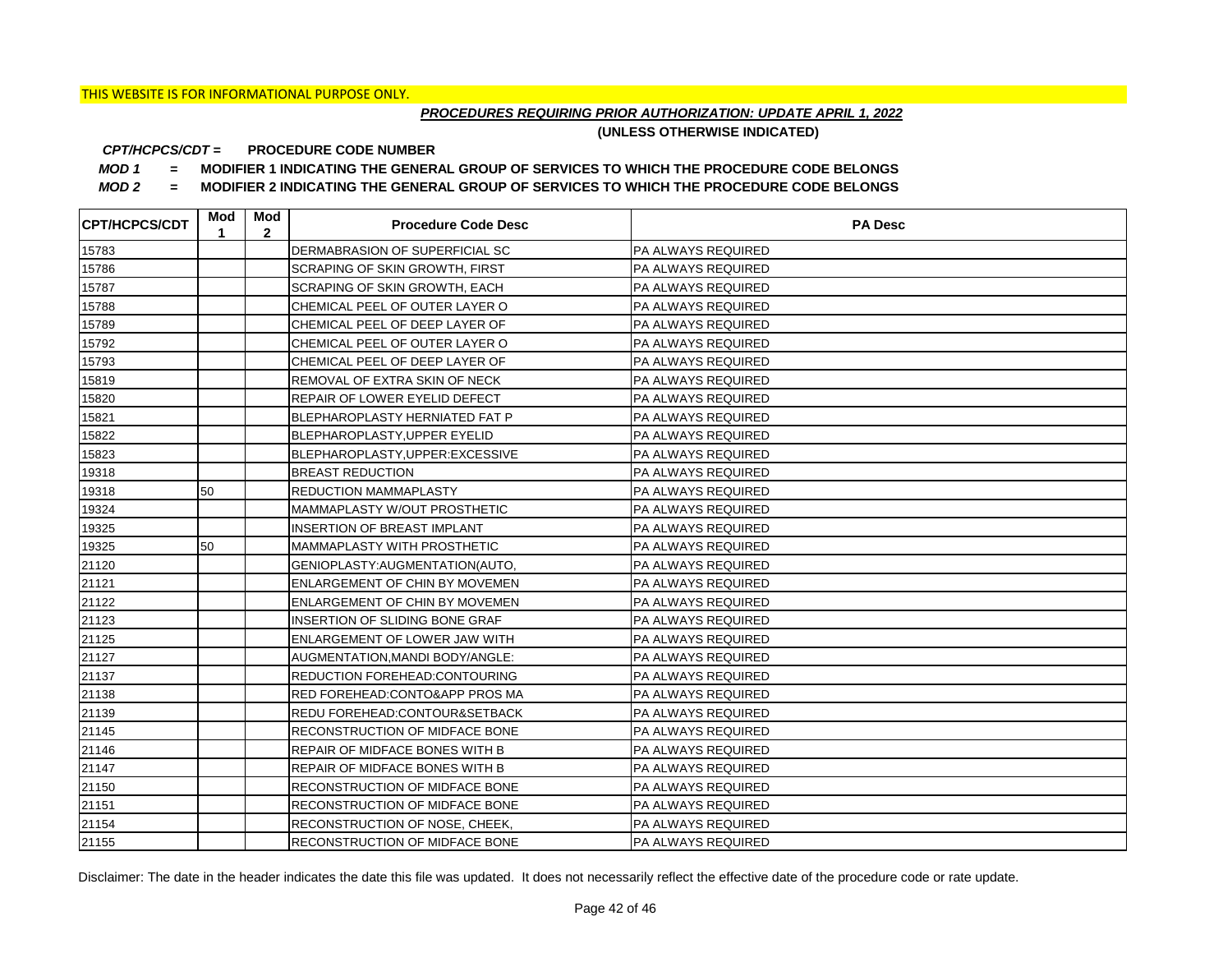## *PROCEDURES REQUIRING PRIOR AUTHORIZATION: UPDATE APRIL 1, 2022*

**(UNLESS OTHERWISE INDICATED)**

#### **PROCEDURE CODE NUMBER** *CPT/HCPCS/CDT =*

*MOD 1 =* **MODIFIER 1 INDICATING THE GENERAL GROUP OF SERVICES TO WHICH THE PROCEDURE CODE BELONGS**

*MOD 2 =* **MODIFIER 2 INDICATING THE GENERAL GROUP OF SERVICES TO WHICH THE PROCEDURE CODE BELONGS**

| <b>CPT/HCPCS/CDT</b> | Mod<br>1 | Mod<br>$\mathbf{2}$ | <b>Procedure Code Desc</b>            | <b>PA Desc</b>            |
|----------------------|----------|---------------------|---------------------------------------|---------------------------|
| 15783                |          |                     | DERMABRASION OF SUPERFICIAL SC        | PA ALWAYS REQUIRED        |
| 15786                |          |                     | <b>SCRAPING OF SKIN GROWTH, FIRST</b> | PA ALWAYS REQUIRED        |
| 15787                |          |                     | <b>SCRAPING OF SKIN GROWTH, EACH</b>  | PA ALWAYS REQUIRED        |
| 15788                |          |                     | CHEMICAL PEEL OF OUTER LAYER O        | PA ALWAYS REQUIRED        |
| 15789                |          |                     | CHEMICAL PEEL OF DEEP LAYER OF        | PA ALWAYS REQUIRED        |
| 15792                |          |                     | CHEMICAL PEEL OF OUTER LAYER O        | PA ALWAYS REQUIRED        |
| 15793                |          |                     | CHEMICAL PEEL OF DEEP LAYER OF        | PA ALWAYS REQUIRED        |
| 15819                |          |                     | REMOVAL OF EXTRA SKIN OF NECK         | PA ALWAYS REQUIRED        |
| 15820                |          |                     | REPAIR OF LOWER EYELID DEFECT         | PA ALWAYS REQUIRED        |
| 15821                |          |                     | BLEPHAROPLASTY HERNIATED FAT P        | PA ALWAYS REQUIRED        |
| 15822                |          |                     | BLEPHAROPLASTY, UPPER EYELID          | PA ALWAYS REQUIRED        |
| 15823                |          |                     | BLEPHAROPLASTY, UPPER: EXCESSIVE      | PA ALWAYS REQUIRED        |
| 19318                |          |                     | <b>BREAST REDUCTION</b>               | <b>PA ALWAYS REQUIRED</b> |
| 19318                | 50       |                     | <b>REDUCTION MAMMAPLASTY</b>          | <b>PA ALWAYS REQUIRED</b> |
| 19324                |          |                     | MAMMAPLASTY W/OUT PROSTHETIC          | PA ALWAYS REQUIRED        |
| 19325                |          |                     | INSERTION OF BREAST IMPLANT           | PA ALWAYS REQUIRED        |
| 19325                | 50       |                     | <b>MAMMAPLASTY WITH PROSTHETIC</b>    | PA ALWAYS REQUIRED        |
| 21120                |          |                     | GENIOPLASTY: AUGMENTATION (AUTO,      | PA ALWAYS REQUIRED        |
| 21121                |          |                     | <b>ENLARGEMENT OF CHIN BY MOVEMEN</b> | PA ALWAYS REQUIRED        |
| 21122                |          |                     | <b>ENLARGEMENT OF CHIN BY MOVEMEN</b> | PA ALWAYS REQUIRED        |
| 21123                |          |                     | INSERTION OF SLIDING BONE GRAF        | PA ALWAYS REQUIRED        |
| 21125                |          |                     | ENLARGEMENT OF LOWER JAW WITH         | PA ALWAYS REQUIRED        |
| 21127                |          |                     | AUGMENTATION, MANDI BODY/ANGLE:       | PA ALWAYS REQUIRED        |
| 21137                |          |                     | REDUCTION FOREHEAD: CONTOURING        | PA ALWAYS REQUIRED        |
| 21138                |          |                     | RED FOREHEAD: CONTO&APP PROS MA       | PA ALWAYS REQUIRED        |
| 21139                |          |                     | REDU FOREHEAD: CONTOUR& SETBACK       | PA ALWAYS REQUIRED        |
| 21145                |          |                     | RECONSTRUCTION OF MIDFACE BONE        | PA ALWAYS REQUIRED        |
| 21146                |          |                     | REPAIR OF MIDFACE BONES WITH B        | PA ALWAYS REQUIRED        |
| 21147                |          |                     | REPAIR OF MIDFACE BONES WITH B        | PA ALWAYS REQUIRED        |
| 21150                |          |                     | <b>RECONSTRUCTION OF MIDFACE BONE</b> | PA ALWAYS REQUIRED        |
| 21151                |          |                     | RECONSTRUCTION OF MIDFACE BONE        | PA ALWAYS REQUIRED        |
| 21154                |          |                     | RECONSTRUCTION OF NOSE, CHEEK,        | PA ALWAYS REQUIRED        |
| 21155                |          |                     | <b>RECONSTRUCTION OF MIDFACE BONE</b> | <b>PA ALWAYS REQUIRED</b> |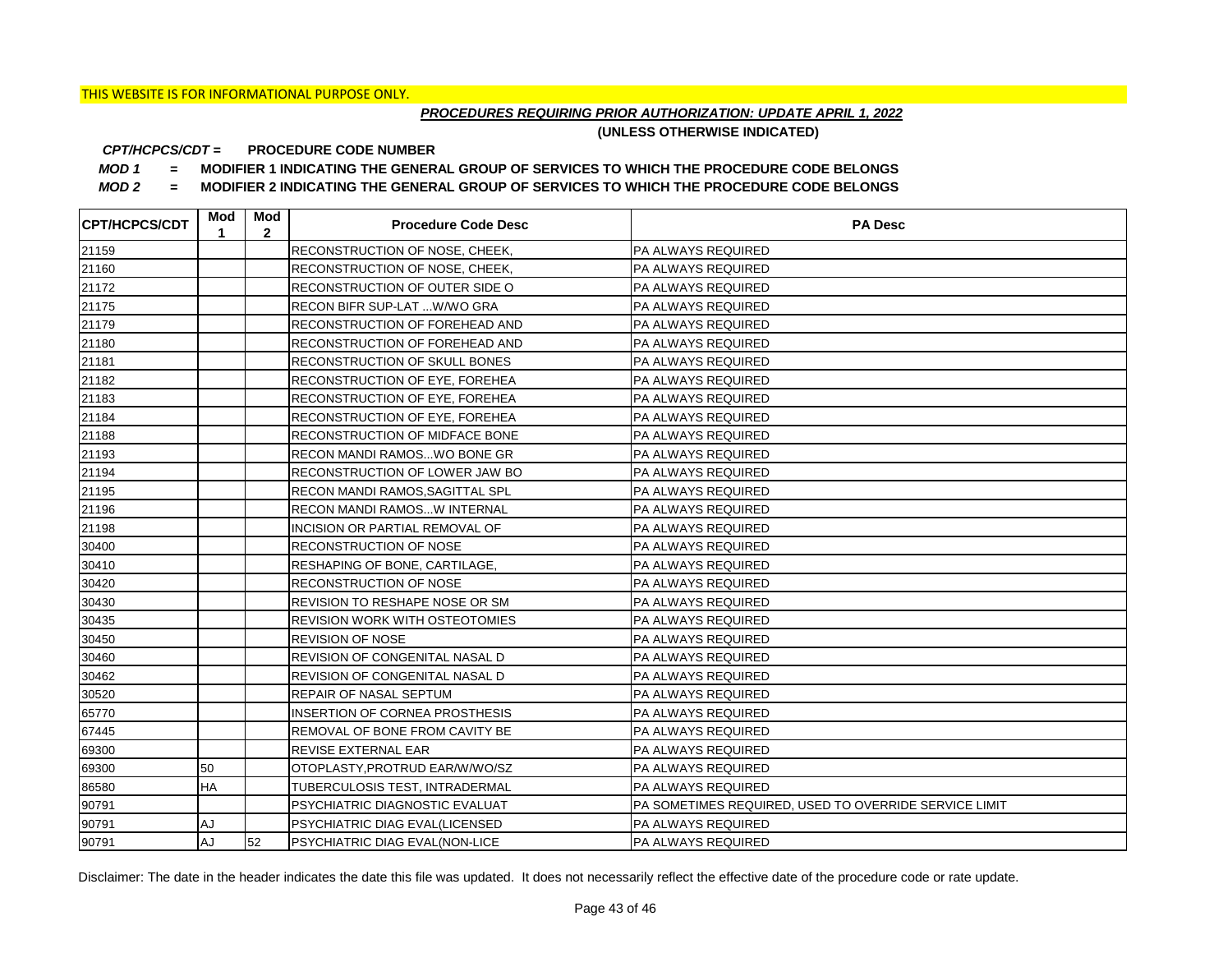## *PROCEDURES REQUIRING PRIOR AUTHORIZATION: UPDATE APRIL 1, 2022*

**(UNLESS OTHERWISE INDICATED)**

#### **PROCEDURE CODE NUMBER** *CPT/HCPCS/CDT =*

*MOD 1 =* **MODIFIER 1 INDICATING THE GENERAL GROUP OF SERVICES TO WHICH THE PROCEDURE CODE BELONGS**

*MOD 2 =* **MODIFIER 2 INDICATING THE GENERAL GROUP OF SERVICES TO WHICH THE PROCEDURE CODE BELONGS**

| <b>CPT/HCPCS/CDT</b> | Mod<br>1  | Mod<br>$\mathbf{2}$ | <b>Procedure Code Desc</b>            | <b>PA Desc</b>                                        |
|----------------------|-----------|---------------------|---------------------------------------|-------------------------------------------------------|
| 21159                |           |                     | <b>RECONSTRUCTION OF NOSE, CHEEK,</b> | PA ALWAYS REQUIRED                                    |
| 21160                |           |                     | <b>RECONSTRUCTION OF NOSE, CHEEK,</b> | PA ALWAYS REQUIRED                                    |
| 21172                |           |                     | RECONSTRUCTION OF OUTER SIDE O        | PA ALWAYS REQUIRED                                    |
| 21175                |           |                     | RECON BIFR SUP-LAT  W/WO GRA          | PA ALWAYS REQUIRED                                    |
| 21179                |           |                     | RECONSTRUCTION OF FOREHEAD AND        | PA ALWAYS REQUIRED                                    |
| 21180                |           |                     | RECONSTRUCTION OF FOREHEAD AND        | PA ALWAYS REQUIRED                                    |
| 21181                |           |                     | RECONSTRUCTION OF SKULL BONES         | PA ALWAYS REQUIRED                                    |
| 21182                |           |                     | RECONSTRUCTION OF EYE, FOREHEA        | PA ALWAYS REQUIRED                                    |
| 21183                |           |                     | RECONSTRUCTION OF EYE, FOREHEA        | PA ALWAYS REQUIRED                                    |
| 21184                |           |                     | RECONSTRUCTION OF EYE, FOREHEA        | PA ALWAYS REQUIRED                                    |
| 21188                |           |                     | RECONSTRUCTION OF MIDFACE BONE        | PA ALWAYS REQUIRED                                    |
| 21193                |           |                     | <b>RECON MANDI RAMOS WO BONE GR</b>   | PA ALWAYS REQUIRED                                    |
| 21194                |           |                     | <b>RECONSTRUCTION OF LOWER JAW BO</b> | PA ALWAYS REQUIRED                                    |
| 21195                |           |                     | RECON MANDI RAMOS, SAGITTAL SPL       | PA ALWAYS REQUIRED                                    |
| 21196                |           |                     | <b>RECON MANDI RAMOSW INTERNAL</b>    | PA ALWAYS REQUIRED                                    |
| 21198                |           |                     | INCISION OR PARTIAL REMOVAL OF        | PA ALWAYS REQUIRED                                    |
| 30400                |           |                     | <b>RECONSTRUCTION OF NOSE</b>         | PA ALWAYS REQUIRED                                    |
| 30410                |           |                     | RESHAPING OF BONE, CARTILAGE,         | PA ALWAYS REQUIRED                                    |
| 30420                |           |                     | <b>RECONSTRUCTION OF NOSE</b>         | PA ALWAYS REQUIRED                                    |
| 30430                |           |                     | REVISION TO RESHAPE NOSE OR SM        | PA ALWAYS REQUIRED                                    |
| 30435                |           |                     | <b>REVISION WORK WITH OSTEOTOMIES</b> | PA ALWAYS REQUIRED                                    |
| 30450                |           |                     | <b>REVISION OF NOSE</b>               | PA ALWAYS REQUIRED                                    |
| 30460                |           |                     | REVISION OF CONGENITAL NASAL D        | PA ALWAYS REQUIRED                                    |
| 30462                |           |                     | REVISION OF CONGENITAL NASAL D        | PA ALWAYS REQUIRED                                    |
| 30520                |           |                     | REPAIR OF NASAL SEPTUM                | PA ALWAYS REQUIRED                                    |
| 65770                |           |                     | <b>INSERTION OF CORNEA PROSTHESIS</b> | PA ALWAYS REQUIRED                                    |
| 67445                |           |                     | REMOVAL OF BONE FROM CAVITY BE        | PA ALWAYS REQUIRED                                    |
| 69300                |           |                     | REVISE EXTERNAL EAR                   | PA ALWAYS REQUIRED                                    |
| 69300                | 50        |                     | OTOPLASTY, PROTRUD EAR/W/WO/SZ        | PA ALWAYS REQUIRED                                    |
| 86580                | <b>HA</b> |                     | TUBERCULOSIS TEST, INTRADERMAL        | PA ALWAYS REQUIRED                                    |
| 90791                |           |                     | PSYCHIATRIC DIAGNOSTIC EVALUAT        | PA SOMETIMES REQUIRED, USED TO OVERRIDE SERVICE LIMIT |
| 90791                | AJ        |                     | <b>PSYCHIATRIC DIAG EVAL(LICENSED</b> | PA ALWAYS REQUIRED                                    |
| 90791                | <b>AJ</b> | 52                  | <b>PSYCHIATRIC DIAG EVAL(NON-LICE</b> | <b>PA ALWAYS REQUIRED</b>                             |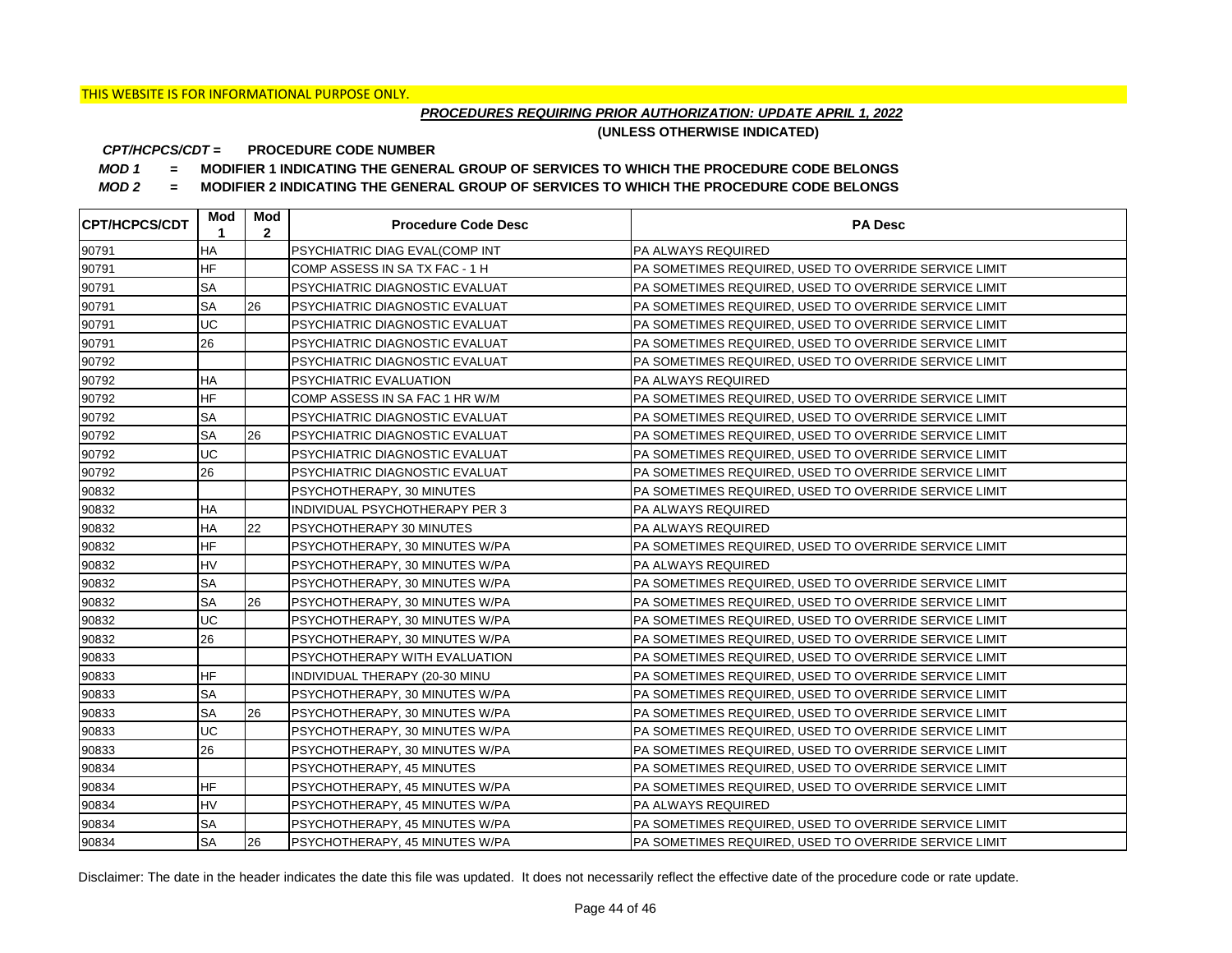## *PROCEDURES REQUIRING PRIOR AUTHORIZATION: UPDATE APRIL 1, 2022*

**(UNLESS OTHERWISE INDICATED)**

#### **PROCEDURE CODE NUMBER** *CPT/HCPCS/CDT =*

*MOD 1 =* **MODIFIER 1 INDICATING THE GENERAL GROUP OF SERVICES TO WHICH THE PROCEDURE CODE BELONGS**

*MOD 2 =* **MODIFIER 2 INDICATING THE GENERAL GROUP OF SERVICES TO WHICH THE PROCEDURE CODE BELONGS**

| <b>CPT/HCPCS/CDT</b> | Mod<br>1  | Mod<br>$\mathbf{2}$ | <b>Procedure Code Desc</b>             | <b>PA Desc</b>                                         |
|----------------------|-----------|---------------------|----------------------------------------|--------------------------------------------------------|
| 90791                | <b>HA</b> |                     | <b>PSYCHIATRIC DIAG EVAL(COMP INT</b>  | <b>PA ALWAYS REQUIRED</b>                              |
| 90791                | <b>HF</b> |                     | COMP ASSESS IN SA TX FAC - 1 H         | IPA SOMETIMES REQUIRED. USED TO OVERRIDE SERVICE LIMIT |
| 90791                | <b>SA</b> |                     | <b>PSYCHIATRIC DIAGNOSTIC EVALUAT</b>  | PA SOMETIMES REQUIRED, USED TO OVERRIDE SERVICE LIMIT  |
| 90791                | <b>SA</b> | 26                  | PSYCHIATRIC DIAGNOSTIC EVALUAT         | PA SOMETIMES REQUIRED, USED TO OVERRIDE SERVICE LIMIT  |
| 90791                | UC        |                     | PSYCHIATRIC DIAGNOSTIC EVALUAT         | PA SOMETIMES REQUIRED. USED TO OVERRIDE SERVICE LIMIT  |
| 90791                | 26        |                     | <b>PSYCHIATRIC DIAGNOSTIC EVALUAT</b>  | IPA SOMETIMES REQUIRED. USED TO OVERRIDE SERVICE LIMIT |
| 90792                |           |                     | <b>PSYCHIATRIC DIAGNOSTIC EVALUAT</b>  | PA SOMETIMES REQUIRED, USED TO OVERRIDE SERVICE LIMIT  |
| 90792                | HA        |                     | PSYCHIATRIC EVALUATION                 | <b>PA ALWAYS REQUIRED</b>                              |
| 90792                | <b>HF</b> |                     | COMP ASSESS IN SA FAC 1 HR W/M         | PA SOMETIMES REQUIRED, USED TO OVERRIDE SERVICE LIMIT  |
| 90792                | <b>SA</b> |                     | PSYCHIATRIC DIAGNOSTIC EVALUAT         | PA SOMETIMES REQUIRED, USED TO OVERRIDE SERVICE LIMIT  |
| 90792                | <b>SA</b> | 26                  | PSYCHIATRIC DIAGNOSTIC EVALUAT         | PA SOMETIMES REQUIRED, USED TO OVERRIDE SERVICE LIMIT  |
| 90792                | UC        |                     | <b>PSYCHIATRIC DIAGNOSTIC EVALUAT</b>  | PA SOMETIMES REQUIRED, USED TO OVERRIDE SERVICE LIMIT  |
| 90792                | 26        |                     | <b>PSYCHIATRIC DIAGNOSTIC EVALUAT</b>  | PA SOMETIMES REQUIRED, USED TO OVERRIDE SERVICE LIMIT  |
| 90832                |           |                     | PSYCHOTHERAPY, 30 MINUTES              | PA SOMETIMES REQUIRED, USED TO OVERRIDE SERVICE LIMIT  |
| 90832                | <b>HA</b> |                     | INDIVIDUAL PSYCHOTHERAPY PER 3         | PA ALWAYS REQUIRED                                     |
| 90832                | <b>HA</b> | 22                  | PSYCHOTHERAPY 30 MINUTES               | <b>PA ALWAYS REQUIRED</b>                              |
| 90832                | <b>HF</b> |                     | PSYCHOTHERAPY, 30 MINUTES W/PA         | PA SOMETIMES REQUIRED, USED TO OVERRIDE SERVICE LIMIT  |
| 90832                | HV        |                     | PSYCHOTHERAPY, 30 MINUTES W/PA         | IPA ALWAYS REQUIRED                                    |
| 90832                | <b>SA</b> |                     | PSYCHOTHERAPY, 30 MINUTES W/PA         | PA SOMETIMES REQUIRED, USED TO OVERRIDE SERVICE LIMIT  |
| 90832                | <b>SA</b> | 26                  | PSYCHOTHERAPY, 30 MINUTES W/PA         | PA SOMETIMES REQUIRED, USED TO OVERRIDE SERVICE LIMIT  |
| 90832                | UC        |                     | PSYCHOTHERAPY, 30 MINUTES W/PA         | PA SOMETIMES REQUIRED, USED TO OVERRIDE SERVICE LIMIT  |
| 90832                | 26        |                     | PSYCHOTHERAPY, 30 MINUTES W/PA         | PA SOMETIMES REQUIRED. USED TO OVERRIDE SERVICE LIMIT  |
| 90833                |           |                     | PSYCHOTHERAPY WITH EVALUATION          | PA SOMETIMES REQUIRED, USED TO OVERRIDE SERVICE LIMIT  |
| 90833                | <b>HF</b> |                     | INDIVIDUAL THERAPY (20-30 MINU         | PA SOMETIMES REQUIRED. USED TO OVERRIDE SERVICE LIMIT  |
| 90833                | <b>SA</b> |                     | PSYCHOTHERAPY, 30 MINUTES W/PA         | PA SOMETIMES REQUIRED, USED TO OVERRIDE SERVICE LIMIT  |
| 90833                | <b>SA</b> | 26                  | PSYCHOTHERAPY, 30 MINUTES W/PA         | PA SOMETIMES REQUIRED, USED TO OVERRIDE SERVICE LIMIT  |
| 90833                | UC        |                     | PSYCHOTHERAPY, 30 MINUTES W/PA         | PA SOMETIMES REQUIRED, USED TO OVERRIDE SERVICE LIMIT  |
| 90833                | 26        |                     | PSYCHOTHERAPY, 30 MINUTES W/PA         | PA SOMETIMES REQUIRED, USED TO OVERRIDE SERVICE LIMIT  |
| 90834                |           |                     | PSYCHOTHERAPY, 45 MINUTES              | PA SOMETIMES REQUIRED, USED TO OVERRIDE SERVICE LIMIT  |
| 90834                | <b>HF</b> |                     | PSYCHOTHERAPY, 45 MINUTES W/PA         | PA SOMETIMES REQUIRED, USED TO OVERRIDE SERVICE LIMIT  |
| 90834                | <b>HV</b> |                     | PSYCHOTHERAPY, 45 MINUTES W/PA         | PA ALWAYS REQUIRED                                     |
| 90834                | <b>SA</b> |                     | PSYCHOTHERAPY, 45 MINUTES W/PA         | PA SOMETIMES REQUIRED, USED TO OVERRIDE SERVICE LIMIT  |
| 90834                | <b>SA</b> | 26                  | <b>IPSYCHOTHERAPY, 45 MINUTES W/PA</b> | PA SOMETIMES REQUIRED. USED TO OVERRIDE SERVICE LIMIT  |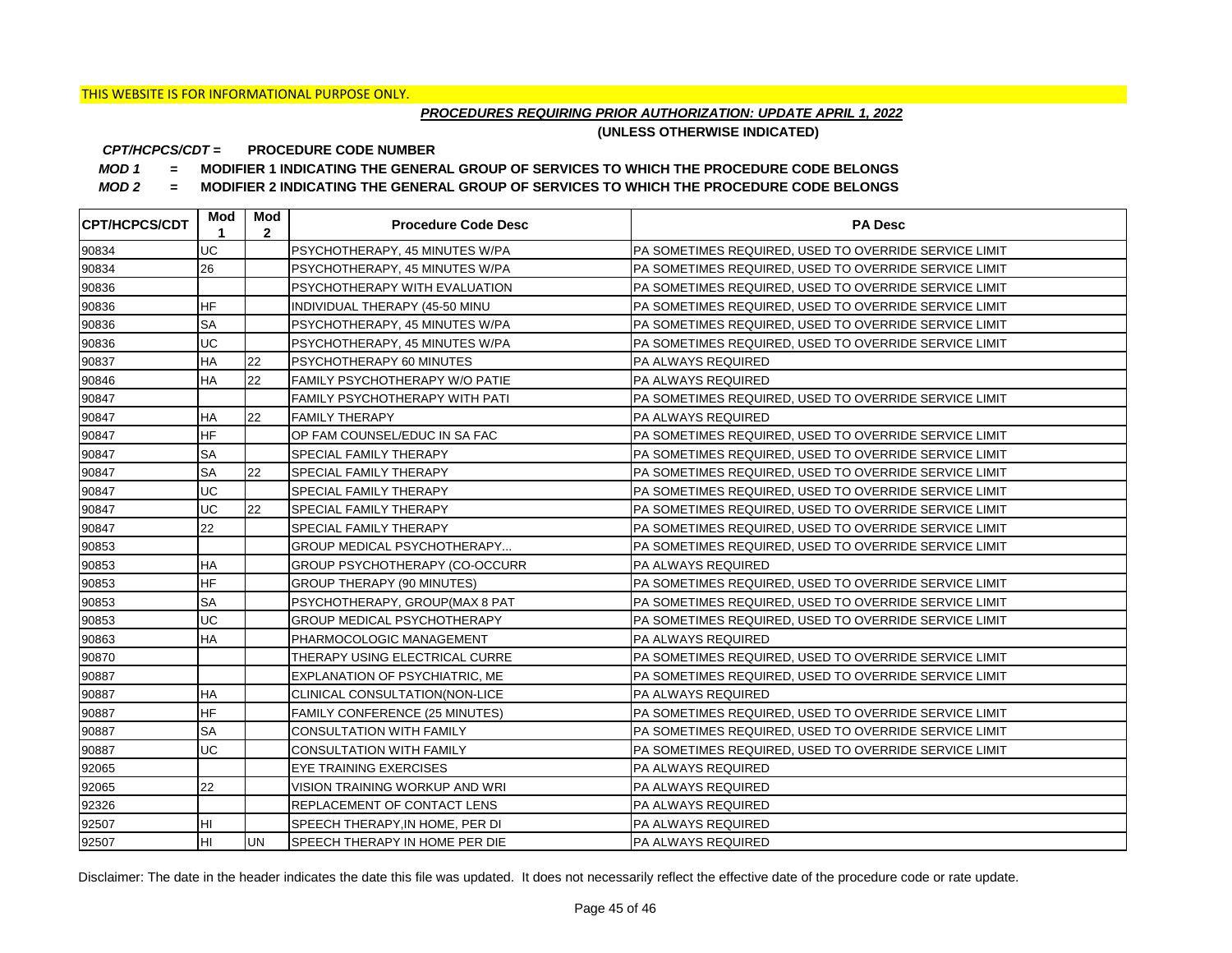## *PROCEDURES REQUIRING PRIOR AUTHORIZATION: UPDATE APRIL 1, 2022*

**(UNLESS OTHERWISE INDICATED)**

#### **PROCEDURE CODE NUMBER** *CPT/HCPCS/CDT =*

*MOD 1 =* **MODIFIER 1 INDICATING THE GENERAL GROUP OF SERVICES TO WHICH THE PROCEDURE CODE BELONGS**

*MOD 2 =* **MODIFIER 2 INDICATING THE GENERAL GROUP OF SERVICES TO WHICH THE PROCEDURE CODE BELONGS**

| <b>CPT/HCPCS/CDT</b> | Mod<br>1  | Mod<br>$\mathbf{2}$ | <b>Procedure Code Desc</b>            | <b>PA Desc</b>                                        |
|----------------------|-----------|---------------------|---------------------------------------|-------------------------------------------------------|
| 90834                | UC        |                     | PSYCHOTHERAPY, 45 MINUTES W/PA        | PA SOMETIMES REQUIRED, USED TO OVERRIDE SERVICE LIMIT |
| 90834                | 26        |                     | PSYCHOTHERAPY, 45 MINUTES W/PA        | PA SOMETIMES REQUIRED, USED TO OVERRIDE SERVICE LIMIT |
| 90836                |           |                     | PSYCHOTHERAPY WITH EVALUATION         | PA SOMETIMES REQUIRED, USED TO OVERRIDE SERVICE LIMIT |
| 90836                | <b>HF</b> |                     | INDIVIDUAL THERAPY (45-50 MINU        | PA SOMETIMES REQUIRED, USED TO OVERRIDE SERVICE LIMIT |
| 90836                | <b>SA</b> |                     | PSYCHOTHERAPY, 45 MINUTES W/PA        | PA SOMETIMES REQUIRED, USED TO OVERRIDE SERVICE LIMIT |
| 90836                | UC        |                     | PSYCHOTHERAPY, 45 MINUTES W/PA        | PA SOMETIMES REQUIRED, USED TO OVERRIDE SERVICE LIMIT |
| 90837                | HA        | 22                  | PSYCHOTHERAPY 60 MINUTES              | <b>PA ALWAYS REQUIRED</b>                             |
| 90846                | <b>HA</b> | 22                  | FAMILY PSYCHOTHERAPY W/O PATIE        | <b>PA ALWAYS REQUIRED</b>                             |
| 90847                |           |                     | <b>FAMILY PSYCHOTHERAPY WITH PATI</b> | PA SOMETIMES REQUIRED, USED TO OVERRIDE SERVICE LIMIT |
| 90847                | <b>HA</b> | 22                  | <b>FAMILY THERAPY</b>                 | <b>PA ALWAYS REQUIRED</b>                             |
| 90847                | <b>HF</b> |                     | OP FAM COUNSEL/EDUC IN SA FAC         | PA SOMETIMES REQUIRED, USED TO OVERRIDE SERVICE LIMIT |
| 90847                | <b>SA</b> |                     | SPECIAL FAMILY THERAPY                | PA SOMETIMES REQUIRED, USED TO OVERRIDE SERVICE LIMIT |
| 90847                | <b>SA</b> | 22                  | SPECIAL FAMILY THERAPY                | PA SOMETIMES REQUIRED, USED TO OVERRIDE SERVICE LIMIT |
| 90847                | UC        |                     | SPECIAL FAMILY THERAPY                | PA SOMETIMES REQUIRED, USED TO OVERRIDE SERVICE LIMIT |
| 90847                | UC        | 22                  | SPECIAL FAMILY THERAPY                | PA SOMETIMES REQUIRED, USED TO OVERRIDE SERVICE LIMIT |
| 90847                | 22        |                     | SPECIAL FAMILY THERAPY                | PA SOMETIMES REQUIRED, USED TO OVERRIDE SERVICE LIMIT |
| 90853                |           |                     | GROUP MEDICAL PSYCHOTHERAPY           | PA SOMETIMES REQUIRED, USED TO OVERRIDE SERVICE LIMIT |
| 90853                | <b>HA</b> |                     | GROUP PSYCHOTHERAPY (CO-OCCURR        | PA ALWAYS REQUIRED                                    |
| 90853                | <b>HF</b> |                     | <b>GROUP THERAPY (90 MINUTES)</b>     | PA SOMETIMES REQUIRED, USED TO OVERRIDE SERVICE LIMIT |
| 90853                | <b>SA</b> |                     | PSYCHOTHERAPY, GROUP(MAX 8 PAT        | PA SOMETIMES REQUIRED, USED TO OVERRIDE SERVICE LIMIT |
| 90853                | UC        |                     | GROUP MEDICAL PSYCHOTHERAPY           | PA SOMETIMES REQUIRED, USED TO OVERRIDE SERVICE LIMIT |
| 90863                | HA        |                     | PHARMOCOLOGIC MANAGEMENT              | PA ALWAYS REQUIRED                                    |
| 90870                |           |                     | THERAPY USING ELECTRICAL CURRE        | PA SOMETIMES REQUIRED, USED TO OVERRIDE SERVICE LIMIT |
| 90887                |           |                     | EXPLANATION OF PSYCHIATRIC, ME        | PA SOMETIMES REQUIRED, USED TO OVERRIDE SERVICE LIMIT |
| 90887                | HA        |                     | CLINICAL CONSULTATION(NON-LICE        | PA ALWAYS REQUIRED                                    |
| 90887                | <b>HF</b> |                     | <b>FAMILY CONFERENCE (25 MINUTES)</b> | PA SOMETIMES REQUIRED, USED TO OVERRIDE SERVICE LIMIT |
| 90887                | <b>SA</b> |                     | <b>CONSULTATION WITH FAMILY</b>       | PA SOMETIMES REQUIRED, USED TO OVERRIDE SERVICE LIMIT |
| 90887                | UC        |                     | <b>CONSULTATION WITH FAMILY</b>       | PA SOMETIMES REQUIRED, USED TO OVERRIDE SERVICE LIMIT |
| 92065                |           |                     | <b>EYE TRAINING EXERCISES</b>         | PA ALWAYS REQUIRED                                    |
| 92065                | 22        |                     | VISION TRAINING WORKUP AND WRI        | PA ALWAYS REQUIRED                                    |
| 92326                |           |                     | REPLACEMENT OF CONTACT LENS           | <b>PA ALWAYS REQUIRED</b>                             |
| 92507                | HI        |                     | SPEECH THERAPY, IN HOME, PER DI       | PA ALWAYS REQUIRED                                    |
| 92507                | Iнı       | <b>UN</b>           | SPEECH THERAPY IN HOME PER DIE        | <b>PA ALWAYS REQUIRED</b>                             |